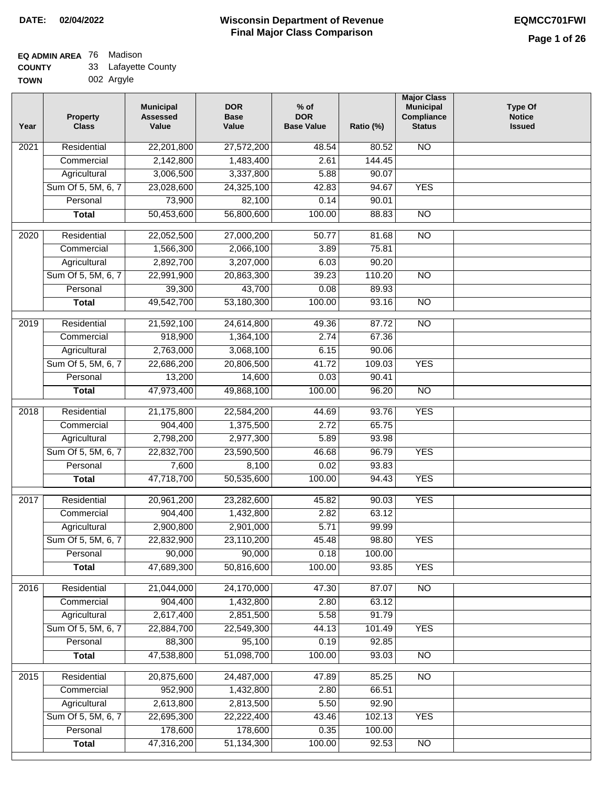#### **Wisconsin Department of Revenue Final Major Class Comparison DATE: 02/04/2022 EQMCC701FWI**

### **EQ ADMIN AREA** 76 Madison **COUNTY**

| <b>COUNTY</b> | 33 Lafayette County |
|---------------|---------------------|
| <b>TOWN</b>   | 002 Argyle          |

| 22,201,800<br>Residential<br>27,572,200<br>48.54<br>80.52<br><b>NO</b><br>2021<br>2,142,800<br>Commercial<br>1,483,400<br>2.61<br>144.45<br>3,006,500<br>3,337,800<br>5.88<br>90.07<br>Agricultural<br>Sum Of 5, 5M, 6, 7<br>23,028,600<br>24,325,100<br>42.83<br>94.67<br><b>YES</b><br>73,900<br>82,100<br>0.14<br>90.01<br>Personal<br>50,453,600<br>56,800,600<br>100.00<br>$\overline{NO}$<br>88.83<br><b>Total</b><br>Residential<br>22,052,500<br>81.68<br>$\overline{NO}$<br>2020<br>27,000,200<br>50.77<br>75.81<br>Commercial<br>1,566,300<br>2,066,100<br>3.89<br>2,892,700<br>3,207,000<br>90.20<br>Agricultural<br>6.03<br>Sum Of 5, 5M, 6, 7<br>20,863,300<br>39.23<br>110.20<br>$\overline{NO}$<br>22,991,900<br>43,700<br>39,300<br>0.08<br>89.93<br>Personal<br><b>Total</b><br>49,542,700<br>53,180,300<br>100.00<br>93.16<br><b>NO</b><br>$\overline{NO}$<br>2019<br>Residential<br>24,614,800<br>21,592,100<br>49.36<br>87.72<br>918,900<br>2.74<br>67.36<br>Commercial<br>1,364,100<br>2,763,000<br>3,068,100<br>6.15<br>90.06<br>Agricultural<br>Sum Of 5, 5M, 6, 7<br>22,686,200<br>20,806,500<br><b>YES</b><br>41.72<br>109.03<br>0.03<br>Personal<br>13,200<br>14,600<br>90.41<br>47,973,400<br>100.00<br>96.20<br>$\overline{NO}$<br><b>Total</b><br>49,868,100<br><b>YES</b><br>Residential<br>21,175,800<br>22,584,200<br>44.69<br>93.76<br>2018<br>2.72<br>65.75<br>Commercial<br>904,400<br>1,375,500<br>2,798,200<br>2,977,300<br>5.89<br>93.98<br>Agricultural<br>Sum Of 5, 5M, 6, 7<br>46.68<br>96.79<br><b>YES</b><br>22,832,700<br>23,590,500<br>7,600<br>8,100<br>0.02<br>93.83<br>Personal<br><b>YES</b><br>47,718,700<br>50,535,600<br>100.00<br>94.43<br><b>Total</b><br><b>YES</b><br>2017<br>Residential<br>20,961,200<br>45.82<br>23,282,600<br>90.03<br>904,400<br>2.82<br>63.12<br>Commercial<br>1,432,800<br>5.71<br>Agricultural<br>2,900,800<br>2,901,000<br>99.99<br>Sum Of 5, 5M, 6, 7<br>22,832,900<br>23,110,200<br>45.48<br>98.80<br><b>YES</b><br>90,000<br>90,000<br>Personal<br>0.18<br>100.00<br>47,689,300<br>50,816,600<br>100.00<br>93.85<br><b>YES</b><br><b>Total</b><br>Residential<br>21,044,000<br>24,170,000<br>47.30<br>87.07<br>N <sub>O</sub><br>2016<br>904,400<br>1,432,800<br>63.12<br>Commercial<br>2.80<br>2,617,400<br>2,851,500<br>5.58<br>91.79<br>Agricultural<br>Sum Of 5, 5M, 6, 7<br>22,884,700<br>22,549,300<br>44.13<br>101.49<br><b>YES</b><br>95,100<br>Personal<br>88,300<br>0.19<br>92.85<br>47,538,800<br>51,098,700<br>100.00<br>93.03<br>$\overline{NO}$<br><b>Total</b><br>20,875,600<br>N <sub>O</sub><br>2015<br>Residential<br>24,487,000<br>47.89<br>85.25<br>952,900<br>2.80<br>66.51<br>Commercial<br>1,432,800<br>2,613,800<br>2,813,500<br>5.50<br>92.90<br>Agricultural<br>Sum Of 5, 5M, 6, 7<br>22,695,300<br>22,222,400<br>43.46<br>102.13<br><b>YES</b><br>178,600<br>178,600<br>0.35<br>Personal<br>100.00<br>47,316,200<br>51,134,300<br>100.00<br>92.53<br>$\overline{NO}$<br><b>Total</b> | Year | <b>Property</b><br><b>Class</b> | <b>Municipal</b><br><b>Assessed</b><br>Value | <b>DOR</b><br><b>Base</b><br>Value | $%$ of<br><b>DOR</b><br><b>Base Value</b> | Ratio (%) | <b>Major Class</b><br><b>Municipal</b><br>Compliance<br><b>Status</b> | <b>Type Of</b><br><b>Notice</b><br><b>Issued</b> |
|-----------------------------------------------------------------------------------------------------------------------------------------------------------------------------------------------------------------------------------------------------------------------------------------------------------------------------------------------------------------------------------------------------------------------------------------------------------------------------------------------------------------------------------------------------------------------------------------------------------------------------------------------------------------------------------------------------------------------------------------------------------------------------------------------------------------------------------------------------------------------------------------------------------------------------------------------------------------------------------------------------------------------------------------------------------------------------------------------------------------------------------------------------------------------------------------------------------------------------------------------------------------------------------------------------------------------------------------------------------------------------------------------------------------------------------------------------------------------------------------------------------------------------------------------------------------------------------------------------------------------------------------------------------------------------------------------------------------------------------------------------------------------------------------------------------------------------------------------------------------------------------------------------------------------------------------------------------------------------------------------------------------------------------------------------------------------------------------------------------------------------------------------------------------------------------------------------------------------------------------------------------------------------------------------------------------------------------------------------------------------------------------------------------------------------------------------------------------------------------------------------------------------------------------------------------------------------------------------------------------------------------------------------------------------------------------------------------------------------------------------------------------------------------------------------------------------------------------------------------------------------------------------------------------------------------------------------------------------------------------------------|------|---------------------------------|----------------------------------------------|------------------------------------|-------------------------------------------|-----------|-----------------------------------------------------------------------|--------------------------------------------------|
|                                                                                                                                                                                                                                                                                                                                                                                                                                                                                                                                                                                                                                                                                                                                                                                                                                                                                                                                                                                                                                                                                                                                                                                                                                                                                                                                                                                                                                                                                                                                                                                                                                                                                                                                                                                                                                                                                                                                                                                                                                                                                                                                                                                                                                                                                                                                                                                                                                                                                                                                                                                                                                                                                                                                                                                                                                                                                                                                                                                                     |      |                                 |                                              |                                    |                                           |           |                                                                       |                                                  |
|                                                                                                                                                                                                                                                                                                                                                                                                                                                                                                                                                                                                                                                                                                                                                                                                                                                                                                                                                                                                                                                                                                                                                                                                                                                                                                                                                                                                                                                                                                                                                                                                                                                                                                                                                                                                                                                                                                                                                                                                                                                                                                                                                                                                                                                                                                                                                                                                                                                                                                                                                                                                                                                                                                                                                                                                                                                                                                                                                                                                     |      |                                 |                                              |                                    |                                           |           |                                                                       |                                                  |
|                                                                                                                                                                                                                                                                                                                                                                                                                                                                                                                                                                                                                                                                                                                                                                                                                                                                                                                                                                                                                                                                                                                                                                                                                                                                                                                                                                                                                                                                                                                                                                                                                                                                                                                                                                                                                                                                                                                                                                                                                                                                                                                                                                                                                                                                                                                                                                                                                                                                                                                                                                                                                                                                                                                                                                                                                                                                                                                                                                                                     |      |                                 |                                              |                                    |                                           |           |                                                                       |                                                  |
|                                                                                                                                                                                                                                                                                                                                                                                                                                                                                                                                                                                                                                                                                                                                                                                                                                                                                                                                                                                                                                                                                                                                                                                                                                                                                                                                                                                                                                                                                                                                                                                                                                                                                                                                                                                                                                                                                                                                                                                                                                                                                                                                                                                                                                                                                                                                                                                                                                                                                                                                                                                                                                                                                                                                                                                                                                                                                                                                                                                                     |      |                                 |                                              |                                    |                                           |           |                                                                       |                                                  |
|                                                                                                                                                                                                                                                                                                                                                                                                                                                                                                                                                                                                                                                                                                                                                                                                                                                                                                                                                                                                                                                                                                                                                                                                                                                                                                                                                                                                                                                                                                                                                                                                                                                                                                                                                                                                                                                                                                                                                                                                                                                                                                                                                                                                                                                                                                                                                                                                                                                                                                                                                                                                                                                                                                                                                                                                                                                                                                                                                                                                     |      |                                 |                                              |                                    |                                           |           |                                                                       |                                                  |
|                                                                                                                                                                                                                                                                                                                                                                                                                                                                                                                                                                                                                                                                                                                                                                                                                                                                                                                                                                                                                                                                                                                                                                                                                                                                                                                                                                                                                                                                                                                                                                                                                                                                                                                                                                                                                                                                                                                                                                                                                                                                                                                                                                                                                                                                                                                                                                                                                                                                                                                                                                                                                                                                                                                                                                                                                                                                                                                                                                                                     |      |                                 |                                              |                                    |                                           |           |                                                                       |                                                  |
|                                                                                                                                                                                                                                                                                                                                                                                                                                                                                                                                                                                                                                                                                                                                                                                                                                                                                                                                                                                                                                                                                                                                                                                                                                                                                                                                                                                                                                                                                                                                                                                                                                                                                                                                                                                                                                                                                                                                                                                                                                                                                                                                                                                                                                                                                                                                                                                                                                                                                                                                                                                                                                                                                                                                                                                                                                                                                                                                                                                                     |      |                                 |                                              |                                    |                                           |           |                                                                       |                                                  |
|                                                                                                                                                                                                                                                                                                                                                                                                                                                                                                                                                                                                                                                                                                                                                                                                                                                                                                                                                                                                                                                                                                                                                                                                                                                                                                                                                                                                                                                                                                                                                                                                                                                                                                                                                                                                                                                                                                                                                                                                                                                                                                                                                                                                                                                                                                                                                                                                                                                                                                                                                                                                                                                                                                                                                                                                                                                                                                                                                                                                     |      |                                 |                                              |                                    |                                           |           |                                                                       |                                                  |
|                                                                                                                                                                                                                                                                                                                                                                                                                                                                                                                                                                                                                                                                                                                                                                                                                                                                                                                                                                                                                                                                                                                                                                                                                                                                                                                                                                                                                                                                                                                                                                                                                                                                                                                                                                                                                                                                                                                                                                                                                                                                                                                                                                                                                                                                                                                                                                                                                                                                                                                                                                                                                                                                                                                                                                                                                                                                                                                                                                                                     |      |                                 |                                              |                                    |                                           |           |                                                                       |                                                  |
|                                                                                                                                                                                                                                                                                                                                                                                                                                                                                                                                                                                                                                                                                                                                                                                                                                                                                                                                                                                                                                                                                                                                                                                                                                                                                                                                                                                                                                                                                                                                                                                                                                                                                                                                                                                                                                                                                                                                                                                                                                                                                                                                                                                                                                                                                                                                                                                                                                                                                                                                                                                                                                                                                                                                                                                                                                                                                                                                                                                                     |      |                                 |                                              |                                    |                                           |           |                                                                       |                                                  |
|                                                                                                                                                                                                                                                                                                                                                                                                                                                                                                                                                                                                                                                                                                                                                                                                                                                                                                                                                                                                                                                                                                                                                                                                                                                                                                                                                                                                                                                                                                                                                                                                                                                                                                                                                                                                                                                                                                                                                                                                                                                                                                                                                                                                                                                                                                                                                                                                                                                                                                                                                                                                                                                                                                                                                                                                                                                                                                                                                                                                     |      |                                 |                                              |                                    |                                           |           |                                                                       |                                                  |
|                                                                                                                                                                                                                                                                                                                                                                                                                                                                                                                                                                                                                                                                                                                                                                                                                                                                                                                                                                                                                                                                                                                                                                                                                                                                                                                                                                                                                                                                                                                                                                                                                                                                                                                                                                                                                                                                                                                                                                                                                                                                                                                                                                                                                                                                                                                                                                                                                                                                                                                                                                                                                                                                                                                                                                                                                                                                                                                                                                                                     |      |                                 |                                              |                                    |                                           |           |                                                                       |                                                  |
|                                                                                                                                                                                                                                                                                                                                                                                                                                                                                                                                                                                                                                                                                                                                                                                                                                                                                                                                                                                                                                                                                                                                                                                                                                                                                                                                                                                                                                                                                                                                                                                                                                                                                                                                                                                                                                                                                                                                                                                                                                                                                                                                                                                                                                                                                                                                                                                                                                                                                                                                                                                                                                                                                                                                                                                                                                                                                                                                                                                                     |      |                                 |                                              |                                    |                                           |           |                                                                       |                                                  |
|                                                                                                                                                                                                                                                                                                                                                                                                                                                                                                                                                                                                                                                                                                                                                                                                                                                                                                                                                                                                                                                                                                                                                                                                                                                                                                                                                                                                                                                                                                                                                                                                                                                                                                                                                                                                                                                                                                                                                                                                                                                                                                                                                                                                                                                                                                                                                                                                                                                                                                                                                                                                                                                                                                                                                                                                                                                                                                                                                                                                     |      |                                 |                                              |                                    |                                           |           |                                                                       |                                                  |
|                                                                                                                                                                                                                                                                                                                                                                                                                                                                                                                                                                                                                                                                                                                                                                                                                                                                                                                                                                                                                                                                                                                                                                                                                                                                                                                                                                                                                                                                                                                                                                                                                                                                                                                                                                                                                                                                                                                                                                                                                                                                                                                                                                                                                                                                                                                                                                                                                                                                                                                                                                                                                                                                                                                                                                                                                                                                                                                                                                                                     |      |                                 |                                              |                                    |                                           |           |                                                                       |                                                  |
|                                                                                                                                                                                                                                                                                                                                                                                                                                                                                                                                                                                                                                                                                                                                                                                                                                                                                                                                                                                                                                                                                                                                                                                                                                                                                                                                                                                                                                                                                                                                                                                                                                                                                                                                                                                                                                                                                                                                                                                                                                                                                                                                                                                                                                                                                                                                                                                                                                                                                                                                                                                                                                                                                                                                                                                                                                                                                                                                                                                                     |      |                                 |                                              |                                    |                                           |           |                                                                       |                                                  |
|                                                                                                                                                                                                                                                                                                                                                                                                                                                                                                                                                                                                                                                                                                                                                                                                                                                                                                                                                                                                                                                                                                                                                                                                                                                                                                                                                                                                                                                                                                                                                                                                                                                                                                                                                                                                                                                                                                                                                                                                                                                                                                                                                                                                                                                                                                                                                                                                                                                                                                                                                                                                                                                                                                                                                                                                                                                                                                                                                                                                     |      |                                 |                                              |                                    |                                           |           |                                                                       |                                                  |
|                                                                                                                                                                                                                                                                                                                                                                                                                                                                                                                                                                                                                                                                                                                                                                                                                                                                                                                                                                                                                                                                                                                                                                                                                                                                                                                                                                                                                                                                                                                                                                                                                                                                                                                                                                                                                                                                                                                                                                                                                                                                                                                                                                                                                                                                                                                                                                                                                                                                                                                                                                                                                                                                                                                                                                                                                                                                                                                                                                                                     |      |                                 |                                              |                                    |                                           |           |                                                                       |                                                  |
|                                                                                                                                                                                                                                                                                                                                                                                                                                                                                                                                                                                                                                                                                                                                                                                                                                                                                                                                                                                                                                                                                                                                                                                                                                                                                                                                                                                                                                                                                                                                                                                                                                                                                                                                                                                                                                                                                                                                                                                                                                                                                                                                                                                                                                                                                                                                                                                                                                                                                                                                                                                                                                                                                                                                                                                                                                                                                                                                                                                                     |      |                                 |                                              |                                    |                                           |           |                                                                       |                                                  |
|                                                                                                                                                                                                                                                                                                                                                                                                                                                                                                                                                                                                                                                                                                                                                                                                                                                                                                                                                                                                                                                                                                                                                                                                                                                                                                                                                                                                                                                                                                                                                                                                                                                                                                                                                                                                                                                                                                                                                                                                                                                                                                                                                                                                                                                                                                                                                                                                                                                                                                                                                                                                                                                                                                                                                                                                                                                                                                                                                                                                     |      |                                 |                                              |                                    |                                           |           |                                                                       |                                                  |
|                                                                                                                                                                                                                                                                                                                                                                                                                                                                                                                                                                                                                                                                                                                                                                                                                                                                                                                                                                                                                                                                                                                                                                                                                                                                                                                                                                                                                                                                                                                                                                                                                                                                                                                                                                                                                                                                                                                                                                                                                                                                                                                                                                                                                                                                                                                                                                                                                                                                                                                                                                                                                                                                                                                                                                                                                                                                                                                                                                                                     |      |                                 |                                              |                                    |                                           |           |                                                                       |                                                  |
|                                                                                                                                                                                                                                                                                                                                                                                                                                                                                                                                                                                                                                                                                                                                                                                                                                                                                                                                                                                                                                                                                                                                                                                                                                                                                                                                                                                                                                                                                                                                                                                                                                                                                                                                                                                                                                                                                                                                                                                                                                                                                                                                                                                                                                                                                                                                                                                                                                                                                                                                                                                                                                                                                                                                                                                                                                                                                                                                                                                                     |      |                                 |                                              |                                    |                                           |           |                                                                       |                                                  |
|                                                                                                                                                                                                                                                                                                                                                                                                                                                                                                                                                                                                                                                                                                                                                                                                                                                                                                                                                                                                                                                                                                                                                                                                                                                                                                                                                                                                                                                                                                                                                                                                                                                                                                                                                                                                                                                                                                                                                                                                                                                                                                                                                                                                                                                                                                                                                                                                                                                                                                                                                                                                                                                                                                                                                                                                                                                                                                                                                                                                     |      |                                 |                                              |                                    |                                           |           |                                                                       |                                                  |
|                                                                                                                                                                                                                                                                                                                                                                                                                                                                                                                                                                                                                                                                                                                                                                                                                                                                                                                                                                                                                                                                                                                                                                                                                                                                                                                                                                                                                                                                                                                                                                                                                                                                                                                                                                                                                                                                                                                                                                                                                                                                                                                                                                                                                                                                                                                                                                                                                                                                                                                                                                                                                                                                                                                                                                                                                                                                                                                                                                                                     |      |                                 |                                              |                                    |                                           |           |                                                                       |                                                  |
|                                                                                                                                                                                                                                                                                                                                                                                                                                                                                                                                                                                                                                                                                                                                                                                                                                                                                                                                                                                                                                                                                                                                                                                                                                                                                                                                                                                                                                                                                                                                                                                                                                                                                                                                                                                                                                                                                                                                                                                                                                                                                                                                                                                                                                                                                                                                                                                                                                                                                                                                                                                                                                                                                                                                                                                                                                                                                                                                                                                                     |      |                                 |                                              |                                    |                                           |           |                                                                       |                                                  |
|                                                                                                                                                                                                                                                                                                                                                                                                                                                                                                                                                                                                                                                                                                                                                                                                                                                                                                                                                                                                                                                                                                                                                                                                                                                                                                                                                                                                                                                                                                                                                                                                                                                                                                                                                                                                                                                                                                                                                                                                                                                                                                                                                                                                                                                                                                                                                                                                                                                                                                                                                                                                                                                                                                                                                                                                                                                                                                                                                                                                     |      |                                 |                                              |                                    |                                           |           |                                                                       |                                                  |
|                                                                                                                                                                                                                                                                                                                                                                                                                                                                                                                                                                                                                                                                                                                                                                                                                                                                                                                                                                                                                                                                                                                                                                                                                                                                                                                                                                                                                                                                                                                                                                                                                                                                                                                                                                                                                                                                                                                                                                                                                                                                                                                                                                                                                                                                                                                                                                                                                                                                                                                                                                                                                                                                                                                                                                                                                                                                                                                                                                                                     |      |                                 |                                              |                                    |                                           |           |                                                                       |                                                  |
|                                                                                                                                                                                                                                                                                                                                                                                                                                                                                                                                                                                                                                                                                                                                                                                                                                                                                                                                                                                                                                                                                                                                                                                                                                                                                                                                                                                                                                                                                                                                                                                                                                                                                                                                                                                                                                                                                                                                                                                                                                                                                                                                                                                                                                                                                                                                                                                                                                                                                                                                                                                                                                                                                                                                                                                                                                                                                                                                                                                                     |      |                                 |                                              |                                    |                                           |           |                                                                       |                                                  |
|                                                                                                                                                                                                                                                                                                                                                                                                                                                                                                                                                                                                                                                                                                                                                                                                                                                                                                                                                                                                                                                                                                                                                                                                                                                                                                                                                                                                                                                                                                                                                                                                                                                                                                                                                                                                                                                                                                                                                                                                                                                                                                                                                                                                                                                                                                                                                                                                                                                                                                                                                                                                                                                                                                                                                                                                                                                                                                                                                                                                     |      |                                 |                                              |                                    |                                           |           |                                                                       |                                                  |
|                                                                                                                                                                                                                                                                                                                                                                                                                                                                                                                                                                                                                                                                                                                                                                                                                                                                                                                                                                                                                                                                                                                                                                                                                                                                                                                                                                                                                                                                                                                                                                                                                                                                                                                                                                                                                                                                                                                                                                                                                                                                                                                                                                                                                                                                                                                                                                                                                                                                                                                                                                                                                                                                                                                                                                                                                                                                                                                                                                                                     |      |                                 |                                              |                                    |                                           |           |                                                                       |                                                  |
|                                                                                                                                                                                                                                                                                                                                                                                                                                                                                                                                                                                                                                                                                                                                                                                                                                                                                                                                                                                                                                                                                                                                                                                                                                                                                                                                                                                                                                                                                                                                                                                                                                                                                                                                                                                                                                                                                                                                                                                                                                                                                                                                                                                                                                                                                                                                                                                                                                                                                                                                                                                                                                                                                                                                                                                                                                                                                                                                                                                                     |      |                                 |                                              |                                    |                                           |           |                                                                       |                                                  |
|                                                                                                                                                                                                                                                                                                                                                                                                                                                                                                                                                                                                                                                                                                                                                                                                                                                                                                                                                                                                                                                                                                                                                                                                                                                                                                                                                                                                                                                                                                                                                                                                                                                                                                                                                                                                                                                                                                                                                                                                                                                                                                                                                                                                                                                                                                                                                                                                                                                                                                                                                                                                                                                                                                                                                                                                                                                                                                                                                                                                     |      |                                 |                                              |                                    |                                           |           |                                                                       |                                                  |
|                                                                                                                                                                                                                                                                                                                                                                                                                                                                                                                                                                                                                                                                                                                                                                                                                                                                                                                                                                                                                                                                                                                                                                                                                                                                                                                                                                                                                                                                                                                                                                                                                                                                                                                                                                                                                                                                                                                                                                                                                                                                                                                                                                                                                                                                                                                                                                                                                                                                                                                                                                                                                                                                                                                                                                                                                                                                                                                                                                                                     |      |                                 |                                              |                                    |                                           |           |                                                                       |                                                  |
|                                                                                                                                                                                                                                                                                                                                                                                                                                                                                                                                                                                                                                                                                                                                                                                                                                                                                                                                                                                                                                                                                                                                                                                                                                                                                                                                                                                                                                                                                                                                                                                                                                                                                                                                                                                                                                                                                                                                                                                                                                                                                                                                                                                                                                                                                                                                                                                                                                                                                                                                                                                                                                                                                                                                                                                                                                                                                                                                                                                                     |      |                                 |                                              |                                    |                                           |           |                                                                       |                                                  |
|                                                                                                                                                                                                                                                                                                                                                                                                                                                                                                                                                                                                                                                                                                                                                                                                                                                                                                                                                                                                                                                                                                                                                                                                                                                                                                                                                                                                                                                                                                                                                                                                                                                                                                                                                                                                                                                                                                                                                                                                                                                                                                                                                                                                                                                                                                                                                                                                                                                                                                                                                                                                                                                                                                                                                                                                                                                                                                                                                                                                     |      |                                 |                                              |                                    |                                           |           |                                                                       |                                                  |
|                                                                                                                                                                                                                                                                                                                                                                                                                                                                                                                                                                                                                                                                                                                                                                                                                                                                                                                                                                                                                                                                                                                                                                                                                                                                                                                                                                                                                                                                                                                                                                                                                                                                                                                                                                                                                                                                                                                                                                                                                                                                                                                                                                                                                                                                                                                                                                                                                                                                                                                                                                                                                                                                                                                                                                                                                                                                                                                                                                                                     |      |                                 |                                              |                                    |                                           |           |                                                                       |                                                  |
|                                                                                                                                                                                                                                                                                                                                                                                                                                                                                                                                                                                                                                                                                                                                                                                                                                                                                                                                                                                                                                                                                                                                                                                                                                                                                                                                                                                                                                                                                                                                                                                                                                                                                                                                                                                                                                                                                                                                                                                                                                                                                                                                                                                                                                                                                                                                                                                                                                                                                                                                                                                                                                                                                                                                                                                                                                                                                                                                                                                                     |      |                                 |                                              |                                    |                                           |           |                                                                       |                                                  |
|                                                                                                                                                                                                                                                                                                                                                                                                                                                                                                                                                                                                                                                                                                                                                                                                                                                                                                                                                                                                                                                                                                                                                                                                                                                                                                                                                                                                                                                                                                                                                                                                                                                                                                                                                                                                                                                                                                                                                                                                                                                                                                                                                                                                                                                                                                                                                                                                                                                                                                                                                                                                                                                                                                                                                                                                                                                                                                                                                                                                     |      |                                 |                                              |                                    |                                           |           |                                                                       |                                                  |
|                                                                                                                                                                                                                                                                                                                                                                                                                                                                                                                                                                                                                                                                                                                                                                                                                                                                                                                                                                                                                                                                                                                                                                                                                                                                                                                                                                                                                                                                                                                                                                                                                                                                                                                                                                                                                                                                                                                                                                                                                                                                                                                                                                                                                                                                                                                                                                                                                                                                                                                                                                                                                                                                                                                                                                                                                                                                                                                                                                                                     |      |                                 |                                              |                                    |                                           |           |                                                                       |                                                  |
|                                                                                                                                                                                                                                                                                                                                                                                                                                                                                                                                                                                                                                                                                                                                                                                                                                                                                                                                                                                                                                                                                                                                                                                                                                                                                                                                                                                                                                                                                                                                                                                                                                                                                                                                                                                                                                                                                                                                                                                                                                                                                                                                                                                                                                                                                                                                                                                                                                                                                                                                                                                                                                                                                                                                                                                                                                                                                                                                                                                                     |      |                                 |                                              |                                    |                                           |           |                                                                       |                                                  |
|                                                                                                                                                                                                                                                                                                                                                                                                                                                                                                                                                                                                                                                                                                                                                                                                                                                                                                                                                                                                                                                                                                                                                                                                                                                                                                                                                                                                                                                                                                                                                                                                                                                                                                                                                                                                                                                                                                                                                                                                                                                                                                                                                                                                                                                                                                                                                                                                                                                                                                                                                                                                                                                                                                                                                                                                                                                                                                                                                                                                     |      |                                 |                                              |                                    |                                           |           |                                                                       |                                                  |
|                                                                                                                                                                                                                                                                                                                                                                                                                                                                                                                                                                                                                                                                                                                                                                                                                                                                                                                                                                                                                                                                                                                                                                                                                                                                                                                                                                                                                                                                                                                                                                                                                                                                                                                                                                                                                                                                                                                                                                                                                                                                                                                                                                                                                                                                                                                                                                                                                                                                                                                                                                                                                                                                                                                                                                                                                                                                                                                                                                                                     |      |                                 |                                              |                                    |                                           |           |                                                                       |                                                  |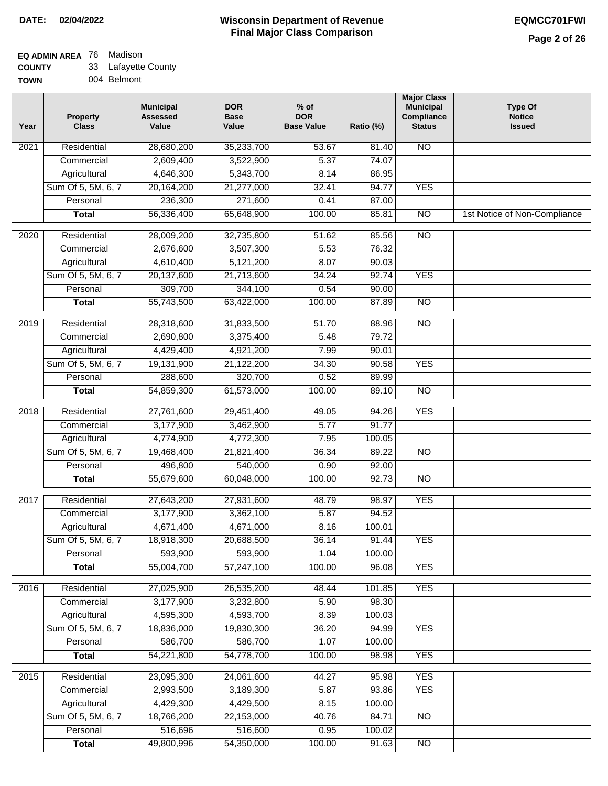#### **Wisconsin Department of Revenue Final Major Class Comparison DATE: 02/04/2022 EQMCC701FWI**

٦

#### **EQ ADMIN AREA** 76 Madison **COUNTY** 33 Lafayette County

| <b>UUUNII</b> | ັບ | Laidyotto Oodi |
|---------------|----|----------------|
| <b>TOWN</b>   |    | 004 Belmont    |

| Year              | <b>Property</b><br><b>Class</b> | <b>Municipal</b><br><b>Assessed</b><br>Value | <b>DOR</b><br><b>Base</b><br>Value | $%$ of<br><b>DOR</b><br><b>Base Value</b> | Ratio (%) | <b>Major Class</b><br><b>Municipal</b><br>Compliance<br><b>Status</b> | <b>Type Of</b><br><b>Notice</b><br><b>Issued</b> |
|-------------------|---------------------------------|----------------------------------------------|------------------------------------|-------------------------------------------|-----------|-----------------------------------------------------------------------|--------------------------------------------------|
| 2021              | Residential                     | 28,680,200                                   | 35,233,700                         | 53.67                                     | 81.40     | <b>NO</b>                                                             |                                                  |
|                   | Commercial                      | 2,609,400                                    | 3,522,900                          | 5.37                                      | 74.07     |                                                                       |                                                  |
|                   | Agricultural                    | 4,646,300                                    | 5,343,700                          | 8.14                                      | 86.95     |                                                                       |                                                  |
|                   | Sum Of 5, 5M, 6, 7              | 20, 164, 200                                 | 21,277,000                         | 32.41                                     | 94.77     | <b>YES</b>                                                            |                                                  |
|                   | Personal                        | 236,300                                      | 271,600                            | 0.41                                      | 87.00     |                                                                       |                                                  |
|                   | <b>Total</b>                    | 56,336,400                                   | 65,648,900                         | 100.00                                    | 85.81     | $\overline{NO}$                                                       | 1st Notice of Non-Compliance                     |
| $\overline{2020}$ | Residential                     | 28,009,200                                   | 32,735,800                         | 51.62                                     | 85.56     | $\overline{NO}$                                                       |                                                  |
|                   | Commercial                      | 2,676,600                                    | 3,507,300                          | 5.53                                      | 76.32     |                                                                       |                                                  |
|                   | Agricultural                    | 4,610,400                                    | 5,121,200                          | 8.07                                      | 90.03     |                                                                       |                                                  |
|                   | Sum Of 5, 5M, 6, 7              | 20,137,600                                   | 21,713,600                         | 34.24                                     | 92.74     | <b>YES</b>                                                            |                                                  |
|                   | Personal                        | 309,700                                      | 344,100                            | 0.54                                      | 90.00     |                                                                       |                                                  |
|                   | <b>Total</b>                    | 55,743,500                                   | 63,422,000                         | 100.00                                    | 87.89     | <b>NO</b>                                                             |                                                  |
|                   |                                 |                                              |                                    |                                           |           |                                                                       |                                                  |
| $\frac{1}{2019}$  | Residential                     | 28,318,600                                   | 31,833,500                         | 51.70                                     | 88.96     | $\overline{NO}$                                                       |                                                  |
|                   | Commercial                      | 2,690,800                                    | 3,375,400                          | 5.48                                      | 79.72     |                                                                       |                                                  |
|                   | Agricultural                    | 4,429,400                                    | 4,921,200                          | 7.99                                      | 90.01     |                                                                       |                                                  |
|                   | Sum Of 5, 5M, 6, 7              | 19,131,900                                   | 21,122,200                         | 34.30                                     | 90.58     | <b>YES</b>                                                            |                                                  |
|                   | Personal                        | 288,600                                      | 320,700                            | 0.52                                      | 89.99     |                                                                       |                                                  |
|                   | <b>Total</b>                    | 54,859,300                                   | 61,573,000                         | 100.00                                    | 89.10     | $\overline{NO}$                                                       |                                                  |
| 2018              | Residential                     | 27,761,600                                   | 29,451,400                         | 49.05                                     | 94.26     | <b>YES</b>                                                            |                                                  |
|                   | Commercial                      | 3,177,900                                    | 3,462,900                          | 5.77                                      | 91.77     |                                                                       |                                                  |
|                   | Agricultural                    | 4,774,900                                    | 4,772,300                          | 7.95                                      | 100.05    |                                                                       |                                                  |
|                   | Sum Of 5, 5M, 6, 7              | 19,468,400                                   | 21,821,400                         | 36.34                                     | 89.22     | <b>NO</b>                                                             |                                                  |
|                   | Personal                        | 496,800                                      | 540,000                            | 0.90                                      | 92.00     |                                                                       |                                                  |
|                   | <b>Total</b>                    | 55,679,600                                   | 60,048,000                         | 100.00                                    | 92.73     | $\overline{10}$                                                       |                                                  |
| 2017              | Residential                     | 27,643,200                                   | 27,931,600                         | 48.79                                     | 98.97     | <b>YES</b>                                                            |                                                  |
|                   | Commercial                      | 3,177,900                                    | 3,362,100                          | 5.87                                      | 94.52     |                                                                       |                                                  |
|                   | Agricultural                    | 4,671,400                                    | 4,671,000                          | 8.16                                      | 100.01    |                                                                       |                                                  |
|                   | Sum Of 5, 5M, 6, 7              | 18,918,300                                   | 20,688,500                         | 36.14                                     | 91.44     | <b>YES</b>                                                            |                                                  |
|                   | Personal                        | 593,900                                      | 593,900                            | 1.04                                      | 100.00    |                                                                       |                                                  |
|                   | <b>Total</b>                    | 55,004,700                                   | 57,247,100                         | 100.00                                    | 96.08     | <b>YES</b>                                                            |                                                  |
| 2016              | Residential                     | 27,025,900                                   | 26,535,200                         | 48.44                                     | 101.85    | <b>YES</b>                                                            |                                                  |
|                   | Commercial                      | 3,177,900                                    | 3,232,800                          | 5.90                                      | 98.30     |                                                                       |                                                  |
|                   | Agricultural                    | 4,595,300                                    | 4,593,700                          | 8.39                                      | 100.03    |                                                                       |                                                  |
|                   | Sum Of 5, 5M, 6, 7              | 18,836,000                                   | 19,830,300                         | 36.20                                     | 94.99     | <b>YES</b>                                                            |                                                  |
|                   | Personal                        | 586,700                                      | 586,700                            | 1.07                                      | 100.00    |                                                                       |                                                  |
|                   | <b>Total</b>                    | 54,221,800                                   | 54,778,700                         | 100.00                                    | 98.98     | <b>YES</b>                                                            |                                                  |
| 2015              | Residential                     | 23,095,300                                   | 24,061,600                         | 44.27                                     | 95.98     | <b>YES</b>                                                            |                                                  |
|                   | Commercial                      | 2,993,500                                    | 3,189,300                          | 5.87                                      | 93.86     | <b>YES</b>                                                            |                                                  |
|                   | Agricultural                    | 4,429,300                                    | 4,429,500                          | 8.15                                      | 100.00    |                                                                       |                                                  |
|                   | Sum Of 5, 5M, 6, 7              | 18,766,200                                   | 22,153,000                         | 40.76                                     | 84.71     | <b>NO</b>                                                             |                                                  |
|                   | Personal                        | 516,696                                      | 516,600                            | 0.95                                      | 100.02    |                                                                       |                                                  |
|                   | <b>Total</b>                    | 49,800,996                                   | 54,350,000                         | 100.00                                    | 91.63     | $\overline{NO}$                                                       |                                                  |
|                   |                                 |                                              |                                    |                                           |           |                                                                       |                                                  |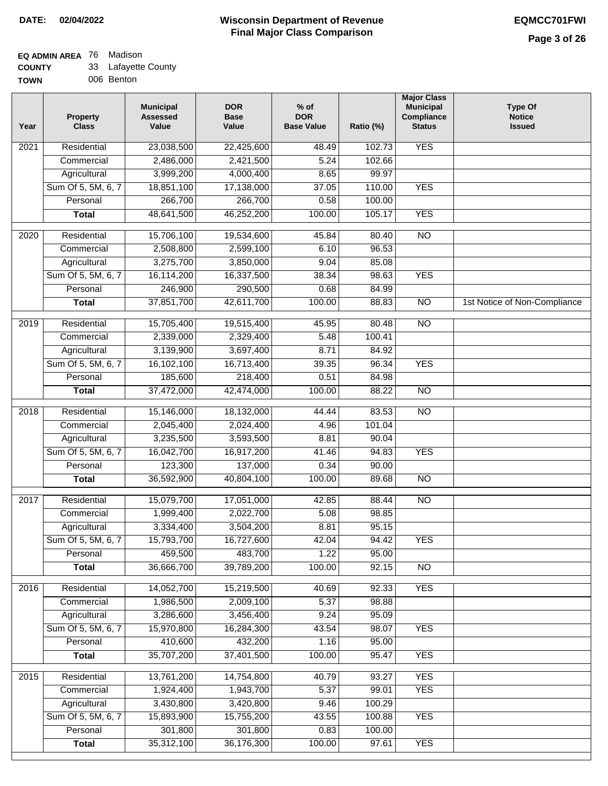#### **Wisconsin Department of Revenue Final Major Class Comparison DATE: 02/04/2022 EQMCC701FWI**

#### **EQ ADMIN AREA** 76 Madison **COUNTY** 33 Lafayette County

| ------      | ________   |  |
|-------------|------------|--|
| <b>TOWN</b> | 006 Benton |  |

| Year | <b>Property</b><br><b>Class</b> | <b>Municipal</b><br><b>Assessed</b><br>Value | <b>DOR</b><br><b>Base</b><br>Value | $%$ of<br><b>DOR</b><br><b>Base Value</b> | Ratio (%) | <b>Major Class</b><br><b>Municipal</b><br>Compliance<br><b>Status</b> | <b>Type Of</b><br><b>Notice</b><br><b>Issued</b> |
|------|---------------------------------|----------------------------------------------|------------------------------------|-------------------------------------------|-----------|-----------------------------------------------------------------------|--------------------------------------------------|
| 2021 | Residential                     | 23,038,500                                   | 22,425,600                         | 48.49                                     | 102.73    | <b>YES</b>                                                            |                                                  |
|      | Commercial                      | 2,486,000                                    | 2,421,500                          | 5.24                                      | 102.66    |                                                                       |                                                  |
|      | Agricultural                    | 3,999,200                                    | 4,000,400                          | 8.65                                      | 99.97     |                                                                       |                                                  |
|      | Sum Of 5, 5M, 6, 7              | 18,851,100                                   | 17,138,000                         | 37.05                                     | 110.00    | <b>YES</b>                                                            |                                                  |
|      | Personal                        | 266,700                                      | 266,700                            | 0.58                                      | 100.00    |                                                                       |                                                  |
|      | <b>Total</b>                    | 48,641,500                                   | 46,252,200                         | 100.00                                    | 105.17    | <b>YES</b>                                                            |                                                  |
| 2020 | Residential                     | 15,706,100                                   | 19,534,600                         | 45.84                                     | 80.40     | $\overline{10}$                                                       |                                                  |
|      | Commercial                      | 2,508,800                                    | 2,599,100                          | 6.10                                      | 96.53     |                                                                       |                                                  |
|      | Agricultural                    | 3,275,700                                    | 3,850,000                          | 9.04                                      | 85.08     |                                                                       |                                                  |
|      | Sum Of 5, 5M, 6, 7              | 16,114,200                                   | 16,337,500                         | 38.34                                     | 98.63     | <b>YES</b>                                                            |                                                  |
|      | Personal                        | 246,900                                      | 290,500                            | 0.68                                      | 84.99     |                                                                       |                                                  |
|      | <b>Total</b>                    | 37,851,700                                   | 42,611,700                         | 100.00                                    | 88.83     | $\overline{NO}$                                                       | 1st Notice of Non-Compliance                     |
|      |                                 |                                              |                                    |                                           |           |                                                                       |                                                  |
| 2019 | Residential                     | 15,705,400                                   | 19,515,400                         | 45.95                                     | 80.48     | <b>NO</b>                                                             |                                                  |
|      | Commercial                      | 2,339,000                                    | 2,329,400                          | 5.48                                      | 100.41    |                                                                       |                                                  |
|      | Agricultural                    | 3,139,900                                    | 3,697,400                          | 8.71                                      | 84.92     |                                                                       |                                                  |
|      | Sum Of 5, 5M, 6, 7              | 16,102,100                                   | 16,713,400                         | 39.35                                     | 96.34     | <b>YES</b>                                                            |                                                  |
|      | Personal                        | 185,600                                      | 218,400                            | 0.51                                      | 84.98     |                                                                       |                                                  |
|      | <b>Total</b>                    | 37,472,000                                   | 42,474,000                         | 100.00                                    | 88.22     | <b>NO</b>                                                             |                                                  |
| 2018 | Residential                     | 15,146,000                                   | 18,132,000                         | 44.44                                     | 83.53     | $\overline{NO}$                                                       |                                                  |
|      | Commercial                      | 2,045,400                                    | 2,024,400                          | 4.96                                      | 101.04    |                                                                       |                                                  |
|      | Agricultural                    | 3,235,500                                    | 3,593,500                          | 8.81                                      | 90.04     |                                                                       |                                                  |
|      | Sum Of 5, 5M, 6, 7              | 16,042,700                                   | 16,917,200                         | 41.46                                     | 94.83     | <b>YES</b>                                                            |                                                  |
|      | Personal                        | 123,300                                      | 137,000                            | 0.34                                      | 90.00     |                                                                       |                                                  |
|      | <b>Total</b>                    | 36,592,900                                   | 40,804,100                         | 100.00                                    | 89.68     | <b>NO</b>                                                             |                                                  |
| 2017 | Residential                     | 15,079,700                                   | 17,051,000                         | 42.85                                     | 88.44     | $\overline{NO}$                                                       |                                                  |
|      | Commercial                      | 1,999,400                                    | 2,022,700                          | 5.08                                      | 98.85     |                                                                       |                                                  |
|      | Agricultural                    | 3,334,400                                    | 3,504,200                          | 8.81                                      | 95.15     |                                                                       |                                                  |
|      | Sum Of 5, 5M, 6, 7              | 15,793,700                                   | 16,727,600                         | 42.04                                     | 94.42     | <b>YES</b>                                                            |                                                  |
|      | Personal                        | 459,500                                      | 483,700                            | 1.22                                      | 95.00     |                                                                       |                                                  |
|      | <b>Total</b>                    | 36,666,700                                   | 39,789,200                         | 100.00                                    | 92.15     | $\overline{NO}$                                                       |                                                  |
|      |                                 |                                              |                                    |                                           |           |                                                                       |                                                  |
| 2016 | Residential                     | 14,052,700                                   | 15,219,500                         | 40.69                                     | 92.33     | <b>YES</b>                                                            |                                                  |
|      | Commercial                      | 1,986,500                                    | 2,009,100                          | 5.37                                      | 98.88     |                                                                       |                                                  |
|      | Agricultural                    | 3,286,600                                    | 3,456,400                          | 9.24                                      | 95.09     |                                                                       |                                                  |
|      | Sum Of 5, 5M, 6, 7              | 15,970,800                                   | 16,284,300                         | 43.54                                     | 98.07     | <b>YES</b>                                                            |                                                  |
|      | Personal                        | 410,600                                      | 432,200                            | 1.16                                      | 95.00     |                                                                       |                                                  |
|      | <b>Total</b>                    | 35,707,200                                   | 37,401,500                         | 100.00                                    | 95.47     | <b>YES</b>                                                            |                                                  |
| 2015 | Residential                     | 13,761,200                                   | 14,754,800                         | 40.79                                     | 93.27     | <b>YES</b>                                                            |                                                  |
|      | Commercial                      | 1,924,400                                    | 1,943,700                          | 5.37                                      | 99.01     | <b>YES</b>                                                            |                                                  |
|      | Agricultural                    | 3,430,800                                    | 3,420,800                          | 9.46                                      | 100.29    |                                                                       |                                                  |
|      | Sum Of 5, 5M, 6, 7              | 15,893,900                                   | 15,755,200                         | 43.55                                     | 100.88    | <b>YES</b>                                                            |                                                  |
|      | Personal                        | 301,800                                      | 301,800                            | 0.83                                      | 100.00    |                                                                       |                                                  |
|      | <b>Total</b>                    | 35,312,100                                   | 36,176,300                         | 100.00                                    | 97.61     | <b>YES</b>                                                            |                                                  |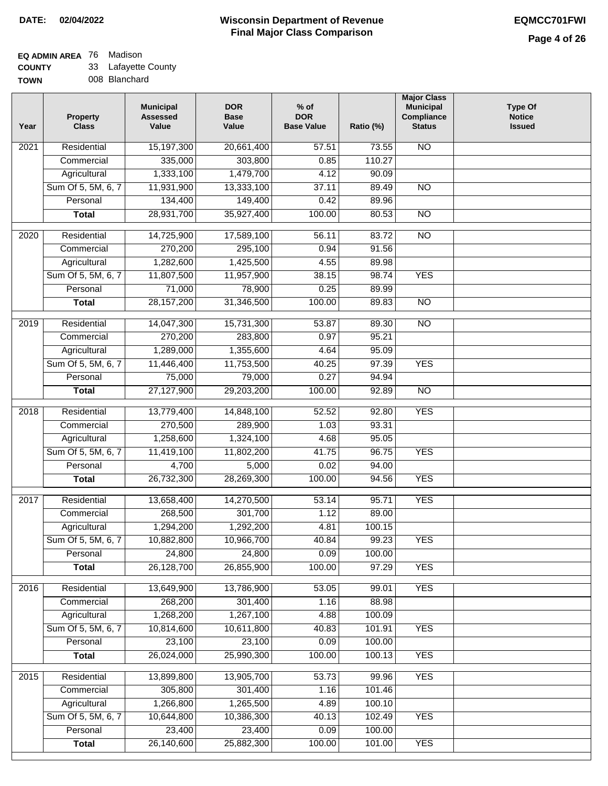### **EQ ADMIN AREA** 76 Madison

**COUNTY** 33 Lafayette County

| <b>UUUIII</b> | ິ | $-$ anayono   |
|---------------|---|---------------|
| <b>TOWN</b>   |   | 008 Blanchard |

| Year              | <b>Property</b><br><b>Class</b> | <b>Municipal</b><br><b>Assessed</b><br>Value | <b>DOR</b><br><b>Base</b><br>Value | $%$ of<br><b>DOR</b><br><b>Base Value</b> | Ratio (%) | <b>Major Class</b><br><b>Municipal</b><br>Compliance<br><b>Status</b> | <b>Type Of</b><br><b>Notice</b><br><b>Issued</b> |
|-------------------|---------------------------------|----------------------------------------------|------------------------------------|-------------------------------------------|-----------|-----------------------------------------------------------------------|--------------------------------------------------|
| 2021              | Residential                     | 15,197,300                                   | 20,661,400                         | 57.51                                     | 73.55     | <b>NO</b>                                                             |                                                  |
|                   | Commercial                      | 335,000                                      | 303,800                            | 0.85                                      | 110.27    |                                                                       |                                                  |
|                   | Agricultural                    | 1,333,100                                    | 1,479,700                          | 4.12                                      | 90.09     |                                                                       |                                                  |
|                   | Sum Of 5, 5M, 6, 7              | 11,931,900                                   | 13,333,100                         | 37.11                                     | 89.49     | $\overline{NO}$                                                       |                                                  |
|                   | Personal                        | 134,400                                      | 149,400                            | 0.42                                      | 89.96     |                                                                       |                                                  |
|                   | <b>Total</b>                    | 28,931,700                                   | 35,927,400                         | 100.00                                    | 80.53     | $\overline{NO}$                                                       |                                                  |
| 2020              | Residential                     | 14,725,900                                   | 17,589,100                         | 56.11                                     | 83.72     | $\overline{NO}$                                                       |                                                  |
|                   | Commercial                      | 270,200                                      | 295,100                            | 0.94                                      | 91.56     |                                                                       |                                                  |
|                   | Agricultural                    | 1,282,600                                    | 1,425,500                          | 4.55                                      | 89.98     |                                                                       |                                                  |
|                   | Sum Of 5, 5M, 6, 7              | 11,807,500                                   | 11,957,900                         | 38.15                                     | 98.74     | <b>YES</b>                                                            |                                                  |
|                   | Personal                        | 71,000                                       | 78,900                             | 0.25                                      | 89.99     |                                                                       |                                                  |
|                   | <b>Total</b>                    | 28, 157, 200                                 | 31,346,500                         | 100.00                                    | 89.83     | <b>NO</b>                                                             |                                                  |
| 2019              | Residential                     | 14,047,300                                   | 15,731,300                         | 53.87                                     | 89.30     | <b>NO</b>                                                             |                                                  |
|                   | Commercial                      | 270,200                                      | 283,800                            | 0.97                                      | 95.21     |                                                                       |                                                  |
|                   | Agricultural                    | 1,289,000                                    | 1,355,600                          | 4.64                                      | 95.09     |                                                                       |                                                  |
|                   | Sum Of 5, 5M, 6, 7              | 11,446,400                                   | 11,753,500                         | 40.25                                     | 97.39     | <b>YES</b>                                                            |                                                  |
|                   | Personal                        | 75,000                                       | 79,000                             | 0.27                                      | 94.94     |                                                                       |                                                  |
|                   | <b>Total</b>                    | 27,127,900                                   | 29,203,200                         | 100.00                                    | 92.89     | $\overline{NO}$                                                       |                                                  |
|                   |                                 |                                              |                                    |                                           |           |                                                                       |                                                  |
| $\overline{2018}$ | Residential                     | 13,779,400                                   | 14,848,100                         | 52.52                                     | 92.80     | <b>YES</b>                                                            |                                                  |
|                   | Commercial                      | 270,500                                      | 289,900                            | 1.03                                      | 93.31     |                                                                       |                                                  |
|                   | Agricultural                    | 1,258,600                                    | 1,324,100                          | 4.68                                      | 95.05     |                                                                       |                                                  |
|                   | Sum Of 5, 5M, 6, 7              | 11,419,100                                   | 11,802,200                         | 41.75                                     | 96.75     | <b>YES</b>                                                            |                                                  |
|                   | Personal                        | 4,700                                        | 5,000                              | 0.02                                      | 94.00     |                                                                       |                                                  |
|                   | <b>Total</b>                    | 26,732,300                                   | 28,269,300                         | 100.00                                    | 94.56     | <b>YES</b>                                                            |                                                  |
| 2017              | Residential                     | 13,658,400                                   | 14,270,500                         | 53.14                                     | 95.71     | <b>YES</b>                                                            |                                                  |
|                   | Commercial                      | 268,500                                      | 301,700                            | 1.12                                      | 89.00     |                                                                       |                                                  |
|                   | Agricultural                    | 1,294,200                                    | 1,292,200                          | 4.81                                      | 100.15    |                                                                       |                                                  |
|                   | Sum Of 5, 5M, 6, 7              | 10,882,800                                   | 10,966,700                         | 40.84                                     | 99.23     | YES                                                                   |                                                  |
|                   | Personal                        | 24,800                                       | 24,800                             | 0.09                                      | 100.00    |                                                                       |                                                  |
|                   | <b>Total</b>                    | 26,128,700                                   | 26,855,900                         | 100.00                                    | 97.29     | <b>YES</b>                                                            |                                                  |
| 2016              | Residential                     | 13,649,900                                   | 13,786,900                         | 53.05                                     | 99.01     | <b>YES</b>                                                            |                                                  |
|                   | Commercial                      | 268,200                                      | 301,400                            | 1.16                                      | 88.98     |                                                                       |                                                  |
|                   | Agricultural                    | 1,268,200                                    | 1,267,100                          | 4.88                                      | 100.09    |                                                                       |                                                  |
|                   | Sum Of 5, 5M, 6, 7              | 10,814,600                                   | 10,611,800                         | 40.83                                     | 101.91    | <b>YES</b>                                                            |                                                  |
|                   | Personal                        | 23,100                                       | 23,100                             | 0.09                                      | 100.00    |                                                                       |                                                  |
|                   | <b>Total</b>                    | 26,024,000                                   | 25,990,300                         | 100.00                                    | 100.13    | <b>YES</b>                                                            |                                                  |
| $\overline{2015}$ | Residential                     | 13,899,800                                   | 13,905,700                         | 53.73                                     | 99.96     | <b>YES</b>                                                            |                                                  |
|                   | Commercial                      | 305,800                                      | 301,400                            | 1.16                                      | 101.46    |                                                                       |                                                  |
|                   | Agricultural                    | 1,266,800                                    | 1,265,500                          | 4.89                                      | 100.10    |                                                                       |                                                  |
|                   | Sum Of 5, 5M, 6, 7              | 10,644,800                                   | 10,386,300                         | 40.13                                     | 102.49    | <b>YES</b>                                                            |                                                  |
|                   | Personal                        | 23,400                                       | 23,400                             | 0.09                                      | 100.00    |                                                                       |                                                  |
|                   | <b>Total</b>                    | 26,140,600                                   | 25,882,300                         | 100.00                                    | 101.00    | <b>YES</b>                                                            |                                                  |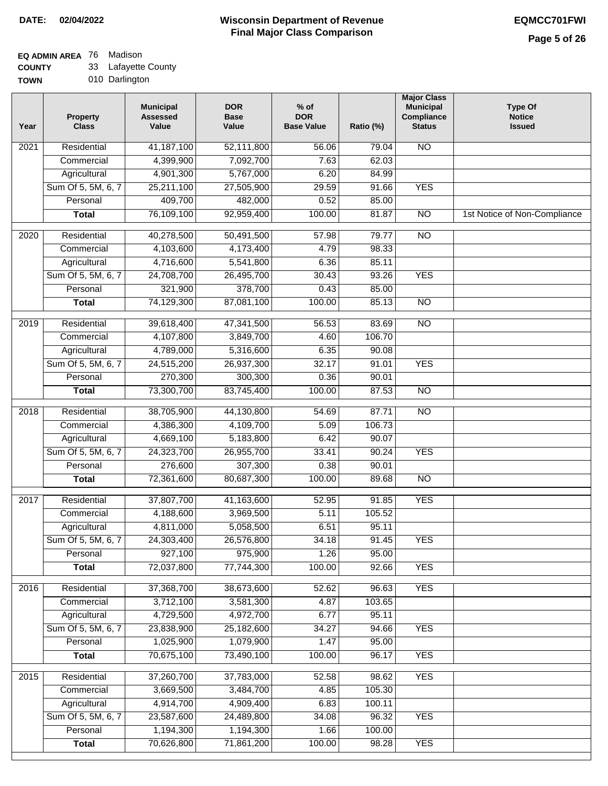## **EQ ADMIN AREA** 76 Madison

**COUNTY** 33 Lafayette County

**TOWN** 010 Darlington

| Year              | <b>Property</b><br><b>Class</b> | <b>Municipal</b><br><b>Assessed</b><br>Value | <b>DOR</b><br><b>Base</b><br>Value | $%$ of<br><b>DOR</b><br><b>Base Value</b> | Ratio (%) | <b>Major Class</b><br><b>Municipal</b><br>Compliance<br><b>Status</b> | <b>Type Of</b><br><b>Notice</b><br><b>Issued</b> |
|-------------------|---------------------------------|----------------------------------------------|------------------------------------|-------------------------------------------|-----------|-----------------------------------------------------------------------|--------------------------------------------------|
| $\overline{202}1$ | Residential                     | 41, 187, 100                                 | 52,111,800                         | 56.06                                     | 79.04     | <b>NO</b>                                                             |                                                  |
|                   | Commercial                      | 4,399,900                                    | 7,092,700                          | 7.63                                      | 62.03     |                                                                       |                                                  |
|                   | Agricultural                    | 4,901,300                                    | 5,767,000                          | 6.20                                      | 84.99     |                                                                       |                                                  |
|                   | Sum Of 5, 5M, 6, 7              | 25,211,100                                   | 27,505,900                         | 29.59                                     | 91.66     | <b>YES</b>                                                            |                                                  |
|                   | Personal                        | 409,700                                      | 482,000                            | 0.52                                      | 85.00     |                                                                       |                                                  |
|                   | <b>Total</b>                    | 76,109,100                                   | 92,959,400                         | 100.00                                    | 81.87     | $\overline{NO}$                                                       | 1st Notice of Non-Compliance                     |
| $\overline{2020}$ | Residential                     | 40,278,500                                   | 50,491,500                         | 57.98                                     | 79.77     | $\overline{10}$                                                       |                                                  |
|                   | Commercial                      | 4,103,600                                    | 4,173,400                          | 4.79                                      | 98.33     |                                                                       |                                                  |
|                   | Agricultural                    | 4,716,600                                    | 5,541,800                          | 6.36                                      | 85.11     |                                                                       |                                                  |
|                   | Sum Of 5, 5M, 6, 7              | 24,708,700                                   | 26,495,700                         | 30.43                                     | 93.26     | <b>YES</b>                                                            |                                                  |
|                   | Personal                        | 321,900                                      | 378,700                            | 0.43                                      | 85.00     |                                                                       |                                                  |
|                   | <b>Total</b>                    | 74,129,300                                   | 87,081,100                         | 100.00                                    | 85.13     | $\overline{NO}$                                                       |                                                  |
| 2019              | Residential                     | 39,618,400                                   | 47,341,500                         | 56.53                                     | 83.69     | $\overline{10}$                                                       |                                                  |
|                   | Commercial                      | 4,107,800                                    | 3,849,700                          | 4.60                                      | 106.70    |                                                                       |                                                  |
|                   | Agricultural                    | 4,789,000                                    | 5,316,600                          | 6.35                                      | 90.08     |                                                                       |                                                  |
|                   | Sum Of 5, 5M, 6, 7              | 24,515,200                                   | 26,937,300                         | 32.17                                     | 91.01     | <b>YES</b>                                                            |                                                  |
|                   | Personal                        | 270,300                                      | 300,300                            | 0.36                                      | 90.01     |                                                                       |                                                  |
|                   | <b>Total</b>                    | 73,300,700                                   | 83,745,400                         | 100.00                                    | 87.53     | $\overline{NO}$                                                       |                                                  |
| 2018              | Residential                     | 38,705,900                                   | 44,130,800                         | 54.69                                     | 87.71     | $\overline{10}$                                                       |                                                  |
|                   | Commercial                      | 4,386,300                                    | 4,109,700                          | 5.09                                      | 106.73    |                                                                       |                                                  |
|                   | Agricultural                    | 4,669,100                                    | 5,183,800                          | 6.42                                      | 90.07     |                                                                       |                                                  |
|                   | Sum Of 5, 5M, 6, 7              | 24,323,700                                   | 26,955,700                         | 33.41                                     | 90.24     | <b>YES</b>                                                            |                                                  |
|                   | Personal                        | 276,600                                      | 307,300                            | 0.38                                      | 90.01     |                                                                       |                                                  |
|                   | <b>Total</b>                    | 72,361,600                                   | 80,687,300                         | 100.00                                    | 89.68     | <b>NO</b>                                                             |                                                  |
| 2017              | Residential                     | 37,807,700                                   | 41,163,600                         | 52.95                                     | 91.85     | <b>YES</b>                                                            |                                                  |
|                   | Commercial                      | 4,188,600                                    | 3,969,500                          | 5.11                                      | 105.52    |                                                                       |                                                  |
|                   | Agricultural                    | 4,811,000                                    | 5,058,500                          | 6.51                                      | 95.11     |                                                                       |                                                  |
|                   | Sum Of 5, 5M, 6, 7              | 24,303,400                                   | 26,576,800                         | 34.18                                     | 91.45     | <b>YES</b>                                                            |                                                  |
|                   | Personal                        | 927,100                                      | 975,900                            | 1.26                                      | 95.00     |                                                                       |                                                  |
|                   | <b>Total</b>                    | 72,037,800                                   | 77,744,300                         | 100.00                                    | 92.66     | <b>YES</b>                                                            |                                                  |
| 2016              | Residential                     | 37,368,700                                   | 38,673,600                         | 52.62                                     | 96.63     | <b>YES</b>                                                            |                                                  |
|                   | Commercial                      | 3,712,100                                    | 3,581,300                          | 4.87                                      | 103.65    |                                                                       |                                                  |
|                   | Agricultural                    | 4,729,500                                    | 4,972,700                          | 6.77                                      | 95.11     |                                                                       |                                                  |
|                   | Sum Of 5, 5M, 6, 7              | 23,838,900                                   | 25,182,600                         | 34.27                                     | 94.66     | <b>YES</b>                                                            |                                                  |
|                   | Personal                        | 1,025,900                                    | 1,079,900                          | 1.47                                      | 95.00     |                                                                       |                                                  |
|                   | <b>Total</b>                    | 70,675,100                                   | 73,490,100                         | 100.00                                    | 96.17     | <b>YES</b>                                                            |                                                  |
| 2015              | Residential                     | 37,260,700                                   | 37,783,000                         | 52.58                                     | 98.62     | <b>YES</b>                                                            |                                                  |
|                   | Commercial                      | 3,669,500                                    | 3,484,700                          | 4.85                                      | 105.30    |                                                                       |                                                  |
|                   | Agricultural                    | 4,914,700                                    | 4,909,400                          | 6.83                                      | 100.11    |                                                                       |                                                  |
|                   | Sum Of 5, 5M, 6, 7              | 23,587,600                                   | 24,489,800                         | 34.08                                     | 96.32     | <b>YES</b>                                                            |                                                  |
|                   | Personal                        | 1,194,300                                    | 1,194,300                          | 1.66                                      | 100.00    |                                                                       |                                                  |
|                   | <b>Total</b>                    | 70,626,800                                   | 71,861,200                         | 100.00                                    | 98.28     | <b>YES</b>                                                            |                                                  |
|                   |                                 |                                              |                                    |                                           |           |                                                                       |                                                  |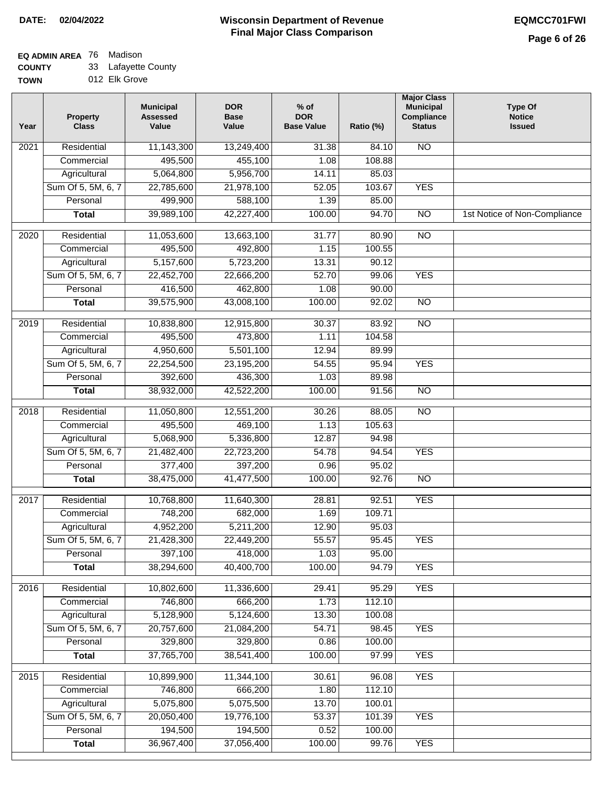### **EQ ADMIN AREA** 76 Madison

**COUNTY** 33 Lafayette County

**TOWN** 012 Elk Grove

| Year              | <b>Property</b><br><b>Class</b> | <b>Municipal</b><br><b>Assessed</b><br>Value | <b>DOR</b><br><b>Base</b><br>Value | % of<br><b>DOR</b><br><b>Base Value</b> | Ratio (%) | <b>Major Class</b><br><b>Municipal</b><br>Compliance<br><b>Status</b> | <b>Type Of</b><br><b>Notice</b><br><b>Issued</b> |
|-------------------|---------------------------------|----------------------------------------------|------------------------------------|-----------------------------------------|-----------|-----------------------------------------------------------------------|--------------------------------------------------|
| $\overline{202}1$ | Residential                     | 11,143,300                                   | 13,249,400                         | 31.38                                   | 84.10     | <b>NO</b>                                                             |                                                  |
|                   | Commercial                      | 495,500                                      | 455,100                            | 1.08                                    | 108.88    |                                                                       |                                                  |
|                   | Agricultural                    | 5,064,800                                    | 5,956,700                          | 14.11                                   | 85.03     |                                                                       |                                                  |
|                   | Sum Of 5, 5M, 6, 7              | 22,785,600                                   | 21,978,100                         | 52.05                                   | 103.67    | <b>YES</b>                                                            |                                                  |
|                   | Personal                        | 499,900                                      | 588,100                            | 1.39                                    | 85.00     |                                                                       |                                                  |
|                   | <b>Total</b>                    | 39,989,100                                   | 42,227,400                         | 100.00                                  | 94.70     | $\overline{NO}$                                                       | 1st Notice of Non-Compliance                     |
| $\overline{2020}$ | Residential                     | 11,053,600                                   | 13,663,100                         | 31.77                                   | 80.90     | $\overline{NO}$                                                       |                                                  |
|                   | Commercial                      | 495,500                                      | 492,800                            | 1.15                                    | 100.55    |                                                                       |                                                  |
|                   | Agricultural                    | 5,157,600                                    | 5,723,200                          | 13.31                                   | 90.12     |                                                                       |                                                  |
|                   | Sum Of 5, 5M, 6, 7              | 22,452,700                                   | 22,666,200                         | 52.70                                   | 99.06     | <b>YES</b>                                                            |                                                  |
|                   | Personal                        | 416,500                                      | 462,800                            | 1.08                                    | 90.00     |                                                                       |                                                  |
|                   | <b>Total</b>                    | 39,575,900                                   | 43,008,100                         | 100.00                                  | 92.02     | $\overline{NO}$                                                       |                                                  |
| 2019              | Residential                     | 10,838,800                                   | 12,915,800                         | 30.37                                   | 83.92     | $\overline{3}$                                                        |                                                  |
|                   | Commercial                      | 495,500                                      | 473,800                            | 1.11                                    | 104.58    |                                                                       |                                                  |
|                   | Agricultural                    | 4,950,600                                    | 5,501,100                          | 12.94                                   | 89.99     |                                                                       |                                                  |
|                   | Sum Of 5, 5M, 6, 7              | 22,254,500                                   | 23,195,200                         | 54.55                                   | 95.94     | <b>YES</b>                                                            |                                                  |
|                   | Personal                        | 392,600                                      | 436,300                            | 1.03                                    | 89.98     |                                                                       |                                                  |
|                   | <b>Total</b>                    | 38,932,000                                   | 42,522,200                         | 100.00                                  | 91.56     | $\overline{NO}$                                                       |                                                  |
| 2018              | Residential                     | 11,050,800                                   | 12,551,200                         | 30.26                                   | 88.05     | $\overline{10}$                                                       |                                                  |
|                   | Commercial                      | 495,500                                      | 469,100                            | 1.13                                    | 105.63    |                                                                       |                                                  |
|                   | Agricultural                    | 5,068,900                                    | 5,336,800                          | 12.87                                   | 94.98     |                                                                       |                                                  |
|                   | Sum Of 5, 5M, 6, 7              | 21,482,400                                   | 22,723,200                         | 54.78                                   | 94.54     | <b>YES</b>                                                            |                                                  |
|                   | Personal                        | 377,400                                      | 397,200                            | 0.96                                    | 95.02     |                                                                       |                                                  |
|                   | <b>Total</b>                    | 38,475,000                                   | 41,477,500                         | 100.00                                  | 92.76     | <b>NO</b>                                                             |                                                  |
| $\overline{2017}$ | Residential                     | 10,768,800                                   | 11,640,300                         | 28.81                                   | 92.51     | <b>YES</b>                                                            |                                                  |
|                   | Commercial                      | 748,200                                      | 682,000                            | 1.69                                    | 109.71    |                                                                       |                                                  |
|                   | Agricultural                    | 4,952,200                                    | 5,211,200                          | 12.90                                   | 95.03     |                                                                       |                                                  |
|                   | Sum Of 5, 5M, 6, 7              | 21,428,300                                   | 22,449,200                         | 55.57                                   | 95.45     | <b>YES</b>                                                            |                                                  |
|                   | Personal                        | 397,100                                      | 418,000                            | 1.03                                    | 95.00     |                                                                       |                                                  |
|                   | <b>Total</b>                    | 38,294,600                                   | 40,400,700                         | 100.00                                  | 94.79     | <b>YES</b>                                                            |                                                  |
| 2016              | Residential                     | 10,802,600                                   | 11,336,600                         | 29.41                                   | 95.29     | <b>YES</b>                                                            |                                                  |
|                   | Commercial                      | 746,800                                      | 666,200                            | 1.73                                    | 112.10    |                                                                       |                                                  |
|                   | Agricultural                    | 5,128,900                                    | 5,124,600                          | 13.30                                   | 100.08    |                                                                       |                                                  |
|                   | Sum Of 5, 5M, 6, 7              | 20,757,600                                   | 21,084,200                         | 54.71                                   | 98.45     | <b>YES</b>                                                            |                                                  |
|                   | Personal                        | 329,800                                      | 329,800                            | 0.86                                    | 100.00    |                                                                       |                                                  |
|                   | <b>Total</b>                    | 37,765,700                                   | 38,541,400                         | 100.00                                  | 97.99     | <b>YES</b>                                                            |                                                  |
| 2015              | Residential                     | 10,899,900                                   | 11,344,100                         | 30.61                                   | 96.08     | <b>YES</b>                                                            |                                                  |
|                   | Commercial                      | 746,800                                      | 666,200                            | 1.80                                    | 112.10    |                                                                       |                                                  |
|                   | Agricultural                    | 5,075,800                                    | 5,075,500                          | 13.70                                   | 100.01    |                                                                       |                                                  |
|                   | Sum Of 5, 5M, 6, 7              | 20,050,400                                   | 19,776,100                         | 53.37                                   | 101.39    | <b>YES</b>                                                            |                                                  |
|                   | Personal                        | 194,500                                      | 194,500                            | 0.52                                    | 100.00    |                                                                       |                                                  |
|                   | <b>Total</b>                    | 36,967,400                                   | 37,056,400                         | 100.00                                  | 99.76     | <b>YES</b>                                                            |                                                  |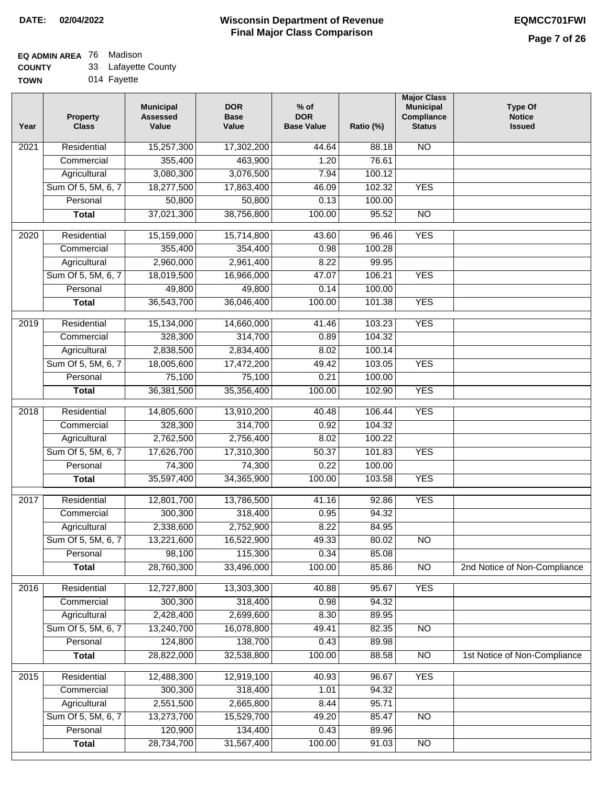### **EQ ADMIN AREA** 76 Madison

**COUNTY** 33 Lafayette County

**TOWN** 014 Fayette

| Year | <b>Property</b><br><b>Class</b> | <b>Municipal</b><br><b>Assessed</b><br>Value | <b>DOR</b><br><b>Base</b><br>Value | $%$ of<br><b>DOR</b><br><b>Base Value</b> | Ratio (%) | <b>Major Class</b><br><b>Municipal</b><br>Compliance<br><b>Status</b> | <b>Type Of</b><br><b>Notice</b><br><b>Issued</b> |
|------|---------------------------------|----------------------------------------------|------------------------------------|-------------------------------------------|-----------|-----------------------------------------------------------------------|--------------------------------------------------|
| 2021 | Residential                     | 15,257,300                                   | 17,302,200                         | 44.64                                     | 88.18     | <b>NO</b>                                                             |                                                  |
|      | Commercial                      | 355,400                                      | 463,900                            | 1.20                                      | 76.61     |                                                                       |                                                  |
|      | Agricultural                    | 3,080,300                                    | 3,076,500                          | 7.94                                      | 100.12    |                                                                       |                                                  |
|      | Sum Of 5, 5M, 6, 7              | 18,277,500                                   | 17,863,400                         | 46.09                                     | 102.32    | <b>YES</b>                                                            |                                                  |
|      | Personal                        | 50,800                                       | 50,800                             | 0.13                                      | 100.00    |                                                                       |                                                  |
|      | <b>Total</b>                    | 37,021,300                                   | 38,756,800                         | 100.00                                    | 95.52     | $\overline{NO}$                                                       |                                                  |
| 2020 | Residential                     | 15,159,000                                   | 15,714,800                         | 43.60                                     | 96.46     | <b>YES</b>                                                            |                                                  |
|      | Commercial                      | 355,400                                      | 354,400                            | 0.98                                      | 100.28    |                                                                       |                                                  |
|      | Agricultural                    | 2,960,000                                    | 2,961,400                          | 8.22                                      | 99.95     |                                                                       |                                                  |
|      | Sum Of 5, 5M, 6, 7              | 18,019,500                                   | 16,966,000                         | 47.07                                     | 106.21    | <b>YES</b>                                                            |                                                  |
|      | Personal                        | 49,800                                       | 49,800                             | 0.14                                      | 100.00    |                                                                       |                                                  |
|      | <b>Total</b>                    | 36,543,700                                   | 36,046,400                         | 100.00                                    | 101.38    | <b>YES</b>                                                            |                                                  |
| 2019 | Residential                     | 15,134,000                                   | 14,660,000                         | 41.46                                     | 103.23    | <b>YES</b>                                                            |                                                  |
|      | Commercial                      | 328,300                                      | 314,700                            | 0.89                                      | 104.32    |                                                                       |                                                  |
|      | Agricultural                    | 2,838,500                                    | 2,834,400                          | 8.02                                      | 100.14    |                                                                       |                                                  |
|      | Sum Of 5, 5M, 6, 7              | 18,005,600                                   | 17,472,200                         | 49.42                                     | 103.05    | <b>YES</b>                                                            |                                                  |
|      | Personal                        | 75,100                                       | 75,100                             | 0.21                                      | 100.00    |                                                                       |                                                  |
|      | <b>Total</b>                    | 36,381,500                                   | 35,356,400                         | 100.00                                    | 102.90    | <b>YES</b>                                                            |                                                  |
| 2018 | Residential                     | 14,805,600                                   | 13,910,200                         | 40.48                                     | 106.44    | <b>YES</b>                                                            |                                                  |
|      | Commercial                      | 328,300                                      | 314,700                            | 0.92                                      | 104.32    |                                                                       |                                                  |
|      | Agricultural                    | 2,762,500                                    | 2,756,400                          | 8.02                                      | 100.22    |                                                                       |                                                  |
|      | Sum Of 5, 5M, 6, 7              | 17,626,700                                   | 17,310,300                         | 50.37                                     | 101.83    | <b>YES</b>                                                            |                                                  |
|      | Personal                        | 74,300                                       | 74,300                             | 0.22                                      | 100.00    |                                                                       |                                                  |
|      | <b>Total</b>                    | 35,597,400                                   | 34,365,900                         | 100.00                                    | 103.58    | <b>YES</b>                                                            |                                                  |
| 2017 | Residential                     | 12,801,700                                   | 13,786,500                         | 41.16                                     | 92.86     | <b>YES</b>                                                            |                                                  |
|      | Commercial                      | 300,300                                      | 318,400                            | 0.95                                      | 94.32     |                                                                       |                                                  |
|      | Agricultural                    | 2,338,600                                    | 2,752,900                          | 8.22                                      | 84.95     |                                                                       |                                                  |
|      | Sum Of 5, 5M, 6, 7              | 13,221,600                                   | 16,522,900                         | 49.33                                     | 80.02     | <b>NO</b>                                                             |                                                  |
|      | Personal                        | 98,100                                       | 115,300                            | 0.34                                      | 85.08     |                                                                       |                                                  |
|      | <b>Total</b>                    | 28,760,300                                   | 33,496,000                         | 100.00                                    | 85.86     | <b>NO</b>                                                             | 2nd Notice of Non-Compliance                     |
| 2016 | Residential                     | 12,727,800                                   | 13,303,300                         | 40.88                                     | 95.67     | <b>YES</b>                                                            |                                                  |
|      | Commercial                      | 300,300                                      | 318,400                            | 0.98                                      | 94.32     |                                                                       |                                                  |
|      | Agricultural                    | 2,428,400                                    | 2,699,600                          | 8.30                                      | 89.95     |                                                                       |                                                  |
|      | Sum Of 5, 5M, 6, 7              | 13,240,700                                   | 16,078,800                         | 49.41                                     | 82.35     | $\overline{NO}$                                                       |                                                  |
|      | Personal                        | 124,800                                      | 138,700                            | 0.43                                      | 89.98     |                                                                       |                                                  |
|      | <b>Total</b>                    | 28,822,000                                   | 32,538,800                         | 100.00                                    | 88.58     | $\overline{NO}$                                                       | 1st Notice of Non-Compliance                     |
| 2015 | Residential                     | 12,488,300                                   | 12,919,100                         | 40.93                                     | 96.67     | <b>YES</b>                                                            |                                                  |
|      | Commercial                      | 300,300                                      | 318,400                            | 1.01                                      | 94.32     |                                                                       |                                                  |
|      | Agricultural                    | 2,551,500                                    | 2,665,800                          | 8.44                                      | 95.71     |                                                                       |                                                  |
|      | Sum Of 5, 5M, 6, 7              | 13,273,700                                   | 15,529,700                         | 49.20                                     | 85.47     | <b>NO</b>                                                             |                                                  |
|      | Personal                        | 120,900                                      | 134,400                            | 0.43                                      | 89.96     |                                                                       |                                                  |
|      | <b>Total</b>                    | 28,734,700                                   | 31,567,400                         | 100.00                                    | 91.03     | N <sub>O</sub>                                                        |                                                  |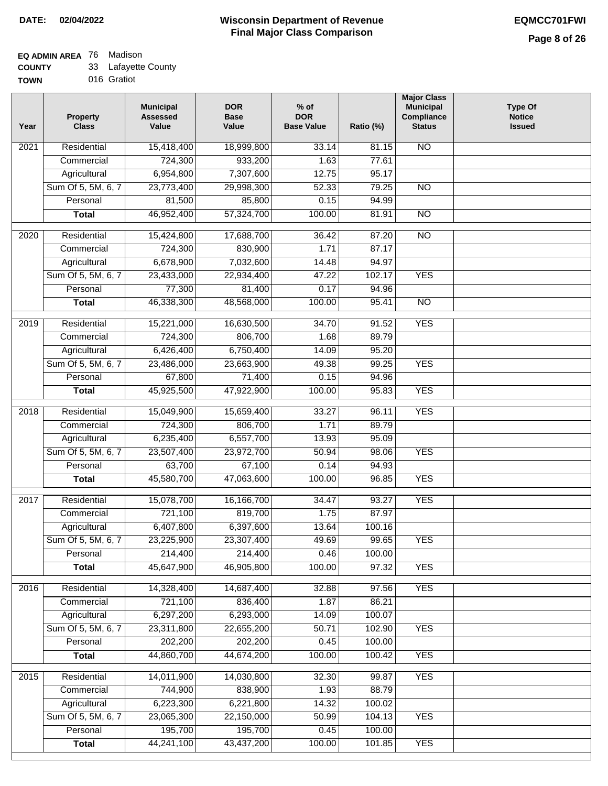### **EQ ADMIN AREA** 76 Madison

| 33<br><b>COUNTY</b> | Lafayette County |
|---------------------|------------------|
|---------------------|------------------|

**TOWN** 016 Gratiot

| Year              | <b>Property</b><br><b>Class</b> | <b>Municipal</b><br><b>Assessed</b><br>Value | <b>DOR</b><br><b>Base</b><br>Value | $%$ of<br><b>DOR</b><br><b>Base Value</b> | Ratio (%) | <b>Major Class</b><br><b>Municipal</b><br>Compliance<br><b>Status</b> | <b>Type Of</b><br><b>Notice</b><br><b>Issued</b> |
|-------------------|---------------------------------|----------------------------------------------|------------------------------------|-------------------------------------------|-----------|-----------------------------------------------------------------------|--------------------------------------------------|
| $\overline{202}1$ | Residential                     | 15,418,400                                   | 18,999,800                         | 33.14                                     | 81.15     | <b>NO</b>                                                             |                                                  |
|                   | Commercial                      | 724,300                                      | 933,200                            | 1.63                                      | 77.61     |                                                                       |                                                  |
|                   | Agricultural                    | 6,954,800                                    | 7,307,600                          | 12.75                                     | 95.17     |                                                                       |                                                  |
|                   | Sum Of 5, 5M, 6, 7              | 23,773,400                                   | 29,998,300                         | 52.33                                     | 79.25     | $\overline{NO}$                                                       |                                                  |
|                   | Personal                        | 81,500                                       | 85,800                             | 0.15                                      | 94.99     |                                                                       |                                                  |
|                   | <b>Total</b>                    | 46,952,400                                   | 57,324,700                         | 100.00                                    | 81.91     | $\overline{NO}$                                                       |                                                  |
| $\overline{2020}$ | Residential                     | 15,424,800                                   | 17,688,700                         | 36.42                                     | 87.20     | $\overline{10}$                                                       |                                                  |
|                   | Commercial                      | 724,300                                      | 830,900                            | 1.71                                      | 87.17     |                                                                       |                                                  |
|                   | Agricultural                    | 6,678,900                                    | 7,032,600                          | 14.48                                     | 94.97     |                                                                       |                                                  |
|                   | Sum Of 5, 5M, 6, 7              | 23,433,000                                   | 22,934,400                         | 47.22                                     | 102.17    | <b>YES</b>                                                            |                                                  |
|                   | Personal                        | 77,300                                       | 81,400                             | 0.17                                      | 94.96     |                                                                       |                                                  |
|                   | <b>Total</b>                    | 46,338,300                                   | 48,568,000                         | 100.00                                    | 95.41     | $\overline{NO}$                                                       |                                                  |
| 2019              | Residential                     | 15,221,000                                   | 16,630,500                         | 34.70                                     | 91.52     | <b>YES</b>                                                            |                                                  |
|                   | Commercial                      | 724,300                                      | 806,700                            | 1.68                                      | 89.79     |                                                                       |                                                  |
|                   | Agricultural                    | 6,426,400                                    | 6,750,400                          | 14.09                                     | 95.20     |                                                                       |                                                  |
|                   | Sum Of 5, 5M, 6, 7              | 23,486,000                                   | 23,663,900                         | 49.38                                     | 99.25     | <b>YES</b>                                                            |                                                  |
|                   | Personal                        | 67,800                                       | 71,400                             | 0.15                                      | 94.96     |                                                                       |                                                  |
|                   | <b>Total</b>                    | 45,925,500                                   | 47,922,900                         | 100.00                                    | 95.83     | <b>YES</b>                                                            |                                                  |
| 2018              | Residential                     | 15,049,900                                   | 15,659,400                         | 33.27                                     | 96.11     | <b>YES</b>                                                            |                                                  |
|                   | Commercial                      | 724,300                                      | 806,700                            | 1.71                                      | 89.79     |                                                                       |                                                  |
|                   | Agricultural                    | 6,235,400                                    | 6,557,700                          | 13.93                                     | 95.09     |                                                                       |                                                  |
|                   | Sum Of 5, 5M, 6, 7              | 23,507,400                                   | 23,972,700                         | 50.94                                     | 98.06     | <b>YES</b>                                                            |                                                  |
|                   | Personal                        | 63,700                                       | 67,100                             | 0.14                                      | 94.93     |                                                                       |                                                  |
|                   | <b>Total</b>                    | 45,580,700                                   | 47,063,600                         | 100.00                                    | 96.85     | <b>YES</b>                                                            |                                                  |
|                   |                                 |                                              |                                    |                                           |           |                                                                       |                                                  |
| 2017              | Residential                     | 15,078,700                                   | 16,166,700                         | 34.47                                     | 93.27     | <b>YES</b>                                                            |                                                  |
|                   | Commercial                      | 721,100                                      | 819,700                            | 1.75                                      | 87.97     |                                                                       |                                                  |
|                   | Agricultural                    | 6,407,800                                    | 6,397,600                          | 13.64                                     | 100.16    |                                                                       |                                                  |
|                   | Sum Of 5, 5M, 6, 7              | 23,225,900                                   | 23,307,400                         | 49.69                                     | 99.65     | <b>YES</b>                                                            |                                                  |
|                   | Personal                        | 214,400                                      | 214,400                            | 0.46                                      | 100.00    |                                                                       |                                                  |
|                   | <b>Total</b>                    | 45,647,900                                   | 46,905,800                         | 100.00                                    | 97.32     | <b>YES</b>                                                            |                                                  |
| 2016              | Residential                     | 14,328,400                                   | 14,687,400                         | 32.88                                     | 97.56     | <b>YES</b>                                                            |                                                  |
|                   | Commercial                      | 721,100                                      | 836,400                            | 1.87                                      | 86.21     |                                                                       |                                                  |
|                   | Agricultural                    | 6,297,200                                    | 6,293,000                          | 14.09                                     | 100.07    |                                                                       |                                                  |
|                   | Sum Of 5, 5M, 6, 7              | 23,311,800                                   | 22,655,200                         | 50.71                                     | 102.90    | <b>YES</b>                                                            |                                                  |
|                   | Personal                        | 202,200                                      | 202,200                            | 0.45                                      | 100.00    |                                                                       |                                                  |
|                   | <b>Total</b>                    | 44,860,700                                   | 44,674,200                         | 100.00                                    | 100.42    | <b>YES</b>                                                            |                                                  |
| 2015              | Residential                     | 14,011,900                                   | 14,030,800                         | 32.30                                     | 99.87     | <b>YES</b>                                                            |                                                  |
|                   | Commercial                      | 744,900                                      | 838,900                            | 1.93                                      | 88.79     |                                                                       |                                                  |
|                   | Agricultural                    | 6,223,300                                    | 6,221,800                          | 14.32                                     | 100.02    |                                                                       |                                                  |
|                   | Sum Of 5, 5M, 6, 7              | 23,065,300                                   | 22,150,000                         | 50.99                                     | 104.13    | <b>YES</b>                                                            |                                                  |
|                   | Personal                        | 195,700                                      | 195,700                            | 0.45                                      | 100.00    |                                                                       |                                                  |
|                   | <b>Total</b>                    | 44,241,100                                   | 43,437,200                         | 100.00                                    | 101.85    | <b>YES</b>                                                            |                                                  |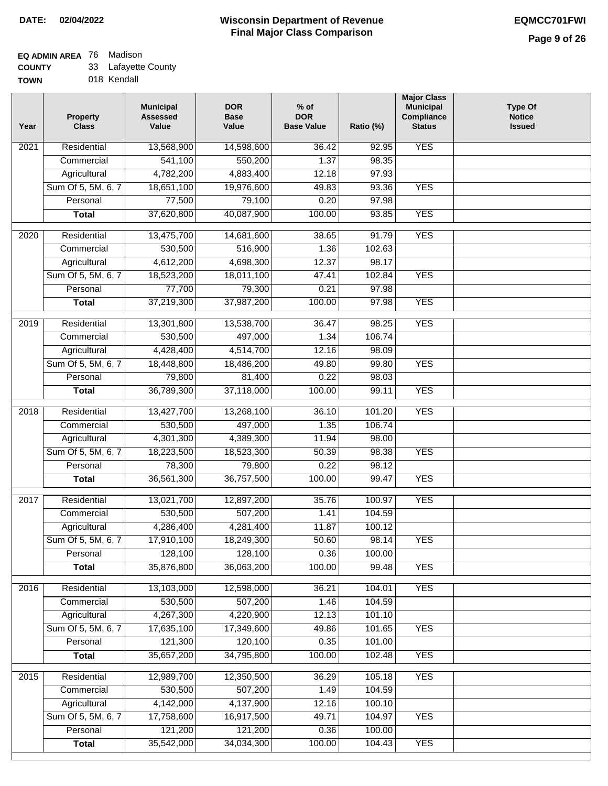### **EQ ADMIN AREA** 76 Madison

| 33<br><b>COUNTY</b> | Lafayette County |
|---------------------|------------------|
|---------------------|------------------|

**TOWN** 018 Kendall

| Year             | <b>Property</b><br><b>Class</b> | <b>Municipal</b><br><b>Assessed</b><br>Value | <b>DOR</b><br><b>Base</b><br>Value | $%$ of<br><b>DOR</b><br><b>Base Value</b> | Ratio (%) | <b>Major Class</b><br><b>Municipal</b><br>Compliance<br><b>Status</b> | <b>Type Of</b><br><b>Notice</b><br><b>Issued</b> |
|------------------|---------------------------------|----------------------------------------------|------------------------------------|-------------------------------------------|-----------|-----------------------------------------------------------------------|--------------------------------------------------|
| 2021             | Residential                     | 13,568,900                                   | 14,598,600                         | 36.42                                     | 92.95     | <b>YES</b>                                                            |                                                  |
|                  | Commercial                      | 541,100                                      | 550,200                            | 1.37                                      | 98.35     |                                                                       |                                                  |
|                  | Agricultural                    | 4,782,200                                    | 4,883,400                          | 12.18                                     | 97.93     |                                                                       |                                                  |
|                  | Sum Of 5, 5M, 6, 7              | 18,651,100                                   | 19,976,600                         | 49.83                                     | 93.36     | <b>YES</b>                                                            |                                                  |
|                  | Personal                        | 77,500                                       | 79,100                             | 0.20                                      | 97.98     |                                                                       |                                                  |
|                  | <b>Total</b>                    | 37,620,800                                   | 40,087,900                         | 100.00                                    | 93.85     | <b>YES</b>                                                            |                                                  |
| 2020             | Residential                     | 13,475,700                                   | 14,681,600                         | 38.65                                     | 91.79     | <b>YES</b>                                                            |                                                  |
|                  | Commercial                      | 530,500                                      | 516,900                            | 1.36                                      | 102.63    |                                                                       |                                                  |
|                  | Agricultural                    | 4,612,200                                    | 4,698,300                          | 12.37                                     | 98.17     |                                                                       |                                                  |
|                  | Sum Of 5, 5M, 6, 7              | 18,523,200                                   | 18,011,100                         | 47.41                                     | 102.84    | <b>YES</b>                                                            |                                                  |
|                  | Personal                        | 77,700                                       | 79,300                             | 0.21                                      | 97.98     |                                                                       |                                                  |
|                  | <b>Total</b>                    | 37,219,300                                   | 37,987,200                         | 100.00                                    | 97.98     | <b>YES</b>                                                            |                                                  |
| $\frac{1}{2019}$ | Residential                     | 13,301,800                                   | 13,538,700                         | 36.47                                     | 98.25     | <b>YES</b>                                                            |                                                  |
|                  | Commercial                      | 530,500                                      | 497,000                            | 1.34                                      | 106.74    |                                                                       |                                                  |
|                  | Agricultural                    | 4,428,400                                    | 4,514,700                          | 12.16                                     | 98.09     |                                                                       |                                                  |
|                  | Sum Of 5, 5M, 6, 7              | 18,448,800                                   | 18,486,200                         | 49.80                                     | 99.80     | <b>YES</b>                                                            |                                                  |
|                  | Personal                        | 79,800                                       | 81,400                             | 0.22                                      | 98.03     |                                                                       |                                                  |
|                  | <b>Total</b>                    | 36,789,300                                   | 37,118,000                         | 100.00                                    | 99.11     | <b>YES</b>                                                            |                                                  |
| 2018             | Residential                     | 13,427,700                                   | 13,268,100                         | 36.10                                     | 101.20    | <b>YES</b>                                                            |                                                  |
|                  | Commercial                      | 530,500                                      | 497,000                            | 1.35                                      | 106.74    |                                                                       |                                                  |
|                  | Agricultural                    | 4,301,300                                    | 4,389,300                          | 11.94                                     | 98.00     |                                                                       |                                                  |
|                  | Sum Of 5, 5M, 6, 7              | 18,223,500                                   | 18,523,300                         | 50.39                                     | 98.38     | <b>YES</b>                                                            |                                                  |
|                  | Personal                        | 78,300                                       | 79,800                             | 0.22                                      | 98.12     |                                                                       |                                                  |
|                  | <b>Total</b>                    | 36,561,300                                   | 36,757,500                         | 100.00                                    | 99.47     | <b>YES</b>                                                            |                                                  |
| 2017             | Residential                     | 13,021,700                                   | 12,897,200                         | 35.76                                     | 100.97    | <b>YES</b>                                                            |                                                  |
|                  | Commercial                      | 530,500                                      | 507,200                            | 1.41                                      | 104.59    |                                                                       |                                                  |
|                  | Agricultural                    | 4,286,400                                    | 4,281,400                          | 11.87                                     | 100.12    |                                                                       |                                                  |
|                  | Sum Of 5, 5M, 6, 7              | 17,910,100                                   | 18,249,300                         | 50.60                                     | 98.14     | <b>YES</b>                                                            |                                                  |
|                  | Personal                        | 128,100                                      | 128,100                            | 0.36                                      | 100.00    |                                                                       |                                                  |
|                  | <b>Total</b>                    | 35,876,800                                   | 36,063,200                         | 100.00                                    | 99.48     | <b>YES</b>                                                            |                                                  |
|                  |                                 |                                              |                                    |                                           |           |                                                                       |                                                  |
| 2016             | Residential                     | 13,103,000                                   | 12,598,000                         | 36.21                                     | 104.01    | <b>YES</b>                                                            |                                                  |
|                  | Commercial                      | 530,500                                      | 507,200                            | 1.46                                      | 104.59    |                                                                       |                                                  |
|                  | Agricultural                    | 4,267,300                                    | 4,220,900                          | 12.13                                     | 101.10    |                                                                       |                                                  |
|                  | Sum Of 5, 5M, 6, 7              | 17,635,100                                   | 17,349,600                         | 49.86                                     | 101.65    | <b>YES</b>                                                            |                                                  |
|                  | Personal                        | 121,300                                      | 120,100                            | 0.35                                      | 101.00    |                                                                       |                                                  |
|                  | <b>Total</b>                    | 35,657,200                                   | 34,795,800                         | 100.00                                    | 102.48    | <b>YES</b>                                                            |                                                  |
| 2015             | Residential                     | 12,989,700                                   | 12,350,500                         | 36.29                                     | 105.18    | <b>YES</b>                                                            |                                                  |
|                  | Commercial                      | 530,500                                      | 507,200                            | 1.49                                      | 104.59    |                                                                       |                                                  |
|                  | Agricultural                    | 4,142,000                                    | 4,137,900                          | 12.16                                     | 100.10    |                                                                       |                                                  |
|                  | Sum Of 5, 5M, 6, 7              | 17,758,600                                   | 16,917,500                         | 49.71                                     | 104.97    | <b>YES</b>                                                            |                                                  |
|                  | Personal                        | 121,200                                      | 121,200                            | 0.36                                      | 100.00    |                                                                       |                                                  |
|                  | <b>Total</b>                    | 35,542,000                                   | 34,034,300                         | 100.00                                    | 104.43    | <b>YES</b>                                                            |                                                  |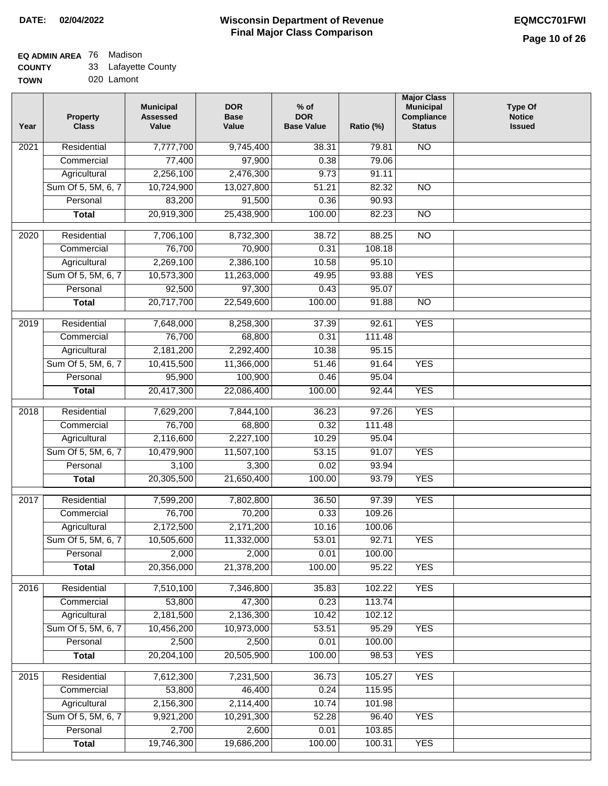## **EQ ADMIN AREA** 76 Madison

**COUNTY TOWN** 33 Lafayette County

020 Lamont

| Year              | <b>Property</b><br><b>Class</b> | <b>Municipal</b><br><b>Assessed</b><br>Value | <b>DOR</b><br><b>Base</b><br>Value | $%$ of<br><b>DOR</b><br><b>Base Value</b> | Ratio (%) | <b>Major Class</b><br><b>Municipal</b><br>Compliance<br><b>Status</b> | <b>Type Of</b><br><b>Notice</b><br><b>Issued</b> |
|-------------------|---------------------------------|----------------------------------------------|------------------------------------|-------------------------------------------|-----------|-----------------------------------------------------------------------|--------------------------------------------------|
| $\overline{20}21$ | Residential                     | 7,777,700                                    | 9,745,400                          | 38.31                                     | 79.81     | N <sub>O</sub>                                                        |                                                  |
|                   | Commercial                      | 77,400                                       | 97,900                             | 0.38                                      | 79.06     |                                                                       |                                                  |
|                   | Agricultural                    | 2,256,100                                    | 2,476,300                          | 9.73                                      | 91.11     |                                                                       |                                                  |
|                   | Sum Of 5, 5M, 6, 7              | 10,724,900                                   | 13,027,800                         | 51.21                                     | 82.32     | $\overline{NO}$                                                       |                                                  |
|                   | Personal                        | 83,200                                       | 91,500                             | 0.36                                      | 90.93     |                                                                       |                                                  |
|                   | <b>Total</b>                    | 20,919,300                                   | 25,438,900                         | 100.00                                    | 82.23     | <b>NO</b>                                                             |                                                  |
| 2020              | Residential                     | 7,706,100                                    | 8,732,300                          | 38.72                                     | 88.25     | $\overline{10}$                                                       |                                                  |
|                   | Commercial                      | 76,700                                       | 70,900                             | 0.31                                      | 108.18    |                                                                       |                                                  |
|                   | Agricultural                    | 2,269,100                                    | 2,386,100                          | 10.58                                     | 95.10     |                                                                       |                                                  |
|                   | Sum Of 5, 5M, 6, 7              | 10,573,300                                   | 11,263,000                         | 49.95                                     | 93.88     | <b>YES</b>                                                            |                                                  |
|                   | Personal                        | 92,500                                       | 97,300                             | 0.43                                      | 95.07     |                                                                       |                                                  |
|                   | <b>Total</b>                    | 20,717,700                                   | 22,549,600                         | 100.00                                    | 91.88     | $\overline{NO}$                                                       |                                                  |
| 2019              | Residential                     | 7,648,000                                    | 8,258,300                          | 37.39                                     | 92.61     | <b>YES</b>                                                            |                                                  |
|                   | Commercial                      | 76,700                                       | 68,800                             | 0.31                                      | 111.48    |                                                                       |                                                  |
|                   | Agricultural                    | 2,181,200                                    | 2,292,400                          | 10.38                                     | 95.15     |                                                                       |                                                  |
|                   | Sum Of 5, 5M, 6, 7              | 10,415,500                                   | 11,366,000                         | 51.46                                     | 91.64     | <b>YES</b>                                                            |                                                  |
|                   | Personal                        | 95,900                                       | 100,900                            | 0.46                                      | 95.04     |                                                                       |                                                  |
|                   | <b>Total</b>                    | 20,417,300                                   | 22,086,400                         | 100.00                                    | 92.44     | <b>YES</b>                                                            |                                                  |
| 2018              | Residential                     | 7,629,200                                    | 7,844,100                          | 36.23                                     | 97.26     | <b>YES</b>                                                            |                                                  |
|                   | Commercial                      | 76,700                                       | 68,800                             | 0.32                                      | 111.48    |                                                                       |                                                  |
|                   | Agricultural                    | 2,116,600                                    | 2,227,100                          | 10.29                                     | 95.04     |                                                                       |                                                  |
|                   | Sum Of 5, 5M, 6, 7              | 10,479,900                                   | 11,507,100                         | 53.15                                     | 91.07     | <b>YES</b>                                                            |                                                  |
|                   | Personal                        | 3,100                                        | 3,300                              | 0.02                                      | 93.94     |                                                                       |                                                  |
|                   | <b>Total</b>                    | 20,305,500                                   | 21,650,400                         | 100.00                                    | 93.79     | <b>YES</b>                                                            |                                                  |
| $\overline{2017}$ | Residential                     | 7,599,200                                    | 7,802,800                          | 36.50                                     | 97.39     | <b>YES</b>                                                            |                                                  |
|                   | Commercial                      | 76,700                                       | 70,200                             | 0.33                                      | 109.26    |                                                                       |                                                  |
|                   | Agricultural                    | 2,172,500                                    | 2,171,200                          | 10.16                                     | 100.06    |                                                                       |                                                  |
|                   | Sum Of 5, 5M, 6, 7              | 10,505,600                                   | 11,332,000                         | 53.01                                     | 92.71     | <b>YES</b>                                                            |                                                  |
|                   | Personal                        | 2,000                                        | 2,000                              | 0.01                                      | 100.00    |                                                                       |                                                  |
|                   | <b>Total</b>                    | 20,356,000                                   | 21,378,200                         | 100.00                                    | 95.22     | <b>YES</b>                                                            |                                                  |
| 2016              | Residential                     | 7,510,100                                    | 7,346,800                          | 35.83                                     | 102.22    | <b>YES</b>                                                            |                                                  |
|                   | Commercial                      | 53,800                                       | 47,300                             | 0.23                                      | 113.74    |                                                                       |                                                  |
|                   | Agricultural                    | 2,181,500                                    | 2,136,300                          | 10.42                                     | 102.12    |                                                                       |                                                  |
|                   | Sum Of 5, 5M, 6, 7              | 10,456,200                                   | 10,973,000                         | 53.51                                     | 95.29     | <b>YES</b>                                                            |                                                  |
|                   | Personal                        | 2,500                                        | 2,500                              | 0.01                                      | 100.00    |                                                                       |                                                  |
|                   | <b>Total</b>                    | 20,204,100                                   | 20,505,900                         | 100.00                                    | 98.53     | <b>YES</b>                                                            |                                                  |
| 2015              | Residential                     | 7,612,300                                    | 7,231,500                          | 36.73                                     | 105.27    | <b>YES</b>                                                            |                                                  |
|                   | Commercial                      | 53,800                                       | 46,400                             | 0.24                                      | 115.95    |                                                                       |                                                  |
|                   | Agricultural                    | 2,156,300                                    | 2,114,400                          | 10.74                                     | 101.98    |                                                                       |                                                  |
|                   | Sum Of 5, 5M, 6, 7              | 9,921,200                                    | 10,291,300                         | 52.28                                     | 96.40     | <b>YES</b>                                                            |                                                  |
|                   | Personal                        | 2,700                                        | 2,600                              | 0.01                                      | 103.85    |                                                                       |                                                  |
|                   | <b>Total</b>                    | 19,746,300                                   | 19,686,200                         | 100.00                                    | 100.31    | <b>YES</b>                                                            |                                                  |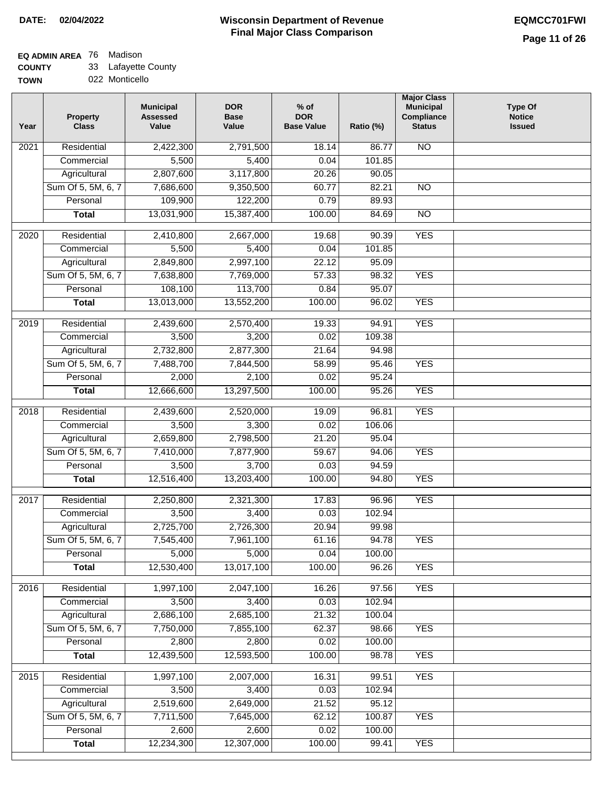$\Box$ 

#### **Wisconsin Department of Revenue Final Major Class Comparison DATE: 02/04/2022 EQMCC701FWI**

## **EQ ADMIN AREA** 76 Madison

**COUNTY** 33 Lafayette County

**TOWN** 022 Monticello

| Year | <b>Property</b><br><b>Class</b> | <b>Municipal</b><br><b>Assessed</b><br>Value | <b>DOR</b><br><b>Base</b><br>Value | $%$ of<br><b>DOR</b><br><b>Base Value</b> | Ratio (%) | <b>Major Class</b><br><b>Municipal</b><br>Compliance<br><b>Status</b> | <b>Type Of</b><br><b>Notice</b><br><b>Issued</b> |
|------|---------------------------------|----------------------------------------------|------------------------------------|-------------------------------------------|-----------|-----------------------------------------------------------------------|--------------------------------------------------|
| 2021 | Residential                     | 2,422,300                                    | 2,791,500                          | 18.14                                     | 86.77     | <b>NO</b>                                                             |                                                  |
|      | Commercial                      | 5,500                                        | 5,400                              | 0.04                                      | 101.85    |                                                                       |                                                  |
|      | Agricultural                    | 2,807,600                                    | 3,117,800                          | 20.26                                     | 90.05     |                                                                       |                                                  |
|      | Sum Of 5, 5M, 6, 7              | 7,686,600                                    | 9,350,500                          | 60.77                                     | 82.21     | $\overline{NO}$                                                       |                                                  |
|      | Personal                        | 109,900                                      | 122,200                            | 0.79                                      | 89.93     |                                                                       |                                                  |
|      | <b>Total</b>                    | 13,031,900                                   | 15,387,400                         | 100.00                                    | 84.69     | $\overline{NO}$                                                       |                                                  |
| 2020 | Residential                     | 2,410,800                                    | 2,667,000                          | 19.68                                     | 90.39     | <b>YES</b>                                                            |                                                  |
|      | Commercial                      | 5,500                                        | 5,400                              | 0.04                                      | 101.85    |                                                                       |                                                  |
|      | Agricultural                    | 2,849,800                                    | 2,997,100                          | 22.12                                     | 95.09     |                                                                       |                                                  |
|      | Sum Of 5, 5M, 6, 7              | 7,638,800                                    | 7,769,000                          | 57.33                                     | 98.32     | <b>YES</b>                                                            |                                                  |
|      | Personal                        | 108,100                                      | 113,700                            | 0.84                                      | 95.07     |                                                                       |                                                  |
|      | <b>Total</b>                    | 13,013,000                                   | 13,552,200                         | 100.00                                    | 96.02     | <b>YES</b>                                                            |                                                  |
|      |                                 |                                              |                                    |                                           |           |                                                                       |                                                  |
| 2019 | Residential                     | 2,439,600                                    | 2,570,400                          | 19.33                                     | 94.91     | <b>YES</b>                                                            |                                                  |
|      | Commercial                      | 3,500                                        | 3,200                              | 0.02                                      | 109.38    |                                                                       |                                                  |
|      | Agricultural                    | 2,732,800                                    | 2,877,300                          | 21.64                                     | 94.98     |                                                                       |                                                  |
|      | Sum Of 5, 5M, 6, 7              | 7,488,700                                    | 7,844,500                          | 58.99                                     | 95.46     | <b>YES</b>                                                            |                                                  |
|      | Personal                        | 2,000                                        | 2,100                              | 0.02                                      | 95.24     |                                                                       |                                                  |
|      | <b>Total</b>                    | 12,666,600                                   | 13,297,500                         | 100.00                                    | 95.26     | <b>YES</b>                                                            |                                                  |
| 2018 | Residential                     | 2,439,600                                    | 2,520,000                          | 19.09                                     | 96.81     | <b>YES</b>                                                            |                                                  |
|      | Commercial                      | 3,500                                        | 3,300                              | 0.02                                      | 106.06    |                                                                       |                                                  |
|      | Agricultural                    | 2,659,800                                    | 2,798,500                          | 21.20                                     | 95.04     |                                                                       |                                                  |
|      | Sum Of 5, 5M, 6, 7              | 7,410,000                                    | 7,877,900                          | 59.67                                     | 94.06     | <b>YES</b>                                                            |                                                  |
|      | Personal                        | 3,500                                        | 3,700                              | 0.03                                      | 94.59     |                                                                       |                                                  |
|      | <b>Total</b>                    | 12,516,400                                   | 13,203,400                         | 100.00                                    | 94.80     | <b>YES</b>                                                            |                                                  |
| 2017 | Residential                     | 2,250,800                                    | 2,321,300                          | 17.83                                     | 96.96     | <b>YES</b>                                                            |                                                  |
|      | Commercial                      | 3,500                                        | 3,400                              | 0.03                                      | 102.94    |                                                                       |                                                  |
|      | Agricultural                    | 2,725,700                                    | 2,726,300                          | 20.94                                     | 99.98     |                                                                       |                                                  |
|      | Sum Of 5, 5M, 6, 7              | 7,545,400                                    | 7,961,100                          | 61.16                                     | 94.78     | <b>YES</b>                                                            |                                                  |
|      | Personal                        | 5,000                                        | 5,000                              | 0.04                                      | 100.00    |                                                                       |                                                  |
|      | <b>Total</b>                    | 12,530,400                                   | 13,017,100                         | 100.00                                    | 96.26     | <b>YES</b>                                                            |                                                  |
|      |                                 |                                              |                                    |                                           |           |                                                                       |                                                  |
| 2016 | Residential                     | 1,997,100                                    | 2,047,100                          | 16.26                                     | 97.56     | <b>YES</b>                                                            |                                                  |
|      | Commercial                      | 3,500                                        | 3,400                              | 0.03                                      | 102.94    |                                                                       |                                                  |
|      | Agricultural                    | 2,686,100                                    | 2,685,100                          | 21.32                                     | 100.04    |                                                                       |                                                  |
|      | Sum Of 5, 5M, 6, 7              | 7,750,000                                    | 7,855,100                          | 62.37                                     | 98.66     | <b>YES</b>                                                            |                                                  |
|      | Personal                        | 2,800                                        | 2,800                              | 0.02                                      | 100.00    |                                                                       |                                                  |
|      | <b>Total</b>                    | 12,439,500                                   | 12,593,500                         | 100.00                                    | 98.78     | <b>YES</b>                                                            |                                                  |
| 2015 | Residential                     | 1,997,100                                    | 2,007,000                          | 16.31                                     | 99.51     | <b>YES</b>                                                            |                                                  |
|      | Commercial                      | 3,500                                        | 3,400                              | 0.03                                      | 102.94    |                                                                       |                                                  |
|      | Agricultural                    | 2,519,600                                    | 2,649,000                          | 21.52                                     | 95.12     |                                                                       |                                                  |
|      | Sum Of 5, 5M, 6, 7              | 7,711,500                                    | 7,645,000                          | 62.12                                     | 100.87    | <b>YES</b>                                                            |                                                  |
|      | Personal                        | 2,600                                        | 2,600                              | 0.02                                      | 100.00    |                                                                       |                                                  |
|      | <b>Total</b>                    | 12,234,300                                   | 12,307,000                         | 100.00                                    | 99.41     | <b>YES</b>                                                            |                                                  |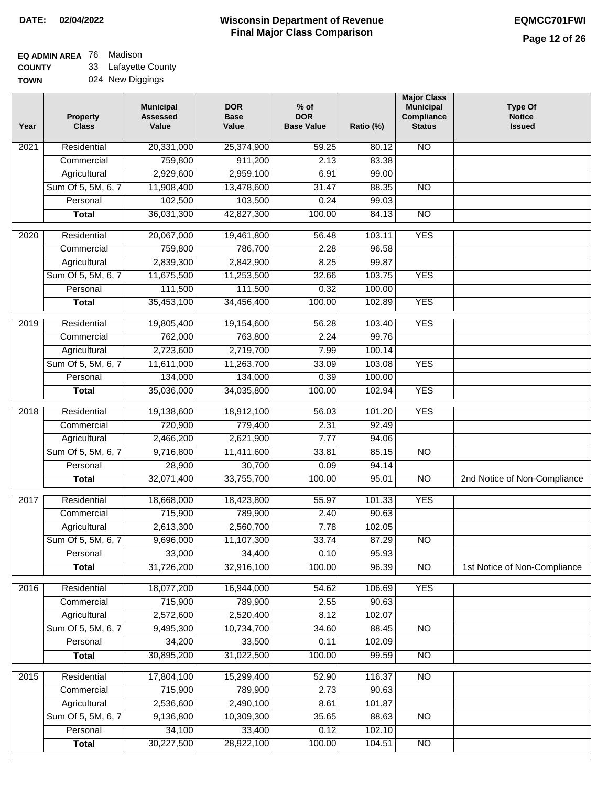#### **Wisconsin Department of Revenue Final Major Class Comparison DATE: 02/04/2022 EQMCC701FWI**

# **EQ ADMIN AREA** 76 Madison

**COUNTY TOWN** 33 Lafayette County

| 024 New Diggings |
|------------------|
|                  |

| Year             | <b>Property</b><br><b>Class</b> | <b>Municipal</b><br><b>Assessed</b><br>Value | <b>DOR</b><br><b>Base</b><br>Value | $%$ of<br><b>DOR</b><br><b>Base Value</b> | Ratio (%) | <b>Major Class</b><br><b>Municipal</b><br>Compliance<br><b>Status</b> | <b>Type Of</b><br><b>Notice</b><br><b>Issued</b> |
|------------------|---------------------------------|----------------------------------------------|------------------------------------|-------------------------------------------|-----------|-----------------------------------------------------------------------|--------------------------------------------------|
| 2021             | Residential                     | 20,331,000                                   | 25,374,900                         | 59.25                                     | 80.12     | $\overline{NO}$                                                       |                                                  |
|                  | Commercial                      | 759,800                                      | 911,200                            | 2.13                                      | 83.38     |                                                                       |                                                  |
|                  | Agricultural                    | 2,929,600                                    | 2,959,100                          | 6.91                                      | 99.00     |                                                                       |                                                  |
|                  | Sum Of 5, 5M, 6, 7              | 11,908,400                                   | 13,478,600                         | 31.47                                     | 88.35     | $\overline{NO}$                                                       |                                                  |
|                  | Personal                        | 102,500                                      | 103,500                            | 0.24                                      | 99.03     |                                                                       |                                                  |
|                  | <b>Total</b>                    | 36,031,300                                   | 42,827,300                         | 100.00                                    | 84.13     | $\overline{NO}$                                                       |                                                  |
| $\frac{1}{2020}$ | Residential                     | 20,067,000                                   | 19,461,800                         | 56.48                                     | 103.11    | <b>YES</b>                                                            |                                                  |
|                  | Commercial                      | 759,800                                      | 786,700                            | 2.28                                      | 96.58     |                                                                       |                                                  |
|                  | Agricultural                    | 2,839,300                                    | 2,842,900                          | 8.25                                      | 99.87     |                                                                       |                                                  |
|                  | Sum Of 5, 5M, 6, 7              | 11,675,500                                   | 11,253,500                         | 32.66                                     | 103.75    | <b>YES</b>                                                            |                                                  |
|                  | Personal                        | 111,500                                      | 111,500                            | 0.32                                      | 100.00    |                                                                       |                                                  |
|                  | <b>Total</b>                    | 35,453,100                                   | 34,456,400                         | 100.00                                    | 102.89    | <b>YES</b>                                                            |                                                  |
|                  |                                 |                                              |                                    |                                           |           |                                                                       |                                                  |
| $\frac{1}{2019}$ | Residential                     | 19,805,400                                   | 19,154,600                         | 56.28                                     | 103.40    | <b>YES</b>                                                            |                                                  |
|                  | Commercial                      | 762,000                                      | 763,800                            | 2.24                                      | 99.76     |                                                                       |                                                  |
|                  | Agricultural                    | 2,723,600                                    | 2,719,700                          | 7.99                                      | 100.14    |                                                                       |                                                  |
|                  | Sum Of 5, 5M, 6, 7              | 11,611,000                                   | 11,263,700                         | 33.09                                     | 103.08    | <b>YES</b>                                                            |                                                  |
|                  | Personal                        | 134,000                                      | 134,000                            | 0.39                                      | 100.00    |                                                                       |                                                  |
|                  | <b>Total</b>                    | 35,036,000                                   | 34,035,800                         | 100.00                                    | 102.94    | <b>YES</b>                                                            |                                                  |
| 2018             | Residential                     | 19,138,600                                   | 18,912,100                         | 56.03                                     | 101.20    | <b>YES</b>                                                            |                                                  |
|                  | Commercial                      | 720,900                                      | 779,400                            | 2.31                                      | 92.49     |                                                                       |                                                  |
|                  | Agricultural                    | 2,466,200                                    | 2,621,900                          | 7.77                                      | 94.06     |                                                                       |                                                  |
|                  | Sum Of 5, 5M, 6, 7              | 9,716,800                                    | 11,411,600                         | 33.81                                     | 85.15     | <b>NO</b>                                                             |                                                  |
|                  | Personal                        | 28,900                                       | 30,700                             | 0.09                                      | 94.14     |                                                                       |                                                  |
|                  | <b>Total</b>                    | 32,071,400                                   | 33,755,700                         | 100.00                                    | 95.01     | <b>NO</b>                                                             | 2nd Notice of Non-Compliance                     |
| 2017             | Residential                     | 18,668,000                                   | 18,423,800                         | 55.97                                     | 101.33    | <b>YES</b>                                                            |                                                  |
|                  | Commercial                      | 715,900                                      | 789,900                            | 2.40                                      | 90.63     |                                                                       |                                                  |
|                  | Agricultural                    | 2,613,300                                    | 2,560,700                          | 7.78                                      | 102.05    |                                                                       |                                                  |
|                  | Sum Of 5, 5M, 6, 7              | 9,696,000                                    | 11,107,300                         | 33.74                                     | 87.29     | $\overline{NO}$                                                       |                                                  |
|                  | Personal                        | 33,000                                       | 34,400                             | 0.10                                      | 95.93     |                                                                       |                                                  |
|                  | <b>Total</b>                    | 31,726,200                                   | 32,916,100                         | 100.00                                    | 96.39     | N <sub>O</sub>                                                        | 1st Notice of Non-Compliance                     |
| 2016             | Residential                     | 18,077,200                                   | 16,944,000                         | 54.62                                     | 106.69    | <b>YES</b>                                                            |                                                  |
|                  | Commercial                      | 715,900                                      | 789,900                            | 2.55                                      | 90.63     |                                                                       |                                                  |
|                  | Agricultural                    | 2,572,600                                    | 2,520,400                          | 8.12                                      | 102.07    |                                                                       |                                                  |
|                  | Sum Of 5, 5M, 6, 7              | 9,495,300                                    | 10,734,700                         | 34.60                                     | 88.45     | N <sub>O</sub>                                                        |                                                  |
|                  | Personal                        | 34,200                                       | 33,500                             | 0.11                                      | 102.09    |                                                                       |                                                  |
|                  | <b>Total</b>                    | 30,895,200                                   | 31,022,500                         | 100.00                                    | 99.59     | $\overline{NO}$                                                       |                                                  |
| 2015             | Residential                     | 17,804,100                                   | 15,299,400                         | 52.90                                     | 116.37    | N <sub>O</sub>                                                        |                                                  |
|                  | Commercial                      | 715,900                                      | 789,900                            | 2.73                                      | 90.63     |                                                                       |                                                  |
|                  | Agricultural                    | 2,536,600                                    | 2,490,100                          | 8.61                                      | 101.87    |                                                                       |                                                  |
|                  | Sum Of 5, 5M, 6, 7              | 9,136,800                                    | 10,309,300                         | 35.65                                     | 88.63     | $\overline{NO}$                                                       |                                                  |
|                  | Personal                        | 34,100                                       | 33,400                             | 0.12                                      | 102.10    |                                                                       |                                                  |
|                  | <b>Total</b>                    | 30,227,500                                   | 28,922,100                         | 100.00                                    | 104.51    | $\overline{NO}$                                                       |                                                  |
|                  |                                 |                                              |                                    |                                           |           |                                                                       |                                                  |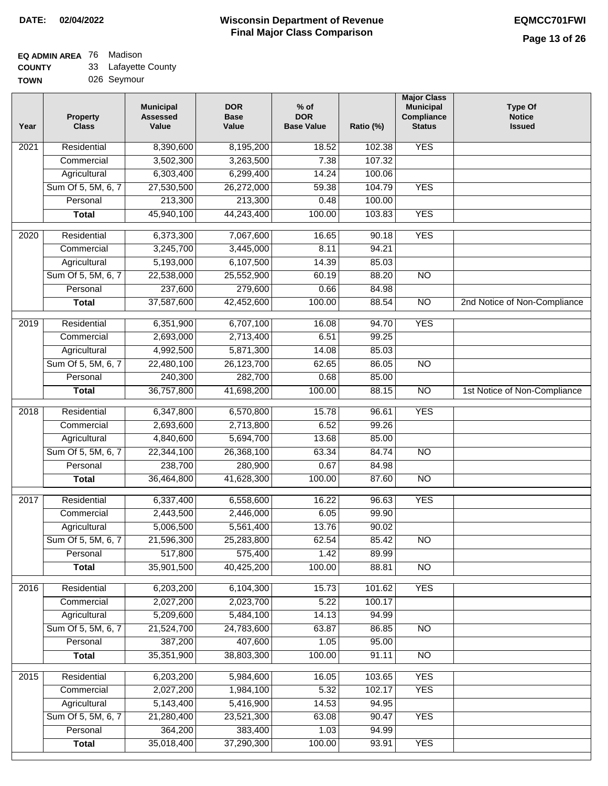### **EQ ADMIN AREA** 76 Madison **COUNTY**

| <b>COUNTY</b> | 33 Lafayette County |
|---------------|---------------------|
| <b>TOWN</b>   | 026 Seymour         |

| Year | Property<br><b>Class</b> | <b>Municipal</b><br><b>Assessed</b><br>Value | <b>DOR</b><br><b>Base</b><br>Value | $%$ of<br><b>DOR</b><br><b>Base Value</b> | Ratio (%) | <b>Major Class</b><br><b>Municipal</b><br>Compliance<br><b>Status</b> | <b>Type Of</b><br><b>Notice</b><br><b>Issued</b> |
|------|--------------------------|----------------------------------------------|------------------------------------|-------------------------------------------|-----------|-----------------------------------------------------------------------|--------------------------------------------------|
| 2021 | Residential              | 8,390,600                                    | 8,195,200                          | 18.52                                     | 102.38    | <b>YES</b>                                                            |                                                  |
|      | Commercial               | 3,502,300                                    | 3,263,500                          | 7.38                                      | 107.32    |                                                                       |                                                  |
|      | Agricultural             | 6,303,400                                    | 6,299,400                          | 14.24                                     | 100.06    |                                                                       |                                                  |
|      | Sum Of 5, 5M, 6, 7       | 27,530,500                                   | 26,272,000                         | 59.38                                     | 104.79    | <b>YES</b>                                                            |                                                  |
|      | Personal                 | 213,300                                      | 213,300                            | 0.48                                      | 100.00    |                                                                       |                                                  |
|      | <b>Total</b>             | 45,940,100                                   | 44,243,400                         | 100.00                                    | 103.83    | <b>YES</b>                                                            |                                                  |
| 2020 | Residential              | 6,373,300                                    | 7,067,600                          | 16.65                                     | 90.18     | <b>YES</b>                                                            |                                                  |
|      | Commercial               | 3,245,700                                    | 3,445,000                          | 8.11                                      | 94.21     |                                                                       |                                                  |
|      | Agricultural             | 5,193,000                                    | 6,107,500                          | 14.39                                     | 85.03     |                                                                       |                                                  |
|      | Sum Of 5, 5M, 6, 7       | 22,538,000                                   | 25,552,900                         | 60.19                                     | 88.20     | $\overline{NO}$                                                       |                                                  |
|      | Personal                 | 237,600                                      | 279,600                            | 0.66                                      | 84.98     |                                                                       |                                                  |
|      | <b>Total</b>             | 37,587,600                                   | 42,452,600                         | 100.00                                    | 88.54     | $\overline{NO}$                                                       | 2nd Notice of Non-Compliance                     |
| 2019 | Residential              | 6,351,900                                    | 6,707,100                          | 16.08                                     | 94.70     | <b>YES</b>                                                            |                                                  |
|      | Commercial               | 2,693,000                                    | 2,713,400                          | 6.51                                      | 99.25     |                                                                       |                                                  |
|      | Agricultural             | 4,992,500                                    | 5,871,300                          | 14.08                                     | 85.03     |                                                                       |                                                  |
|      | Sum Of 5, 5M, 6, 7       | 22,480,100                                   | 26,123,700                         | 62.65                                     | 86.05     | $\overline{NO}$                                                       |                                                  |
|      | Personal                 | 240,300                                      | 282,700                            | 0.68                                      | 85.00     |                                                                       |                                                  |
|      | <b>Total</b>             | 36,757,800                                   | 41,698,200                         | 100.00                                    | 88.15     | N <sub>O</sub>                                                        | 1st Notice of Non-Compliance                     |
| 2018 | Residential              | 6,347,800                                    | 6,570,800                          | 15.78                                     | 96.61     | <b>YES</b>                                                            |                                                  |
|      | Commercial               | 2,693,600                                    | 2,713,800                          | 6.52                                      | 99.26     |                                                                       |                                                  |
|      | Agricultural             | 4,840,600                                    | 5,694,700                          | 13.68                                     | 85.00     |                                                                       |                                                  |
|      | Sum Of 5, 5M, 6, 7       | 22,344,100                                   | 26,368,100                         | 63.34                                     | 84.74     | <b>NO</b>                                                             |                                                  |
|      | Personal                 | 238,700                                      | 280,900                            | 0.67                                      | 84.98     |                                                                       |                                                  |
|      | <b>Total</b>             | 36,464,800                                   | 41,628,300                         | 100.00                                    | 87.60     | N <sub>O</sub>                                                        |                                                  |
| 2017 | Residential              | 6,337,400                                    | 6,558,600                          | 16.22                                     | 96.63     | <b>YES</b>                                                            |                                                  |
|      | Commercial               | 2,443,500                                    | 2,446,000                          | 6.05                                      | 99.90     |                                                                       |                                                  |
|      | Agricultural             | 5,006,500                                    | 5,561,400                          | 13.76                                     | 90.02     |                                                                       |                                                  |
|      | Sum Of 5, 5M, 6, 7       | 21,596,300                                   | 25,283,800                         | 62.54                                     | 85.42     | $\overline{NO}$                                                       |                                                  |
|      | Personal                 | 517,800                                      | 575,400                            | 1.42                                      | 89.99     |                                                                       |                                                  |
|      | <b>Total</b>             | 35,901,500                                   | 40,425,200                         | 100.00                                    | 88.81     | $\overline{NO}$                                                       |                                                  |
| 2016 | Residential              | 6,203,200                                    | 6,104,300                          | 15.73                                     | 101.62    | <b>YES</b>                                                            |                                                  |
|      | Commercial               | 2,027,200                                    | 2,023,700                          | 5.22                                      | 100.17    |                                                                       |                                                  |
|      | Agricultural             | 5,209,600                                    | 5,484,100                          | 14.13                                     | 94.99     |                                                                       |                                                  |
|      | Sum Of 5, 5M, 6, 7       | 21,524,700                                   | 24,783,600                         | 63.87                                     | 86.85     | <b>NO</b>                                                             |                                                  |
|      | Personal                 | 387,200                                      | 407,600                            | 1.05                                      | 95.00     |                                                                       |                                                  |
|      | <b>Total</b>             | 35,351,900                                   | 38,803,300                         | 100.00                                    | 91.11     | <b>NO</b>                                                             |                                                  |
| 2015 | Residential              | 6,203,200                                    | 5,984,600                          | 16.05                                     | 103.65    | <b>YES</b>                                                            |                                                  |
|      | Commercial               | 2,027,200                                    | 1,984,100                          | 5.32                                      | 102.17    | <b>YES</b>                                                            |                                                  |
|      | Agricultural             | 5,143,400                                    | 5,416,900                          | 14.53                                     | 94.95     |                                                                       |                                                  |
|      | Sum Of 5, 5M, 6, 7       | 21,280,400                                   | 23,521,300                         | 63.08                                     | 90.47     | <b>YES</b>                                                            |                                                  |
|      | Personal                 | 364,200                                      | 383,400                            | 1.03                                      | 94.99     |                                                                       |                                                  |
|      | <b>Total</b>             | 35,018,400                                   | 37,290,300                         | 100.00                                    | 93.91     | <b>YES</b>                                                            |                                                  |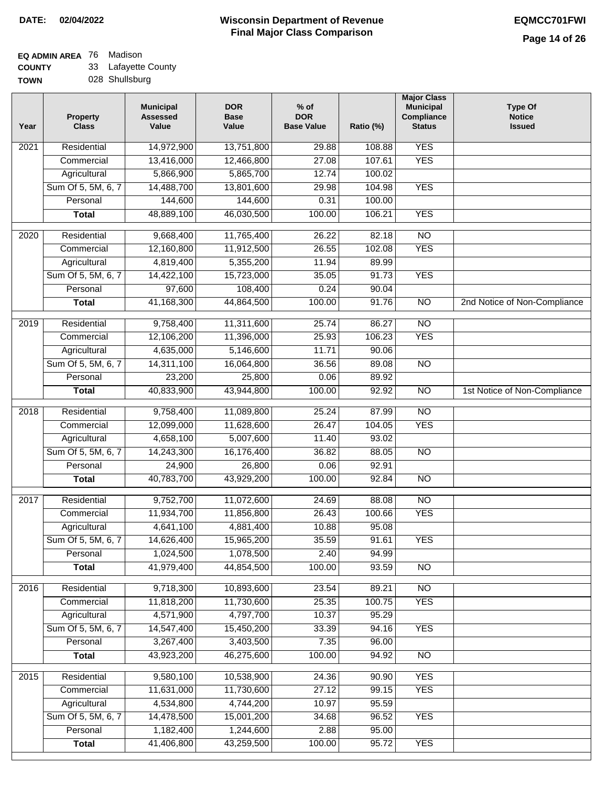# **EQ ADMIN AREA** 76 Madison

**COUNTY TOWN** 33 Lafayette County

|  | 028 Shullsburg |
|--|----------------|
|--|----------------|

| <b>YES</b><br>14,972,900<br>$\overline{202}1$<br>Residential<br>13,751,800<br>29.88<br>108.88<br>13,416,000<br>12,466,800<br>27.08<br>107.61<br><b>YES</b><br>Commercial<br>5,866,900<br>5,865,700<br>Agricultural<br>12.74<br>100.02<br>Sum Of 5, 5M, 6, 7<br>14,488,700<br>13,801,600<br>29.98<br>104.98<br><b>YES</b><br>144,600<br>100.00<br>Personal<br>144,600<br>0.31<br>48,889,100<br>46,030,500<br>100.00<br>106.21<br><b>YES</b><br><b>Total</b><br>2020<br>11,765,400<br>$\overline{NO}$<br>Residential<br>9,668,400<br>26.22<br>82.18<br>12,160,800<br>11,912,500<br>102.08<br><b>YES</b><br>Commercial<br>26.55<br>Agricultural<br>4,819,400<br>5,355,200<br>11.94<br>89.99<br>Sum Of 5, 5M, 6, 7<br><b>YES</b><br>14,422,100<br>15,723,000<br>35.05<br>91.73<br>108,400<br>0.24<br>90.04<br>Personal<br>97,600<br>41,168,300<br>100.00<br>$\overline{NO}$<br>44,864,500<br>91.76<br>2nd Notice of Non-Compliance<br><b>Total</b><br>9,758,400<br>11,311,600<br>25.74<br>2019<br>Residential<br>86.27<br>$\overline{NO}$<br><b>YES</b><br>12,106,200<br>11,396,000<br>25.93<br>106.23<br>Commercial<br>4,635,000<br>5,146,600<br>11.71<br>90.06<br>Agricultural<br>$\overline{NO}$<br>Sum Of 5, 5M, 6, 7<br>14,311,100<br>16,064,800<br>36.56<br>89.08<br>25,800<br>Personal<br>23,200<br>0.06<br>89.92<br>40,833,900<br>43,944,800<br>100.00<br>92.92<br>$\overline{NO}$<br>1st Notice of Non-Compliance<br><b>Total</b><br>2018<br>Residential<br>9,758,400<br>11,089,800<br>25.24<br>87.99<br>$\overline{10}$<br><b>YES</b><br>Commercial<br>12,099,000<br>11,628,600<br>26.47<br>104.05<br>4,658,100<br>5,007,600<br>Agricultural<br>11.40<br>93.02<br>Sum Of 5, 5M, 6, 7<br>14,243,300<br>16,176,400<br>36.82<br>88.05<br>$\overline{10}$<br>Personal<br>24,900<br>26,800<br>0.06<br>92.91<br>40,783,700<br>43,929,200<br>100.00<br><b>NO</b><br><b>Total</b><br>92.84<br>N <sub>O</sub><br>$\overline{2017}$<br>Residential<br>9,752,700<br>11,072,600<br>24.69<br>88.08<br><b>YES</b><br>Commercial<br>11,934,700<br>11,856,800<br>26.43<br>100.66<br>Agricultural<br>4,641,100<br>4,881,400<br>10.88<br>95.08<br>15,965,200<br>35.59<br>Sum Of 5, 5M, 6, 7<br>14,626,400<br>91.61<br><b>YES</b><br>1,024,500<br>2.40<br>Personal<br>1,078,500<br>94.99<br>41,979,400<br>44,854,500<br>100.00<br>93.59<br><b>Total</b><br><b>NO</b><br>Residential<br>9,718,300<br>10,893,600<br>N <sub>O</sub><br>2016<br>23.54<br>89.21<br>11,818,200<br>11,730,600<br>25.35<br>100.75<br><b>YES</b><br>Commercial<br>4,571,900<br>4,797,700<br>Agricultural<br>10.37<br>95.29<br>Sum Of 5, 5M, 6, 7<br>33.39<br><b>YES</b><br>14,547,400<br>15,450,200<br>94.16<br>Personal<br>3,267,400<br>3,403,500<br>7.35<br>96.00<br>43,923,200<br>46,275,600<br>100.00<br>94.92<br>$\overline{NO}$<br><b>Total</b><br><b>YES</b><br>2015<br>Residential<br>9,580,100<br>10,538,900<br>24.36<br>90.90<br>11,631,000<br>11,730,600<br>27.12<br>99.15<br><b>YES</b><br>Commercial<br>Agricultural<br>4,534,800<br>4,744,200<br>10.97<br>95.59<br>Sum Of 5, 5M, 6, 7<br>14,478,500<br>15,001,200<br>34.68<br>96.52<br><b>YES</b><br>1,182,400<br>1,244,600<br>2.88<br>95.00<br>Personal<br>41,406,800<br>43,259,500<br>100.00<br>95.72<br><b>YES</b><br><b>Total</b> | Year | <b>Property</b><br><b>Class</b> | <b>Municipal</b><br><b>Assessed</b><br>Value | <b>DOR</b><br><b>Base</b><br>Value | $%$ of<br><b>DOR</b><br><b>Base Value</b> | Ratio (%) | <b>Major Class</b><br><b>Municipal</b><br>Compliance<br><b>Status</b> | <b>Type Of</b><br><b>Notice</b><br><b>Issued</b> |
|---------------------------------------------------------------------------------------------------------------------------------------------------------------------------------------------------------------------------------------------------------------------------------------------------------------------------------------------------------------------------------------------------------------------------------------------------------------------------------------------------------------------------------------------------------------------------------------------------------------------------------------------------------------------------------------------------------------------------------------------------------------------------------------------------------------------------------------------------------------------------------------------------------------------------------------------------------------------------------------------------------------------------------------------------------------------------------------------------------------------------------------------------------------------------------------------------------------------------------------------------------------------------------------------------------------------------------------------------------------------------------------------------------------------------------------------------------------------------------------------------------------------------------------------------------------------------------------------------------------------------------------------------------------------------------------------------------------------------------------------------------------------------------------------------------------------------------------------------------------------------------------------------------------------------------------------------------------------------------------------------------------------------------------------------------------------------------------------------------------------------------------------------------------------------------------------------------------------------------------------------------------------------------------------------------------------------------------------------------------------------------------------------------------------------------------------------------------------------------------------------------------------------------------------------------------------------------------------------------------------------------------------------------------------------------------------------------------------------------------------------------------------------------------------------------------------------------------------------------------------------------------------------------------------------------------------------------------------------------------------------------------------------------------------------------------------------------------------------------------------------------------------------------------------------------------------------------------------------------------------------------------|------|---------------------------------|----------------------------------------------|------------------------------------|-------------------------------------------|-----------|-----------------------------------------------------------------------|--------------------------------------------------|
|                                                                                                                                                                                                                                                                                                                                                                                                                                                                                                                                                                                                                                                                                                                                                                                                                                                                                                                                                                                                                                                                                                                                                                                                                                                                                                                                                                                                                                                                                                                                                                                                                                                                                                                                                                                                                                                                                                                                                                                                                                                                                                                                                                                                                                                                                                                                                                                                                                                                                                                                                                                                                                                                                                                                                                                                                                                                                                                                                                                                                                                                                                                                                                                                                                                               |      |                                 |                                              |                                    |                                           |           |                                                                       |                                                  |
|                                                                                                                                                                                                                                                                                                                                                                                                                                                                                                                                                                                                                                                                                                                                                                                                                                                                                                                                                                                                                                                                                                                                                                                                                                                                                                                                                                                                                                                                                                                                                                                                                                                                                                                                                                                                                                                                                                                                                                                                                                                                                                                                                                                                                                                                                                                                                                                                                                                                                                                                                                                                                                                                                                                                                                                                                                                                                                                                                                                                                                                                                                                                                                                                                                                               |      |                                 |                                              |                                    |                                           |           |                                                                       |                                                  |
|                                                                                                                                                                                                                                                                                                                                                                                                                                                                                                                                                                                                                                                                                                                                                                                                                                                                                                                                                                                                                                                                                                                                                                                                                                                                                                                                                                                                                                                                                                                                                                                                                                                                                                                                                                                                                                                                                                                                                                                                                                                                                                                                                                                                                                                                                                                                                                                                                                                                                                                                                                                                                                                                                                                                                                                                                                                                                                                                                                                                                                                                                                                                                                                                                                                               |      |                                 |                                              |                                    |                                           |           |                                                                       |                                                  |
|                                                                                                                                                                                                                                                                                                                                                                                                                                                                                                                                                                                                                                                                                                                                                                                                                                                                                                                                                                                                                                                                                                                                                                                                                                                                                                                                                                                                                                                                                                                                                                                                                                                                                                                                                                                                                                                                                                                                                                                                                                                                                                                                                                                                                                                                                                                                                                                                                                                                                                                                                                                                                                                                                                                                                                                                                                                                                                                                                                                                                                                                                                                                                                                                                                                               |      |                                 |                                              |                                    |                                           |           |                                                                       |                                                  |
|                                                                                                                                                                                                                                                                                                                                                                                                                                                                                                                                                                                                                                                                                                                                                                                                                                                                                                                                                                                                                                                                                                                                                                                                                                                                                                                                                                                                                                                                                                                                                                                                                                                                                                                                                                                                                                                                                                                                                                                                                                                                                                                                                                                                                                                                                                                                                                                                                                                                                                                                                                                                                                                                                                                                                                                                                                                                                                                                                                                                                                                                                                                                                                                                                                                               |      |                                 |                                              |                                    |                                           |           |                                                                       |                                                  |
|                                                                                                                                                                                                                                                                                                                                                                                                                                                                                                                                                                                                                                                                                                                                                                                                                                                                                                                                                                                                                                                                                                                                                                                                                                                                                                                                                                                                                                                                                                                                                                                                                                                                                                                                                                                                                                                                                                                                                                                                                                                                                                                                                                                                                                                                                                                                                                                                                                                                                                                                                                                                                                                                                                                                                                                                                                                                                                                                                                                                                                                                                                                                                                                                                                                               |      |                                 |                                              |                                    |                                           |           |                                                                       |                                                  |
|                                                                                                                                                                                                                                                                                                                                                                                                                                                                                                                                                                                                                                                                                                                                                                                                                                                                                                                                                                                                                                                                                                                                                                                                                                                                                                                                                                                                                                                                                                                                                                                                                                                                                                                                                                                                                                                                                                                                                                                                                                                                                                                                                                                                                                                                                                                                                                                                                                                                                                                                                                                                                                                                                                                                                                                                                                                                                                                                                                                                                                                                                                                                                                                                                                                               |      |                                 |                                              |                                    |                                           |           |                                                                       |                                                  |
|                                                                                                                                                                                                                                                                                                                                                                                                                                                                                                                                                                                                                                                                                                                                                                                                                                                                                                                                                                                                                                                                                                                                                                                                                                                                                                                                                                                                                                                                                                                                                                                                                                                                                                                                                                                                                                                                                                                                                                                                                                                                                                                                                                                                                                                                                                                                                                                                                                                                                                                                                                                                                                                                                                                                                                                                                                                                                                                                                                                                                                                                                                                                                                                                                                                               |      |                                 |                                              |                                    |                                           |           |                                                                       |                                                  |
|                                                                                                                                                                                                                                                                                                                                                                                                                                                                                                                                                                                                                                                                                                                                                                                                                                                                                                                                                                                                                                                                                                                                                                                                                                                                                                                                                                                                                                                                                                                                                                                                                                                                                                                                                                                                                                                                                                                                                                                                                                                                                                                                                                                                                                                                                                                                                                                                                                                                                                                                                                                                                                                                                                                                                                                                                                                                                                                                                                                                                                                                                                                                                                                                                                                               |      |                                 |                                              |                                    |                                           |           |                                                                       |                                                  |
|                                                                                                                                                                                                                                                                                                                                                                                                                                                                                                                                                                                                                                                                                                                                                                                                                                                                                                                                                                                                                                                                                                                                                                                                                                                                                                                                                                                                                                                                                                                                                                                                                                                                                                                                                                                                                                                                                                                                                                                                                                                                                                                                                                                                                                                                                                                                                                                                                                                                                                                                                                                                                                                                                                                                                                                                                                                                                                                                                                                                                                                                                                                                                                                                                                                               |      |                                 |                                              |                                    |                                           |           |                                                                       |                                                  |
|                                                                                                                                                                                                                                                                                                                                                                                                                                                                                                                                                                                                                                                                                                                                                                                                                                                                                                                                                                                                                                                                                                                                                                                                                                                                                                                                                                                                                                                                                                                                                                                                                                                                                                                                                                                                                                                                                                                                                                                                                                                                                                                                                                                                                                                                                                                                                                                                                                                                                                                                                                                                                                                                                                                                                                                                                                                                                                                                                                                                                                                                                                                                                                                                                                                               |      |                                 |                                              |                                    |                                           |           |                                                                       |                                                  |
|                                                                                                                                                                                                                                                                                                                                                                                                                                                                                                                                                                                                                                                                                                                                                                                                                                                                                                                                                                                                                                                                                                                                                                                                                                                                                                                                                                                                                                                                                                                                                                                                                                                                                                                                                                                                                                                                                                                                                                                                                                                                                                                                                                                                                                                                                                                                                                                                                                                                                                                                                                                                                                                                                                                                                                                                                                                                                                                                                                                                                                                                                                                                                                                                                                                               |      |                                 |                                              |                                    |                                           |           |                                                                       |                                                  |
|                                                                                                                                                                                                                                                                                                                                                                                                                                                                                                                                                                                                                                                                                                                                                                                                                                                                                                                                                                                                                                                                                                                                                                                                                                                                                                                                                                                                                                                                                                                                                                                                                                                                                                                                                                                                                                                                                                                                                                                                                                                                                                                                                                                                                                                                                                                                                                                                                                                                                                                                                                                                                                                                                                                                                                                                                                                                                                                                                                                                                                                                                                                                                                                                                                                               |      |                                 |                                              |                                    |                                           |           |                                                                       |                                                  |
|                                                                                                                                                                                                                                                                                                                                                                                                                                                                                                                                                                                                                                                                                                                                                                                                                                                                                                                                                                                                                                                                                                                                                                                                                                                                                                                                                                                                                                                                                                                                                                                                                                                                                                                                                                                                                                                                                                                                                                                                                                                                                                                                                                                                                                                                                                                                                                                                                                                                                                                                                                                                                                                                                                                                                                                                                                                                                                                                                                                                                                                                                                                                                                                                                                                               |      |                                 |                                              |                                    |                                           |           |                                                                       |                                                  |
|                                                                                                                                                                                                                                                                                                                                                                                                                                                                                                                                                                                                                                                                                                                                                                                                                                                                                                                                                                                                                                                                                                                                                                                                                                                                                                                                                                                                                                                                                                                                                                                                                                                                                                                                                                                                                                                                                                                                                                                                                                                                                                                                                                                                                                                                                                                                                                                                                                                                                                                                                                                                                                                                                                                                                                                                                                                                                                                                                                                                                                                                                                                                                                                                                                                               |      |                                 |                                              |                                    |                                           |           |                                                                       |                                                  |
|                                                                                                                                                                                                                                                                                                                                                                                                                                                                                                                                                                                                                                                                                                                                                                                                                                                                                                                                                                                                                                                                                                                                                                                                                                                                                                                                                                                                                                                                                                                                                                                                                                                                                                                                                                                                                                                                                                                                                                                                                                                                                                                                                                                                                                                                                                                                                                                                                                                                                                                                                                                                                                                                                                                                                                                                                                                                                                                                                                                                                                                                                                                                                                                                                                                               |      |                                 |                                              |                                    |                                           |           |                                                                       |                                                  |
|                                                                                                                                                                                                                                                                                                                                                                                                                                                                                                                                                                                                                                                                                                                                                                                                                                                                                                                                                                                                                                                                                                                                                                                                                                                                                                                                                                                                                                                                                                                                                                                                                                                                                                                                                                                                                                                                                                                                                                                                                                                                                                                                                                                                                                                                                                                                                                                                                                                                                                                                                                                                                                                                                                                                                                                                                                                                                                                                                                                                                                                                                                                                                                                                                                                               |      |                                 |                                              |                                    |                                           |           |                                                                       |                                                  |
|                                                                                                                                                                                                                                                                                                                                                                                                                                                                                                                                                                                                                                                                                                                                                                                                                                                                                                                                                                                                                                                                                                                                                                                                                                                                                                                                                                                                                                                                                                                                                                                                                                                                                                                                                                                                                                                                                                                                                                                                                                                                                                                                                                                                                                                                                                                                                                                                                                                                                                                                                                                                                                                                                                                                                                                                                                                                                                                                                                                                                                                                                                                                                                                                                                                               |      |                                 |                                              |                                    |                                           |           |                                                                       |                                                  |
|                                                                                                                                                                                                                                                                                                                                                                                                                                                                                                                                                                                                                                                                                                                                                                                                                                                                                                                                                                                                                                                                                                                                                                                                                                                                                                                                                                                                                                                                                                                                                                                                                                                                                                                                                                                                                                                                                                                                                                                                                                                                                                                                                                                                                                                                                                                                                                                                                                                                                                                                                                                                                                                                                                                                                                                                                                                                                                                                                                                                                                                                                                                                                                                                                                                               |      |                                 |                                              |                                    |                                           |           |                                                                       |                                                  |
|                                                                                                                                                                                                                                                                                                                                                                                                                                                                                                                                                                                                                                                                                                                                                                                                                                                                                                                                                                                                                                                                                                                                                                                                                                                                                                                                                                                                                                                                                                                                                                                                                                                                                                                                                                                                                                                                                                                                                                                                                                                                                                                                                                                                                                                                                                                                                                                                                                                                                                                                                                                                                                                                                                                                                                                                                                                                                                                                                                                                                                                                                                                                                                                                                                                               |      |                                 |                                              |                                    |                                           |           |                                                                       |                                                  |
|                                                                                                                                                                                                                                                                                                                                                                                                                                                                                                                                                                                                                                                                                                                                                                                                                                                                                                                                                                                                                                                                                                                                                                                                                                                                                                                                                                                                                                                                                                                                                                                                                                                                                                                                                                                                                                                                                                                                                                                                                                                                                                                                                                                                                                                                                                                                                                                                                                                                                                                                                                                                                                                                                                                                                                                                                                                                                                                                                                                                                                                                                                                                                                                                                                                               |      |                                 |                                              |                                    |                                           |           |                                                                       |                                                  |
|                                                                                                                                                                                                                                                                                                                                                                                                                                                                                                                                                                                                                                                                                                                                                                                                                                                                                                                                                                                                                                                                                                                                                                                                                                                                                                                                                                                                                                                                                                                                                                                                                                                                                                                                                                                                                                                                                                                                                                                                                                                                                                                                                                                                                                                                                                                                                                                                                                                                                                                                                                                                                                                                                                                                                                                                                                                                                                                                                                                                                                                                                                                                                                                                                                                               |      |                                 |                                              |                                    |                                           |           |                                                                       |                                                  |
|                                                                                                                                                                                                                                                                                                                                                                                                                                                                                                                                                                                                                                                                                                                                                                                                                                                                                                                                                                                                                                                                                                                                                                                                                                                                                                                                                                                                                                                                                                                                                                                                                                                                                                                                                                                                                                                                                                                                                                                                                                                                                                                                                                                                                                                                                                                                                                                                                                                                                                                                                                                                                                                                                                                                                                                                                                                                                                                                                                                                                                                                                                                                                                                                                                                               |      |                                 |                                              |                                    |                                           |           |                                                                       |                                                  |
|                                                                                                                                                                                                                                                                                                                                                                                                                                                                                                                                                                                                                                                                                                                                                                                                                                                                                                                                                                                                                                                                                                                                                                                                                                                                                                                                                                                                                                                                                                                                                                                                                                                                                                                                                                                                                                                                                                                                                                                                                                                                                                                                                                                                                                                                                                                                                                                                                                                                                                                                                                                                                                                                                                                                                                                                                                                                                                                                                                                                                                                                                                                                                                                                                                                               |      |                                 |                                              |                                    |                                           |           |                                                                       |                                                  |
|                                                                                                                                                                                                                                                                                                                                                                                                                                                                                                                                                                                                                                                                                                                                                                                                                                                                                                                                                                                                                                                                                                                                                                                                                                                                                                                                                                                                                                                                                                                                                                                                                                                                                                                                                                                                                                                                                                                                                                                                                                                                                                                                                                                                                                                                                                                                                                                                                                                                                                                                                                                                                                                                                                                                                                                                                                                                                                                                                                                                                                                                                                                                                                                                                                                               |      |                                 |                                              |                                    |                                           |           |                                                                       |                                                  |
|                                                                                                                                                                                                                                                                                                                                                                                                                                                                                                                                                                                                                                                                                                                                                                                                                                                                                                                                                                                                                                                                                                                                                                                                                                                                                                                                                                                                                                                                                                                                                                                                                                                                                                                                                                                                                                                                                                                                                                                                                                                                                                                                                                                                                                                                                                                                                                                                                                                                                                                                                                                                                                                                                                                                                                                                                                                                                                                                                                                                                                                                                                                                                                                                                                                               |      |                                 |                                              |                                    |                                           |           |                                                                       |                                                  |
|                                                                                                                                                                                                                                                                                                                                                                                                                                                                                                                                                                                                                                                                                                                                                                                                                                                                                                                                                                                                                                                                                                                                                                                                                                                                                                                                                                                                                                                                                                                                                                                                                                                                                                                                                                                                                                                                                                                                                                                                                                                                                                                                                                                                                                                                                                                                                                                                                                                                                                                                                                                                                                                                                                                                                                                                                                                                                                                                                                                                                                                                                                                                                                                                                                                               |      |                                 |                                              |                                    |                                           |           |                                                                       |                                                  |
|                                                                                                                                                                                                                                                                                                                                                                                                                                                                                                                                                                                                                                                                                                                                                                                                                                                                                                                                                                                                                                                                                                                                                                                                                                                                                                                                                                                                                                                                                                                                                                                                                                                                                                                                                                                                                                                                                                                                                                                                                                                                                                                                                                                                                                                                                                                                                                                                                                                                                                                                                                                                                                                                                                                                                                                                                                                                                                                                                                                                                                                                                                                                                                                                                                                               |      |                                 |                                              |                                    |                                           |           |                                                                       |                                                  |
|                                                                                                                                                                                                                                                                                                                                                                                                                                                                                                                                                                                                                                                                                                                                                                                                                                                                                                                                                                                                                                                                                                                                                                                                                                                                                                                                                                                                                                                                                                                                                                                                                                                                                                                                                                                                                                                                                                                                                                                                                                                                                                                                                                                                                                                                                                                                                                                                                                                                                                                                                                                                                                                                                                                                                                                                                                                                                                                                                                                                                                                                                                                                                                                                                                                               |      |                                 |                                              |                                    |                                           |           |                                                                       |                                                  |
|                                                                                                                                                                                                                                                                                                                                                                                                                                                                                                                                                                                                                                                                                                                                                                                                                                                                                                                                                                                                                                                                                                                                                                                                                                                                                                                                                                                                                                                                                                                                                                                                                                                                                                                                                                                                                                                                                                                                                                                                                                                                                                                                                                                                                                                                                                                                                                                                                                                                                                                                                                                                                                                                                                                                                                                                                                                                                                                                                                                                                                                                                                                                                                                                                                                               |      |                                 |                                              |                                    |                                           |           |                                                                       |                                                  |
|                                                                                                                                                                                                                                                                                                                                                                                                                                                                                                                                                                                                                                                                                                                                                                                                                                                                                                                                                                                                                                                                                                                                                                                                                                                                                                                                                                                                                                                                                                                                                                                                                                                                                                                                                                                                                                                                                                                                                                                                                                                                                                                                                                                                                                                                                                                                                                                                                                                                                                                                                                                                                                                                                                                                                                                                                                                                                                                                                                                                                                                                                                                                                                                                                                                               |      |                                 |                                              |                                    |                                           |           |                                                                       |                                                  |
|                                                                                                                                                                                                                                                                                                                                                                                                                                                                                                                                                                                                                                                                                                                                                                                                                                                                                                                                                                                                                                                                                                                                                                                                                                                                                                                                                                                                                                                                                                                                                                                                                                                                                                                                                                                                                                                                                                                                                                                                                                                                                                                                                                                                                                                                                                                                                                                                                                                                                                                                                                                                                                                                                                                                                                                                                                                                                                                                                                                                                                                                                                                                                                                                                                                               |      |                                 |                                              |                                    |                                           |           |                                                                       |                                                  |
|                                                                                                                                                                                                                                                                                                                                                                                                                                                                                                                                                                                                                                                                                                                                                                                                                                                                                                                                                                                                                                                                                                                                                                                                                                                                                                                                                                                                                                                                                                                                                                                                                                                                                                                                                                                                                                                                                                                                                                                                                                                                                                                                                                                                                                                                                                                                                                                                                                                                                                                                                                                                                                                                                                                                                                                                                                                                                                                                                                                                                                                                                                                                                                                                                                                               |      |                                 |                                              |                                    |                                           |           |                                                                       |                                                  |
|                                                                                                                                                                                                                                                                                                                                                                                                                                                                                                                                                                                                                                                                                                                                                                                                                                                                                                                                                                                                                                                                                                                                                                                                                                                                                                                                                                                                                                                                                                                                                                                                                                                                                                                                                                                                                                                                                                                                                                                                                                                                                                                                                                                                                                                                                                                                                                                                                                                                                                                                                                                                                                                                                                                                                                                                                                                                                                                                                                                                                                                                                                                                                                                                                                                               |      |                                 |                                              |                                    |                                           |           |                                                                       |                                                  |
|                                                                                                                                                                                                                                                                                                                                                                                                                                                                                                                                                                                                                                                                                                                                                                                                                                                                                                                                                                                                                                                                                                                                                                                                                                                                                                                                                                                                                                                                                                                                                                                                                                                                                                                                                                                                                                                                                                                                                                                                                                                                                                                                                                                                                                                                                                                                                                                                                                                                                                                                                                                                                                                                                                                                                                                                                                                                                                                                                                                                                                                                                                                                                                                                                                                               |      |                                 |                                              |                                    |                                           |           |                                                                       |                                                  |
|                                                                                                                                                                                                                                                                                                                                                                                                                                                                                                                                                                                                                                                                                                                                                                                                                                                                                                                                                                                                                                                                                                                                                                                                                                                                                                                                                                                                                                                                                                                                                                                                                                                                                                                                                                                                                                                                                                                                                                                                                                                                                                                                                                                                                                                                                                                                                                                                                                                                                                                                                                                                                                                                                                                                                                                                                                                                                                                                                                                                                                                                                                                                                                                                                                                               |      |                                 |                                              |                                    |                                           |           |                                                                       |                                                  |
|                                                                                                                                                                                                                                                                                                                                                                                                                                                                                                                                                                                                                                                                                                                                                                                                                                                                                                                                                                                                                                                                                                                                                                                                                                                                                                                                                                                                                                                                                                                                                                                                                                                                                                                                                                                                                                                                                                                                                                                                                                                                                                                                                                                                                                                                                                                                                                                                                                                                                                                                                                                                                                                                                                                                                                                                                                                                                                                                                                                                                                                                                                                                                                                                                                                               |      |                                 |                                              |                                    |                                           |           |                                                                       |                                                  |
|                                                                                                                                                                                                                                                                                                                                                                                                                                                                                                                                                                                                                                                                                                                                                                                                                                                                                                                                                                                                                                                                                                                                                                                                                                                                                                                                                                                                                                                                                                                                                                                                                                                                                                                                                                                                                                                                                                                                                                                                                                                                                                                                                                                                                                                                                                                                                                                                                                                                                                                                                                                                                                                                                                                                                                                                                                                                                                                                                                                                                                                                                                                                                                                                                                                               |      |                                 |                                              |                                    |                                           |           |                                                                       |                                                  |
|                                                                                                                                                                                                                                                                                                                                                                                                                                                                                                                                                                                                                                                                                                                                                                                                                                                                                                                                                                                                                                                                                                                                                                                                                                                                                                                                                                                                                                                                                                                                                                                                                                                                                                                                                                                                                                                                                                                                                                                                                                                                                                                                                                                                                                                                                                                                                                                                                                                                                                                                                                                                                                                                                                                                                                                                                                                                                                                                                                                                                                                                                                                                                                                                                                                               |      |                                 |                                              |                                    |                                           |           |                                                                       |                                                  |
|                                                                                                                                                                                                                                                                                                                                                                                                                                                                                                                                                                                                                                                                                                                                                                                                                                                                                                                                                                                                                                                                                                                                                                                                                                                                                                                                                                                                                                                                                                                                                                                                                                                                                                                                                                                                                                                                                                                                                                                                                                                                                                                                                                                                                                                                                                                                                                                                                                                                                                                                                                                                                                                                                                                                                                                                                                                                                                                                                                                                                                                                                                                                                                                                                                                               |      |                                 |                                              |                                    |                                           |           |                                                                       |                                                  |
|                                                                                                                                                                                                                                                                                                                                                                                                                                                                                                                                                                                                                                                                                                                                                                                                                                                                                                                                                                                                                                                                                                                                                                                                                                                                                                                                                                                                                                                                                                                                                                                                                                                                                                                                                                                                                                                                                                                                                                                                                                                                                                                                                                                                                                                                                                                                                                                                                                                                                                                                                                                                                                                                                                                                                                                                                                                                                                                                                                                                                                                                                                                                                                                                                                                               |      |                                 |                                              |                                    |                                           |           |                                                                       |                                                  |
|                                                                                                                                                                                                                                                                                                                                                                                                                                                                                                                                                                                                                                                                                                                                                                                                                                                                                                                                                                                                                                                                                                                                                                                                                                                                                                                                                                                                                                                                                                                                                                                                                                                                                                                                                                                                                                                                                                                                                                                                                                                                                                                                                                                                                                                                                                                                                                                                                                                                                                                                                                                                                                                                                                                                                                                                                                                                                                                                                                                                                                                                                                                                                                                                                                                               |      |                                 |                                              |                                    |                                           |           |                                                                       |                                                  |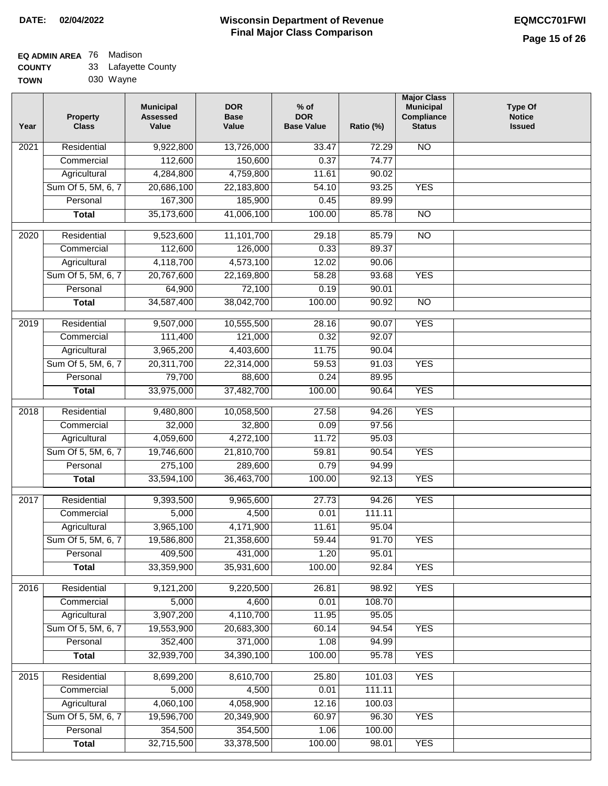### **EQ ADMIN AREA** 76 Madison  $33 \quad$ l afar

| <b>COUNTY</b> | 33 Lafayette County |
|---------------|---------------------|
| <b>TOWN</b>   | 030 Wayne           |

| Year              | <b>Property</b><br><b>Class</b> | <b>Municipal</b><br><b>Assessed</b><br>Value | <b>DOR</b><br><b>Base</b><br>Value | $%$ of<br><b>DOR</b><br><b>Base Value</b> | Ratio (%) | <b>Major Class</b><br><b>Municipal</b><br>Compliance<br><b>Status</b> | <b>Type Of</b><br><b>Notice</b><br><b>Issued</b> |
|-------------------|---------------------------------|----------------------------------------------|------------------------------------|-------------------------------------------|-----------|-----------------------------------------------------------------------|--------------------------------------------------|
| $\overline{202}1$ | Residential                     | 9,922,800                                    | 13,726,000                         | 33.47                                     | 72.29     | N <sub>O</sub>                                                        |                                                  |
|                   | Commercial                      | 112,600                                      | 150,600                            | 0.37                                      | 74.77     |                                                                       |                                                  |
|                   | Agricultural                    | 4,284,800                                    | 4,759,800                          | 11.61                                     | 90.02     |                                                                       |                                                  |
|                   | Sum Of 5, 5M, 6, 7              | 20,686,100                                   | 22,183,800                         | 54.10                                     | 93.25     | <b>YES</b>                                                            |                                                  |
|                   | Personal                        | 167,300                                      | 185,900                            | 0.45                                      | 89.99     |                                                                       |                                                  |
|                   | <b>Total</b>                    | 35,173,600                                   | 41,006,100                         | 100.00                                    | 85.78     | <b>NO</b>                                                             |                                                  |
| 2020              | Residential                     | 9,523,600                                    | 11,101,700                         | 29.18                                     | 85.79     | $\overline{NO}$                                                       |                                                  |
|                   | Commercial                      | 112,600                                      | 126,000                            | 0.33                                      | 89.37     |                                                                       |                                                  |
|                   | Agricultural                    | 4,118,700                                    | 4,573,100                          | 12.02                                     | 90.06     |                                                                       |                                                  |
|                   | Sum Of 5, 5M, 6, 7              | 20,767,600                                   | 22,169,800                         | 58.28                                     | 93.68     | <b>YES</b>                                                            |                                                  |
|                   | Personal                        | 64,900                                       | 72,100                             | 0.19                                      | 90.01     |                                                                       |                                                  |
|                   | <b>Total</b>                    | 34,587,400                                   | 38,042,700                         | 100.00                                    | 90.92     | $\overline{NO}$                                                       |                                                  |
| 2019              | Residential                     | 9,507,000                                    | 10,555,500                         | 28.16                                     | 90.07     | <b>YES</b>                                                            |                                                  |
|                   | Commercial                      | 111,400                                      | 121,000                            | 0.32                                      | 92.07     |                                                                       |                                                  |
|                   | Agricultural                    | 3,965,200                                    | 4,403,600                          | 11.75                                     | 90.04     |                                                                       |                                                  |
|                   | Sum Of 5, 5M, 6, 7              | 20,311,700                                   | 22,314,000                         | 59.53                                     | 91.03     | <b>YES</b>                                                            |                                                  |
|                   | Personal                        | 79,700                                       | 88,600                             | 0.24                                      | 89.95     |                                                                       |                                                  |
|                   | <b>Total</b>                    | 33,975,000                                   | 37,482,700                         | 100.00                                    | 90.64     | <b>YES</b>                                                            |                                                  |
|                   |                                 |                                              |                                    |                                           |           |                                                                       |                                                  |
| 2018              | Residential                     | 9,480,800                                    | 10,058,500                         | 27.58                                     | 94.26     | <b>YES</b>                                                            |                                                  |
|                   | Commercial                      | 32,000                                       | 32,800                             | 0.09                                      | 97.56     |                                                                       |                                                  |
|                   | Agricultural                    | 4,059,600                                    | 4,272,100                          | 11.72                                     | 95.03     |                                                                       |                                                  |
|                   | Sum Of 5, 5M, 6, 7              | 19,746,600                                   | 21,810,700                         | 59.81                                     | 90.54     | <b>YES</b>                                                            |                                                  |
|                   | Personal                        | 275,100                                      | 289,600                            | 0.79                                      | 94.99     |                                                                       |                                                  |
|                   | <b>Total</b>                    | 33,594,100                                   | 36,463,700                         | 100.00                                    | 92.13     | <b>YES</b>                                                            |                                                  |
| 2017              | Residential                     | 9,393,500                                    | 9,965,600                          | 27.73                                     | 94.26     | <b>YES</b>                                                            |                                                  |
|                   | Commercial                      | 5,000                                        | 4,500                              | 0.01                                      | 111.11    |                                                                       |                                                  |
|                   | Agricultural                    | 3,965,100                                    | 4,171,900                          | 11.61                                     | 95.04     |                                                                       |                                                  |
|                   | Sum Of 5, 5M, 6, 7              | 19,586,800                                   | 21,358,600                         | 59.44                                     | 91.70     | <b>YES</b>                                                            |                                                  |
|                   | Personal                        | 409,500                                      | 431,000                            | 1.20                                      | 95.01     |                                                                       |                                                  |
|                   | <b>Total</b>                    | 33,359,900                                   | 35,931,600                         | 100.00                                    | 92.84     | <b>YES</b>                                                            |                                                  |
| 2016              | Residential                     | 9,121,200                                    | 9,220,500                          | 26.81                                     | 98.92     | <b>YES</b>                                                            |                                                  |
|                   | Commercial                      | 5,000                                        | 4,600                              | 0.01                                      | 108.70    |                                                                       |                                                  |
|                   | Agricultural                    | 3,907,200                                    | 4,110,700                          | 11.95                                     | 95.05     |                                                                       |                                                  |
|                   | Sum Of 5, 5M, 6, 7              | 19,553,900                                   | 20,683,300                         | 60.14                                     | 94.54     | <b>YES</b>                                                            |                                                  |
|                   | Personal                        | 352,400                                      | 371,000                            | 1.08                                      | 94.99     |                                                                       |                                                  |
|                   | <b>Total</b>                    | 32,939,700                                   | 34,390,100                         | 100.00                                    | 95.78     | <b>YES</b>                                                            |                                                  |
| 2015              | Residential                     | 8,699,200                                    | 8,610,700                          | 25.80                                     | 101.03    | <b>YES</b>                                                            |                                                  |
|                   | Commercial                      | 5,000                                        | 4,500                              | 0.01                                      | 111.11    |                                                                       |                                                  |
|                   | Agricultural                    | 4,060,100                                    | 4,058,900                          | 12.16                                     | 100.03    |                                                                       |                                                  |
|                   | Sum Of 5, 5M, 6, 7              | 19,596,700                                   | 20,349,900                         | 60.97                                     | 96.30     | <b>YES</b>                                                            |                                                  |
|                   | Personal                        | 354,500                                      | 354,500                            | 1.06                                      | 100.00    |                                                                       |                                                  |
|                   | <b>Total</b>                    | 32,715,500                                   | 33,378,500                         | 100.00                                    | 98.01     | <b>YES</b>                                                            |                                                  |
|                   |                                 |                                              |                                    |                                           |           |                                                                       |                                                  |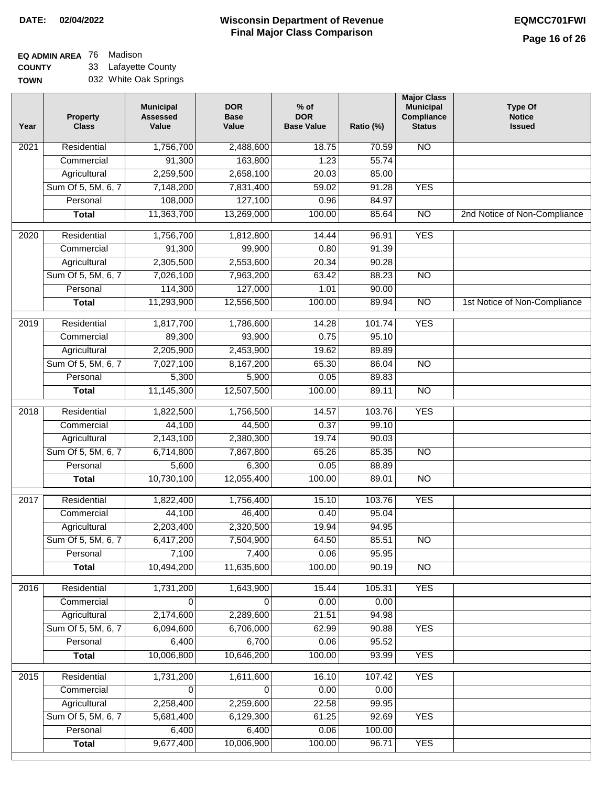#### **Wisconsin Department of Revenue Final Major Class Comparison DATE: 02/04/2022 EQMCC701FWI**

### **EQ ADMIN AREA** 76 Madison

**COUNTY TOWN** 33 Lafayette County 032 White Oak Springs

| Year | Property<br><b>Class</b> | <b>Municipal</b><br><b>Assessed</b><br>Value | <b>DOR</b><br><b>Base</b><br>Value | $%$ of<br><b>DOR</b><br><b>Base Value</b> | Ratio (%)       | <b>Major Class</b><br><b>Municipal</b><br>Compliance<br><b>Status</b> | <b>Type Of</b><br><b>Notice</b><br><b>Issued</b> |
|------|--------------------------|----------------------------------------------|------------------------------------|-------------------------------------------|-----------------|-----------------------------------------------------------------------|--------------------------------------------------|
| 2021 | Residential              | 1,756,700                                    | 2,488,600                          | 18.75                                     | 70.59           | N <sub>O</sub>                                                        |                                                  |
|      | Commercial               | 91,300                                       | 163,800                            | 1.23                                      | 55.74           |                                                                       |                                                  |
|      | Agricultural             | 2,259,500                                    | 2,658,100                          | 20.03                                     | 85.00           |                                                                       |                                                  |
|      | Sum Of 5, 5M, 6, 7       | 7,148,200                                    | 7,831,400                          | 59.02                                     | 91.28           | <b>YES</b>                                                            |                                                  |
|      | Personal                 | 108,000                                      | 127,100                            | 0.96                                      | 84.97           |                                                                       |                                                  |
|      | <b>Total</b>             | 11,363,700                                   | 13,269,000                         | 100.00                                    | 85.64           | $\overline{NO}$                                                       | 2nd Notice of Non-Compliance                     |
| 2020 | Residential              | 1,756,700                                    | 1,812,800                          | 14.44                                     | 96.91           | <b>YES</b>                                                            |                                                  |
|      | Commercial               | 91,300                                       | 99,900                             | 0.80                                      | 91.39           |                                                                       |                                                  |
|      | Agricultural             | 2,305,500                                    | 2,553,600                          | 20.34                                     | 90.28           |                                                                       |                                                  |
|      | Sum Of 5, 5M, 6, 7       | 7,026,100                                    | 7,963,200                          | 63.42                                     | 88.23           | $\overline{NO}$                                                       |                                                  |
|      | Personal                 | 114,300                                      | 127,000                            | 1.01                                      | 90.00           |                                                                       |                                                  |
|      | <b>Total</b>             | 11,293,900                                   | 12,556,500                         | 100.00                                    | 89.94           | $\overline{NO}$                                                       | 1st Notice of Non-Compliance                     |
| 2019 | Residential              | 1,817,700                                    | 1,786,600                          | 14.28                                     | 101.74          | <b>YES</b>                                                            |                                                  |
|      | Commercial               | 89,300                                       | 93,900                             | 0.75                                      | 95.10           |                                                                       |                                                  |
|      | Agricultural             | 2,205,900                                    | 2,453,900                          | 19.62                                     | 89.89           |                                                                       |                                                  |
|      | Sum Of 5, 5M, 6, 7       | 7,027,100                                    | 8,167,200                          | 65.30                                     | 86.04           | $\overline{NO}$                                                       |                                                  |
|      | Personal                 | 5,300                                        | 5,900                              | 0.05                                      | 89.83           |                                                                       |                                                  |
|      | <b>Total</b>             | 11,145,300                                   | 12,507,500                         | 100.00                                    | 89.11           | <b>NO</b>                                                             |                                                  |
| 2018 | Residential              | 1,822,500                                    | 1,756,500                          | 14.57                                     | 103.76          | <b>YES</b>                                                            |                                                  |
|      | Commercial               | 44,100                                       | 44,500                             | 0.37                                      | 99.10           |                                                                       |                                                  |
|      | Agricultural             | 2,143,100                                    | 2,380,300                          | 19.74                                     | 90.03           |                                                                       |                                                  |
|      | Sum Of 5, 5M, 6, 7       | 6,714,800                                    | 7,867,800                          | 65.26                                     | 85.35           | <b>NO</b>                                                             |                                                  |
|      | Personal                 | 5,600                                        | 6,300                              | 0.05                                      | 88.89           |                                                                       |                                                  |
|      | <b>Total</b>             | 10,730,100                                   | 12,055,400                         | 100.00                                    | 89.01           | $\overline{10}$                                                       |                                                  |
| 2017 | Residential              | 1,822,400                                    | 1,756,400                          | 15.10                                     | 103.76          | <b>YES</b>                                                            |                                                  |
|      | Commercial               | 44,100                                       | 46,400                             | 0.40                                      | 95.04           |                                                                       |                                                  |
|      | Agricultural             | 2,203,400                                    | 2,320,500                          | 19.94                                     | 94.95           |                                                                       |                                                  |
|      | Sum Of 5, 5M, 6, 7       | 6,417,200                                    | 7,504,900                          | 64.50                                     | 85.51           | $\overline{NO}$                                                       |                                                  |
|      | Personal                 | 7,100                                        | 7,400                              | 0.06                                      | 95.95           |                                                                       |                                                  |
|      | <b>Total</b>             | 10,494,200                                   | 11,635,600                         | 100.00                                    | 90.19           | $\overline{NO}$                                                       |                                                  |
| 2016 | Residential              | 1,731,200                                    | 1,643,900                          | 15.44                                     | 105.31          | <b>YES</b>                                                            |                                                  |
|      | Commercial               | 0                                            | 0                                  | 0.00                                      | 0.00            |                                                                       |                                                  |
|      | Agricultural             | 2,174,600                                    | 2,289,600                          | 21.51                                     | 94.98           |                                                                       |                                                  |
|      | Sum Of 5, 5M, 6, 7       | 6,094,600                                    | 6,706,000                          | 62.99                                     | 90.88           | <b>YES</b>                                                            |                                                  |
|      | Personal                 | 6,400                                        | 6,700                              | 0.06                                      | 95.52           |                                                                       |                                                  |
|      | <b>Total</b>             | 10,006,800                                   | 10,646,200                         | 100.00                                    | 93.99           | <b>YES</b>                                                            |                                                  |
|      |                          |                                              |                                    |                                           |                 |                                                                       |                                                  |
| 2015 | Residential              | 1,731,200                                    | 1,611,600                          | 16.10                                     | 107.42          | <b>YES</b>                                                            |                                                  |
|      | Commercial               | 0                                            | 0                                  | 0.00                                      | 0.00            |                                                                       |                                                  |
|      | Agricultural             | 2,258,400                                    | 2,259,600                          | 22.58                                     | 99.95           |                                                                       |                                                  |
|      | Sum Of 5, 5M, 6, 7       | 5,681,400                                    | 6,129,300                          | 61.25                                     | 92.69           | <b>YES</b>                                                            |                                                  |
|      | Personal                 | 6,400<br>9,677,400                           | 6,400<br>10,006,900                | 0.06<br>100.00                            | 100.00<br>96.71 | <b>YES</b>                                                            |                                                  |
|      | <b>Total</b>             |                                              |                                    |                                           |                 |                                                                       |                                                  |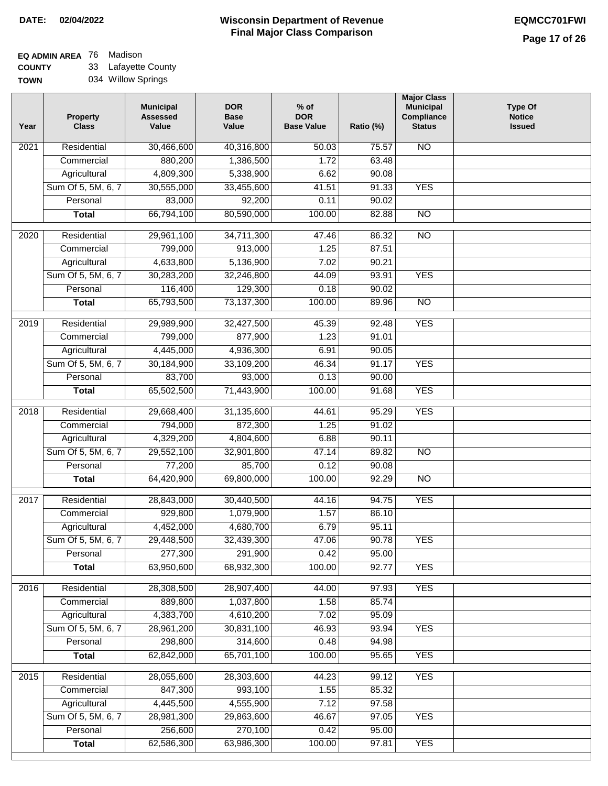#### **Wisconsin Department of Revenue Final Major Class Comparison DATE: 02/04/2022 EQMCC701FWI**

# **EQ ADMIN AREA** 76 Madison

**COUNTY TOWN** 33 Lafayette County 034 Willow Springs

| Year | Property<br><b>Class</b> | <b>Municipal</b><br><b>Assessed</b><br>Value | <b>DOR</b><br><b>Base</b><br>Value | $%$ of<br><b>DOR</b><br><b>Base Value</b> | Ratio (%) | <b>Major Class</b><br><b>Municipal</b><br>Compliance<br><b>Status</b> | <b>Type Of</b><br><b>Notice</b><br><b>Issued</b> |
|------|--------------------------|----------------------------------------------|------------------------------------|-------------------------------------------|-----------|-----------------------------------------------------------------------|--------------------------------------------------|
| 2021 | Residential              | 30,466,600                                   | 40,316,800                         | 50.03                                     | 75.57     | <b>NO</b>                                                             |                                                  |
|      | Commercial               | 880,200                                      | 1,386,500                          | 1.72                                      | 63.48     |                                                                       |                                                  |
|      | Agricultural             | 4,809,300                                    | 5,338,900                          | 6.62                                      | 90.08     |                                                                       |                                                  |
|      | Sum Of 5, 5M, 6, 7       | 30,555,000                                   | 33,455,600                         | 41.51                                     | 91.33     | <b>YES</b>                                                            |                                                  |
|      | Personal                 | 83,000                                       | 92,200                             | 0.11                                      | 90.02     |                                                                       |                                                  |
|      | <b>Total</b>             | 66,794,100                                   | 80,590,000                         | 100.00                                    | 82.88     | $\overline{NO}$                                                       |                                                  |
| 2020 | Residential              | 29,961,100                                   | 34,711,300                         | 47.46                                     | 86.32     | $\overline{NO}$                                                       |                                                  |
|      | Commercial               | 799,000                                      | 913,000                            | 1.25                                      | 87.51     |                                                                       |                                                  |
|      | Agricultural             | 4,633,800                                    | 5,136,900                          | 7.02                                      | 90.21     |                                                                       |                                                  |
|      | Sum Of 5, 5M, 6, 7       | 30,283,200                                   | 32,246,800                         | 44.09                                     | 93.91     | <b>YES</b>                                                            |                                                  |
|      | Personal                 | 116,400                                      | 129,300                            | 0.18                                      | 90.02     |                                                                       |                                                  |
|      | <b>Total</b>             | 65,793,500                                   | 73,137,300                         | 100.00                                    | 89.96     | $\overline{NO}$                                                       |                                                  |
|      |                          |                                              |                                    |                                           |           |                                                                       |                                                  |
| 2019 | Residential              | 29,989,900                                   | 32,427,500                         | 45.39                                     | 92.48     | <b>YES</b>                                                            |                                                  |
|      | Commercial               | 799,000                                      | 877,900                            | 1.23                                      | 91.01     |                                                                       |                                                  |
|      | Agricultural             | 4,445,000                                    | 4,936,300                          | 6.91                                      | 90.05     |                                                                       |                                                  |
|      | Sum Of 5, 5M, 6, 7       | 30,184,900                                   | 33,109,200                         | 46.34                                     | 91.17     | <b>YES</b>                                                            |                                                  |
|      | Personal                 | 83,700                                       | 93,000                             | 0.13                                      | 90.00     |                                                                       |                                                  |
|      | <b>Total</b>             | 65,502,500                                   | 71,443,900                         | 100.00                                    | 91.68     | <b>YES</b>                                                            |                                                  |
| 2018 | Residential              | 29,668,400                                   | 31,135,600                         | 44.61                                     | 95.29     | <b>YES</b>                                                            |                                                  |
|      | Commercial               | 794,000                                      | 872,300                            | 1.25                                      | 91.02     |                                                                       |                                                  |
|      | Agricultural             | 4,329,200                                    | 4,804,600                          | 6.88                                      | 90.11     |                                                                       |                                                  |
|      | Sum Of 5, 5M, 6, 7       | 29,552,100                                   | 32,901,800                         | 47.14                                     | 89.82     | <b>NO</b>                                                             |                                                  |
|      | Personal                 | 77,200                                       | 85,700                             | 0.12                                      | 90.08     |                                                                       |                                                  |
|      | <b>Total</b>             | 64,420,900                                   | 69,800,000                         | 100.00                                    | 92.29     | $\overline{NO}$                                                       |                                                  |
| 2017 | Residential              | 28,843,000                                   | 30,440,500                         | 44.16                                     | 94.75     | <b>YES</b>                                                            |                                                  |
|      | Commercial               | 929,800                                      | 1,079,900                          | 1.57                                      | 86.10     |                                                                       |                                                  |
|      | Agricultural             | 4,452,000                                    | 4,680,700                          | 6.79                                      | 95.11     |                                                                       |                                                  |
|      | Sum Of 5, 5M, 6, 7       | 29,448,500                                   | 32,439,300                         | 47.06                                     | 90.78     | <b>YES</b>                                                            |                                                  |
|      | Personal                 | 277,300                                      | 291,900                            | 0.42                                      | 95.00     |                                                                       |                                                  |
|      | <b>Total</b>             | 63,950,600                                   | 68,932,300                         | 100.00                                    | 92.77     | <b>YES</b>                                                            |                                                  |
| 2016 | Residential              | 28,308,500                                   | 28,907,400                         | 44.00                                     | 97.93     | <b>YES</b>                                                            |                                                  |
|      | Commercial               | 889,800                                      | 1,037,800                          | 1.58                                      | 85.74     |                                                                       |                                                  |
|      | Agricultural             | 4,383,700                                    | 4,610,200                          | 7.02                                      | 95.09     |                                                                       |                                                  |
|      | Sum Of 5, 5M, 6, 7       | 28,961,200                                   | 30,831,100                         | 46.93                                     | 93.94     | <b>YES</b>                                                            |                                                  |
|      | Personal                 | 298,800                                      | 314,600                            | 0.48                                      | 94.98     |                                                                       |                                                  |
|      | <b>Total</b>             | 62,842,000                                   | 65,701,100                         | 100.00                                    | 95.65     | <b>YES</b>                                                            |                                                  |
|      |                          |                                              |                                    |                                           |           |                                                                       |                                                  |
| 2015 | Residential              | 28,055,600                                   | 28,303,600                         | 44.23                                     | 99.12     | <b>YES</b>                                                            |                                                  |
|      | Commercial               | 847,300                                      | 993,100                            | 1.55                                      | 85.32     |                                                                       |                                                  |
|      | Agricultural             | 4,445,500                                    | 4,555,900                          | 7.12                                      | 97.58     |                                                                       |                                                  |
|      | Sum Of 5, 5M, 6, 7       | 28,981,300                                   | 29,863,600                         | 46.67                                     | 97.05     | <b>YES</b>                                                            |                                                  |
|      | Personal                 | 256,600                                      | 270,100                            | 0.42                                      | 95.00     |                                                                       |                                                  |
|      | <b>Total</b>             | 62,586,300                                   | 63,986,300                         | 100.00                                    | 97.81     | <b>YES</b>                                                            |                                                  |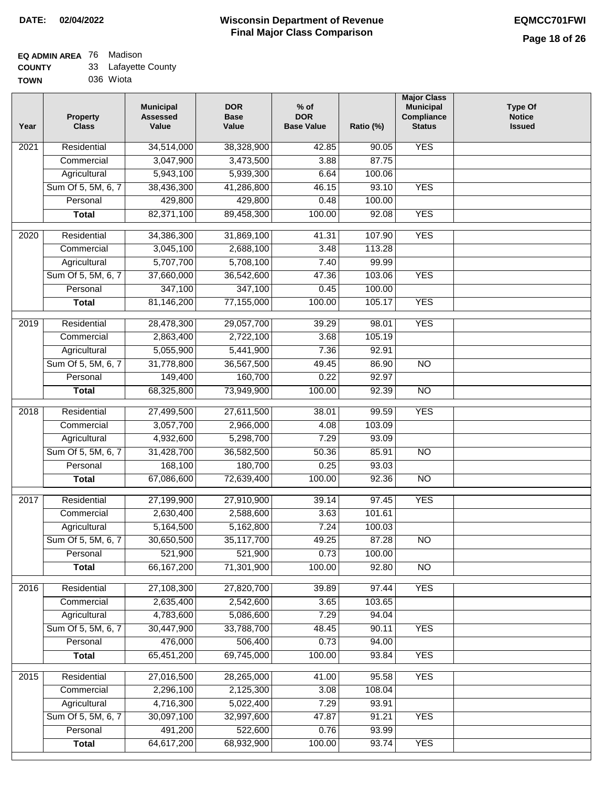#### **EQ ADMIN AREA** 76 Madison **COUNTY** 33 Lafayette County

| <b>TOWN</b> | 036 Wiota |
|-------------|-----------|
|             |           |

| Year              | <b>Property</b><br><b>Class</b> | <b>Municipal</b><br><b>Assessed</b><br>Value | <b>DOR</b><br><b>Base</b><br>Value | % of<br><b>DOR</b><br><b>Base Value</b> | Ratio (%)       | <b>Major Class</b><br><b>Municipal</b><br>Compliance<br><b>Status</b> | <b>Type Of</b><br><b>Notice</b><br><b>Issued</b> |
|-------------------|---------------------------------|----------------------------------------------|------------------------------------|-----------------------------------------|-----------------|-----------------------------------------------------------------------|--------------------------------------------------|
| $\overline{202}1$ | Residential                     | 34,514,000                                   | 38,328,900                         | 42.85                                   | 90.05           | <b>YES</b>                                                            |                                                  |
|                   | Commercial                      | 3,047,900                                    | 3,473,500                          | 3.88                                    | 87.75           |                                                                       |                                                  |
|                   | Agricultural                    | 5,943,100                                    | 5,939,300                          | 6.64                                    | 100.06          |                                                                       |                                                  |
|                   | Sum Of 5, 5M, 6, 7              | 38,436,300                                   | 41,286,800                         | 46.15                                   | 93.10           | <b>YES</b>                                                            |                                                  |
|                   | Personal                        | 429,800                                      | 429,800                            | 0.48                                    | 100.00          |                                                                       |                                                  |
|                   | <b>Total</b>                    | 82,371,100                                   | 89,458,300                         | 100.00                                  | 92.08           | <b>YES</b>                                                            |                                                  |
| $\overline{2020}$ | Residential                     | 34,386,300                                   | 31,869,100                         | 41.31                                   | 107.90          | <b>YES</b>                                                            |                                                  |
|                   | Commercial                      | 3,045,100                                    | 2,688,100                          | 3.48                                    | 113.28          |                                                                       |                                                  |
|                   | Agricultural                    | 5,707,700                                    | 5,708,100                          | 7.40                                    | 99.99           |                                                                       |                                                  |
|                   | Sum Of 5, 5M, 6, 7              | 37,660,000                                   | 36,542,600                         | 47.36                                   | 103.06          | <b>YES</b>                                                            |                                                  |
|                   | Personal                        | 347,100                                      | 347,100                            | 0.45                                    | 100.00          |                                                                       |                                                  |
|                   | <b>Total</b>                    | 81,146,200                                   | 77,155,000                         | 100.00                                  | 105.17          | <b>YES</b>                                                            |                                                  |
|                   |                                 |                                              |                                    |                                         |                 |                                                                       |                                                  |
| $\frac{2019}{ }$  | Residential                     | 28,478,300                                   | 29,057,700                         | 39.29                                   | 98.01           | <b>YES</b>                                                            |                                                  |
|                   | Commercial                      | 2,863,400                                    | 2,722,100                          | 3.68                                    | 105.19          |                                                                       |                                                  |
|                   | Agricultural                    | 5,055,900                                    | 5,441,900                          | 7.36                                    | 92.91           |                                                                       |                                                  |
|                   | Sum Of 5, 5M, 6, 7              | 31,778,800                                   | 36,567,500                         | 49.45                                   | 86.90           | $\overline{NO}$                                                       |                                                  |
|                   | Personal                        | 149,400                                      | 160,700                            | 0.22                                    | 92.97           |                                                                       |                                                  |
|                   | <b>Total</b>                    | 68,325,800                                   | 73,949,900                         | 100.00                                  | 92.39           | $\overline{NO}$                                                       |                                                  |
| 2018              | Residential                     | 27,499,500                                   | 27,611,500                         | 38.01                                   | 99.59           | <b>YES</b>                                                            |                                                  |
|                   | Commercial                      | 3,057,700                                    | 2,966,000                          | 4.08                                    | 103.09          |                                                                       |                                                  |
|                   | Agricultural                    | 4,932,600                                    | 5,298,700                          | 7.29                                    | 93.09           |                                                                       |                                                  |
|                   | Sum Of 5, 5M, 6, 7              | 31,428,700                                   | 36,582,500                         | 50.36                                   | 85.91           | $\overline{3}$                                                        |                                                  |
|                   | Personal                        | 168,100                                      | 180,700                            | 0.25                                    | 93.03           |                                                                       |                                                  |
|                   | <b>Total</b>                    | 67,086,600                                   | 72,639,400                         | 100.00                                  | 92.36           | <b>NO</b>                                                             |                                                  |
| $\overline{2017}$ | Residential                     | 27,199,900                                   | 27,910,900                         | 39.14                                   | 97.45           | <b>YES</b>                                                            |                                                  |
|                   | Commercial                      | 2,630,400                                    | 2,588,600                          | 3.63                                    | 101.61          |                                                                       |                                                  |
|                   | Agricultural                    | 5,164,500                                    | 5,162,800                          | 7.24                                    | 100.03          |                                                                       |                                                  |
|                   | Sum Of 5, 5M, 6, 7              | 30,650,500                                   | 35,117,700                         | 49.25                                   | 87.28           | <b>NO</b>                                                             |                                                  |
|                   | Personal                        | 521,900                                      | 521,900                            | 0.73                                    | 100.00          |                                                                       |                                                  |
|                   | <b>Total</b>                    | 66, 167, 200                                 | 71,301,900                         | 100.00                                  | 92.80           | <b>NO</b>                                                             |                                                  |
|                   | Residential                     |                                              |                                    |                                         |                 |                                                                       |                                                  |
| 2016              | Commercial                      | 27,108,300<br>2,635,400                      | 27,820,700<br>2,542,600            | 39.89<br>3.65                           | 97.44<br>103.65 | <b>YES</b>                                                            |                                                  |
|                   | Agricultural                    | 4,783,600                                    | 5,086,600                          | 7.29                                    | 94.04           |                                                                       |                                                  |
|                   | Sum Of 5, 5M, 6, 7              | 30,447,900                                   | 33,788,700                         | 48.45                                   | 90.11           | <b>YES</b>                                                            |                                                  |
|                   | Personal                        | 476,000                                      | 506,400                            | 0.73                                    | 94.00           |                                                                       |                                                  |
|                   | <b>Total</b>                    | 65,451,200                                   | 69,745,000                         | 100.00                                  | 93.84           | <b>YES</b>                                                            |                                                  |
|                   |                                 |                                              |                                    |                                         |                 |                                                                       |                                                  |
| 2015              | Residential                     | 27,016,500                                   | 28,265,000                         | 41.00                                   | 95.58           | <b>YES</b>                                                            |                                                  |
|                   | Commercial                      | 2,296,100                                    | 2,125,300                          | 3.08                                    | 108.04          |                                                                       |                                                  |
|                   | Agricultural                    | 4,716,300                                    | 5,022,400                          | 7.29                                    | 93.91           |                                                                       |                                                  |
|                   | Sum Of 5, 5M, 6, 7              | 30,097,100                                   | 32,997,600                         | 47.87                                   | 91.21           | <b>YES</b>                                                            |                                                  |
|                   | Personal                        | 491,200                                      | 522,600                            | 0.76                                    | 93.99           |                                                                       |                                                  |
|                   | <b>Total</b>                    | 64,617,200                                   | 68,932,900                         | 100.00                                  | 93.74           | <b>YES</b>                                                            |                                                  |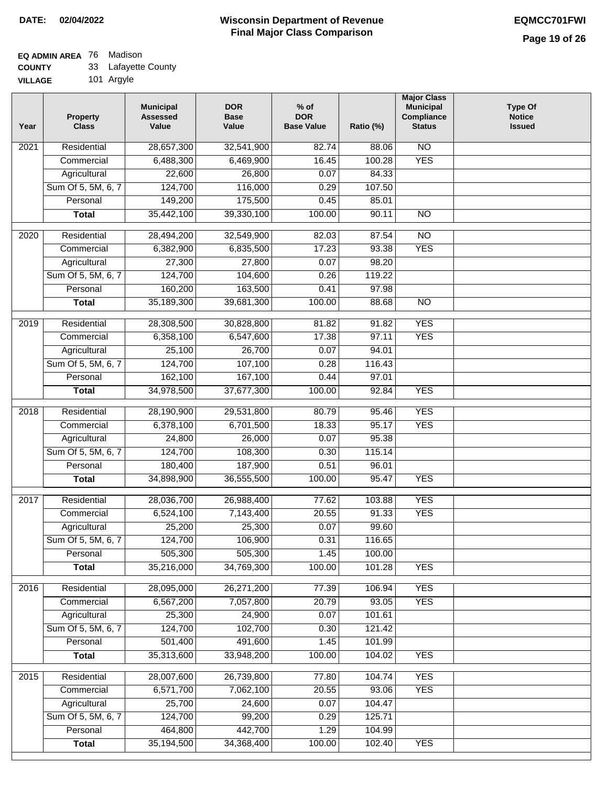#### **EQ ADMIN AREA** 76 Madison

| <b>COUNTY</b>  | 33 Lafayette County |
|----------------|---------------------|
| <b>VILLAGE</b> | 101 Argyle          |

| Year | <b>Property</b><br><b>Class</b> | <b>Municipal</b><br><b>Assessed</b><br>Value | <b>DOR</b><br><b>Base</b><br>Value | $%$ of<br><b>DOR</b><br><b>Base Value</b> | Ratio (%)        | <b>Major Class</b><br><b>Municipal</b><br>Compliance<br><b>Status</b> | <b>Type Of</b><br><b>Notice</b><br><b>Issued</b> |
|------|---------------------------------|----------------------------------------------|------------------------------------|-------------------------------------------|------------------|-----------------------------------------------------------------------|--------------------------------------------------|
| 2021 | Residential                     | 28,657,300                                   | 32,541,900                         | 82.74                                     | 88.06            | N <sub>O</sub>                                                        |                                                  |
|      | Commercial                      | 6,488,300                                    | 6,469,900                          | 16.45                                     | 100.28           | <b>YES</b>                                                            |                                                  |
|      | Agricultural                    | 22,600                                       | 26,800                             | 0.07                                      | 84.33            |                                                                       |                                                  |
|      | Sum Of 5, 5M, 6, 7              | 124,700                                      | 116,000                            | 0.29                                      | 107.50           |                                                                       |                                                  |
|      | Personal                        | 149,200                                      | 175,500                            | 0.45                                      | 85.01            |                                                                       |                                                  |
|      | <b>Total</b>                    | 35,442,100                                   | 39,330,100                         | 100.00                                    | 90.11            | $\overline{NO}$                                                       |                                                  |
| 2020 | Residential                     | 28,494,200                                   | 32,549,900                         | 82.03                                     | 87.54            | $\overline{NO}$                                                       |                                                  |
|      | Commercial                      | 6,382,900                                    | 6,835,500                          | 17.23                                     | 93.38            | <b>YES</b>                                                            |                                                  |
|      | Agricultural                    | 27,300                                       | 27,800                             | 0.07                                      | 98.20            |                                                                       |                                                  |
|      | Sum Of 5, 5M, 6, 7              | 124,700                                      | 104,600                            | 0.26                                      | 119.22           |                                                                       |                                                  |
|      | Personal                        | 160,200                                      | 163,500                            | 0.41                                      | 97.98            |                                                                       |                                                  |
|      | <b>Total</b>                    | 35,189,300                                   | 39,681,300                         | 100.00                                    | 88.68            | $\overline{NO}$                                                       |                                                  |
| 2019 | Residential                     | 28,308,500                                   | 30,828,800                         | 81.82                                     | 91.82            | <b>YES</b>                                                            |                                                  |
|      | Commercial                      | 6,358,100                                    | 6,547,600                          | 17.38                                     | 97.11            | <b>YES</b>                                                            |                                                  |
|      | Agricultural                    | 25,100                                       | 26,700                             | 0.07                                      | 94.01            |                                                                       |                                                  |
|      | Sum Of 5, 5M, 6, 7              | 124,700                                      | 107,100                            | 0.28                                      | 116.43           |                                                                       |                                                  |
|      | Personal                        | 162,100                                      | 167,100                            | 0.44                                      | 97.01            |                                                                       |                                                  |
|      | <b>Total</b>                    | 34,978,500                                   | 37,677,300                         | 100.00                                    | 92.84            | <b>YES</b>                                                            |                                                  |
|      |                                 |                                              |                                    |                                           |                  |                                                                       |                                                  |
| 2018 | Residential                     | 28,190,900                                   | 29,531,800                         | 80.79                                     | 95.46            | <b>YES</b>                                                            |                                                  |
|      | Commercial                      | 6,378,100                                    | 6,701,500                          | 18.33                                     | 95.17            | <b>YES</b>                                                            |                                                  |
|      | Agricultural                    | 24,800                                       | 26,000                             | 0.07                                      | 95.38            |                                                                       |                                                  |
|      | Sum Of 5, 5M, 6, 7              | 124,700                                      | 108,300                            | 0.30                                      | 115.14           |                                                                       |                                                  |
|      | Personal                        | 180,400                                      | 187,900                            | 0.51                                      | 96.01            |                                                                       |                                                  |
|      | <b>Total</b>                    | 34,898,900                                   | 36,555,500                         | 100.00                                    | 95.47            | <b>YES</b>                                                            |                                                  |
| 2017 | Residential                     | 28,036,700                                   | 26,988,400                         | 77.62                                     | 103.88           | <b>YES</b>                                                            |                                                  |
|      | Commercial                      | 6,524,100                                    | 7,143,400                          | 20.55                                     | 91.33            | <b>YES</b>                                                            |                                                  |
|      | Agricultural                    | 25,200                                       | 25,300                             | 0.07                                      | 99.60            |                                                                       |                                                  |
|      | Sum Of 5, 5M, 6, 7              | 124,700                                      | 106,900                            | 0.31                                      | 116.65           |                                                                       |                                                  |
|      | Personal                        | 505,300                                      | 505,300                            | 1.45                                      | 100.00           |                                                                       |                                                  |
|      | <b>Total</b>                    | 35,216,000                                   | 34,769,300                         | 100.00                                    | 101.28           | <b>YES</b>                                                            |                                                  |
| 2016 | Residential                     | 28,095,000                                   | 26,271,200                         | 77.39                                     | 106.94           | <b>YES</b>                                                            |                                                  |
|      | Commercial                      | 6,567,200                                    | 7,057,800                          | 20.79                                     | 93.05            | <b>YES</b>                                                            |                                                  |
|      | Agricultural                    | 25,300                                       | 24,900                             | 0.07                                      | 101.61           |                                                                       |                                                  |
|      | Sum Of 5, 5M, 6, 7              | 124,700                                      | 102,700                            | 0.30                                      | 121.42           |                                                                       |                                                  |
|      | Personal                        | 501,400                                      | 491,600                            | 1.45                                      | 101.99           |                                                                       |                                                  |
|      | <b>Total</b>                    | 35,313,600                                   | 33,948,200                         | 100.00                                    | 104.02           | <b>YES</b>                                                            |                                                  |
|      |                                 |                                              |                                    |                                           |                  |                                                                       |                                                  |
| 2015 | Residential                     | 28,007,600                                   | 26,739,800                         | 77.80                                     | 104.74           | <b>YES</b>                                                            |                                                  |
|      | Commercial                      | 6,571,700                                    | 7,062,100                          | 20.55                                     | 93.06            | <b>YES</b>                                                            |                                                  |
|      | Agricultural                    | 25,700                                       | 24,600                             | 0.07                                      | 104.47           |                                                                       |                                                  |
|      | Sum Of 5, 5M, 6, 7              | 124,700<br>464,800                           | 99,200<br>442,700                  | 0.29                                      | 125.71           |                                                                       |                                                  |
|      | Personal<br><b>Total</b>        | 35,194,500                                   | 34,368,400                         | 1.29<br>100.00                            | 104.99<br>102.40 | <b>YES</b>                                                            |                                                  |
|      |                                 |                                              |                                    |                                           |                  |                                                                       |                                                  |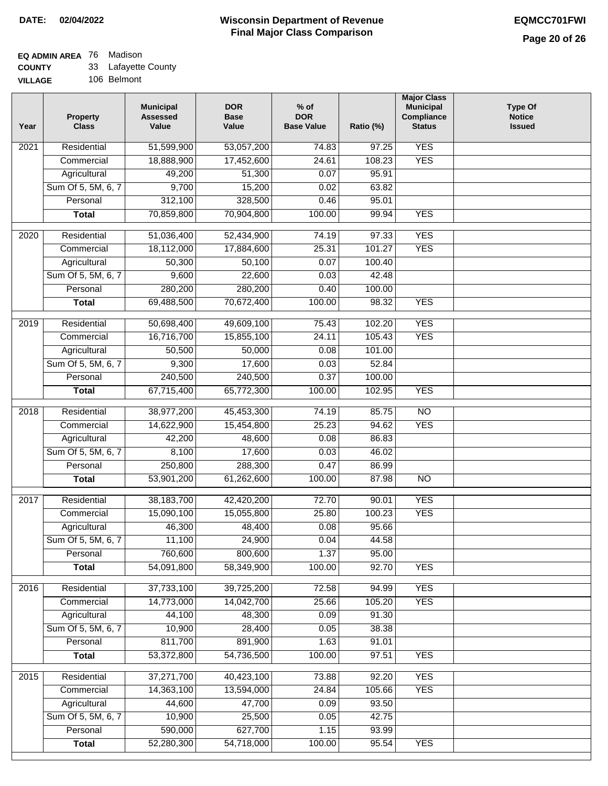### **EQ ADMIN AREA** 76 Madison **COUNTY**

| <b>COUNTY</b>  | 33 Lafayette County |
|----------------|---------------------|
| <b>VILLAGE</b> | 106 Belmont         |

| Year | <b>Property</b><br><b>Class</b> | <b>Municipal</b><br><b>Assessed</b><br>Value | <b>DOR</b><br><b>Base</b><br>Value | $%$ of<br><b>DOR</b><br><b>Base Value</b> | Ratio (%) | <b>Major Class</b><br><b>Municipal</b><br>Compliance<br><b>Status</b> | <b>Type Of</b><br><b>Notice</b><br><b>Issued</b> |
|------|---------------------------------|----------------------------------------------|------------------------------------|-------------------------------------------|-----------|-----------------------------------------------------------------------|--------------------------------------------------|
| 2021 | Residential                     | 51,599,900                                   | 53,057,200                         | 74.83                                     | 97.25     | <b>YES</b>                                                            |                                                  |
|      | Commercial                      | 18,888,900                                   | 17,452,600                         | 24.61                                     | 108.23    | <b>YES</b>                                                            |                                                  |
|      | Agricultural                    | 49,200                                       | 51,300                             | 0.07                                      | 95.91     |                                                                       |                                                  |
|      | Sum Of 5, 5M, 6, 7              | 9,700                                        | 15,200                             | 0.02                                      | 63.82     |                                                                       |                                                  |
|      | Personal                        | 312,100                                      | 328,500                            | 0.46                                      | 95.01     |                                                                       |                                                  |
|      | <b>Total</b>                    | 70,859,800                                   | 70,904,800                         | 100.00                                    | 99.94     | <b>YES</b>                                                            |                                                  |
| 2020 | Residential                     | 51,036,400                                   | 52,434,900                         | 74.19                                     | 97.33     | <b>YES</b>                                                            |                                                  |
|      | Commercial                      | 18,112,000                                   | 17,884,600                         | 25.31                                     | 101.27    | <b>YES</b>                                                            |                                                  |
|      | Agricultural                    | 50,300                                       | 50,100                             | 0.07                                      | 100.40    |                                                                       |                                                  |
|      | Sum Of 5, 5M, 6, 7              | 9,600                                        | 22,600                             | 0.03                                      | 42.48     |                                                                       |                                                  |
|      | Personal                        | 280,200                                      | 280,200                            | 0.40                                      | 100.00    |                                                                       |                                                  |
|      | <b>Total</b>                    | 69,488,500                                   | 70,672,400                         | 100.00                                    | 98.32     | <b>YES</b>                                                            |                                                  |
|      |                                 |                                              |                                    |                                           |           |                                                                       |                                                  |
| 2019 | Residential                     | 50,698,400                                   | 49,609,100                         | 75.43                                     | 102.20    | <b>YES</b>                                                            |                                                  |
|      | Commercial                      | 16,716,700                                   | 15,855,100                         | 24.11                                     | 105.43    | <b>YES</b>                                                            |                                                  |
|      | Agricultural                    | 50,500                                       | 50,000                             | 0.08                                      | 101.00    |                                                                       |                                                  |
|      | Sum Of 5, 5M, 6, 7              | 9,300                                        | 17,600                             | 0.03                                      | 52.84     |                                                                       |                                                  |
|      | Personal                        | 240,500                                      | 240,500                            | 0.37                                      | 100.00    |                                                                       |                                                  |
|      | <b>Total</b>                    | 67,715,400                                   | 65,772,300                         | 100.00                                    | 102.95    | <b>YES</b>                                                            |                                                  |
| 2018 | Residential                     | 38,977,200                                   | 45,453,300                         | 74.19                                     | 85.75     | $\overline{NO}$                                                       |                                                  |
|      | Commercial                      | 14,622,900                                   | 15,454,800                         | 25.23                                     | 94.62     | <b>YES</b>                                                            |                                                  |
|      | Agricultural                    | 42,200                                       | 48,600                             | 0.08                                      | 86.83     |                                                                       |                                                  |
|      | Sum Of 5, 5M, 6, 7              | 8,100                                        | 17,600                             | 0.03                                      | 46.02     |                                                                       |                                                  |
|      | Personal                        | 250,800                                      | 288,300                            | 0.47                                      | 86.99     |                                                                       |                                                  |
|      | <b>Total</b>                    | 53,901,200                                   | 61,262,600                         | 100.00                                    | 87.98     | $\overline{NO}$                                                       |                                                  |
| 2017 | Residential                     | 38,183,700                                   | 42,420,200                         | 72.70                                     | 90.01     | <b>YES</b>                                                            |                                                  |
|      | Commercial                      | 15,090,100                                   | 15,055,800                         | 25.80                                     | 100.23    | <b>YES</b>                                                            |                                                  |
|      | Agricultural                    | 46,300                                       | 48,400                             | 0.08                                      | 95.66     |                                                                       |                                                  |
|      | Sum Of 5, 5M, 6, 7              | 11,100                                       | 24,900                             | 0.04                                      | 44.58     |                                                                       |                                                  |
|      | Personal                        | 760,600                                      | 800,600                            | 1.37                                      | 95.00     |                                                                       |                                                  |
|      | <b>Total</b>                    | 54,091,800                                   | 58,349,900                         | 100.00                                    | 92.70     | <b>YES</b>                                                            |                                                  |
| 2016 | Residential                     | 37,733,100                                   | 39,725,200                         | 72.58                                     | 94.99     | <b>YES</b>                                                            |                                                  |
|      | Commercial                      | 14,773,000                                   | 14,042,700                         | 25.66                                     | 105.20    | <b>YES</b>                                                            |                                                  |
|      | Agricultural                    | 44,100                                       | 48,300                             | 0.09                                      | 91.30     |                                                                       |                                                  |
|      | Sum Of 5, 5M, 6, 7              | 10,900                                       | 28,400                             | 0.05                                      | 38.38     |                                                                       |                                                  |
|      | Personal                        | 811,700                                      | 891,900                            | 1.63                                      | 91.01     |                                                                       |                                                  |
|      | <b>Total</b>                    | 53,372,800                                   | 54,736,500                         | 100.00                                    | 97.51     | <b>YES</b>                                                            |                                                  |
| 2015 | Residential                     | 37,271,700                                   | 40,423,100                         | 73.88                                     | 92.20     | <b>YES</b>                                                            |                                                  |
|      | Commercial                      | 14,363,100                                   | 13,594,000                         | 24.84                                     | 105.66    | <b>YES</b>                                                            |                                                  |
|      | Agricultural                    | 44,600                                       | 47,700                             | 0.09                                      | 93.50     |                                                                       |                                                  |
|      | Sum Of 5, 5M, 6, 7              | 10,900                                       | 25,500                             | 0.05                                      | 42.75     |                                                                       |                                                  |
|      | Personal                        | 590,000                                      | 627,700                            | 1.15                                      | 93.99     |                                                                       |                                                  |
|      | <b>Total</b>                    | 52,280,300                                   | 54,718,000                         | 100.00                                    | 95.54     | <b>YES</b>                                                            |                                                  |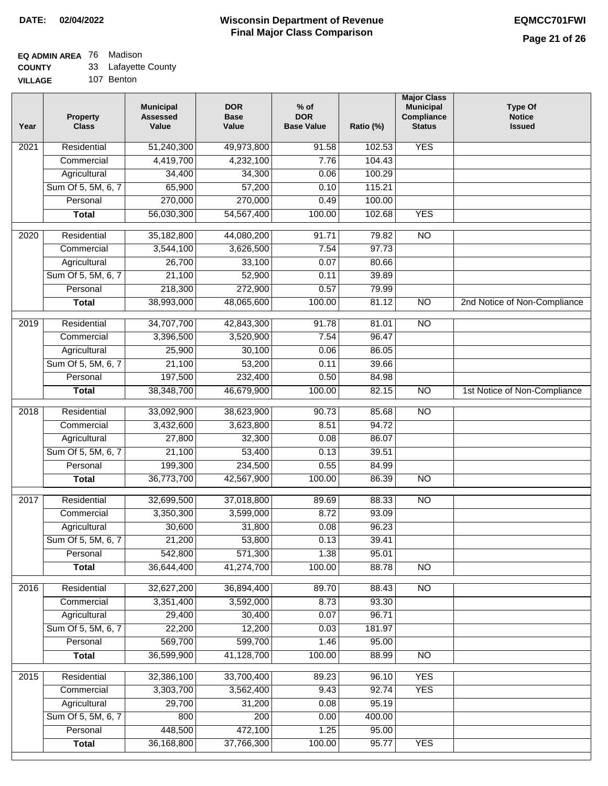#### **EQ ADMIN AREA** 76 Madison  $\sim$

| <b>COUNTY</b>  | 33 Lafayette County |
|----------------|---------------------|
| <b>VILLAGE</b> | 107 Benton          |

| Year              | <b>Property</b><br><b>Class</b> | <b>Municipal</b><br><b>Assessed</b><br>Value | <b>DOR</b><br><b>Base</b><br>Value | $%$ of<br><b>DOR</b><br><b>Base Value</b> | Ratio (%) | <b>Major Class</b><br><b>Municipal</b><br>Compliance<br><b>Status</b> | <b>Type Of</b><br><b>Notice</b><br><b>Issued</b> |
|-------------------|---------------------------------|----------------------------------------------|------------------------------------|-------------------------------------------|-----------|-----------------------------------------------------------------------|--------------------------------------------------|
| $\overline{202}1$ | Residential                     | 51,240,300                                   | 49,973,800                         | 91.58                                     | 102.53    | <b>YES</b>                                                            |                                                  |
|                   | Commercial                      | 4,419,700                                    | 4,232,100                          | 7.76                                      | 104.43    |                                                                       |                                                  |
|                   | Agricultural                    | 34,400                                       | 34,300                             | 0.06                                      | 100.29    |                                                                       |                                                  |
|                   | Sum Of 5, 5M, 6, 7              | 65,900                                       | 57,200                             | 0.10                                      | 115.21    |                                                                       |                                                  |
|                   | Personal                        | 270,000                                      | 270,000                            | 0.49                                      | 100.00    |                                                                       |                                                  |
|                   | <b>Total</b>                    | 56,030,300                                   | 54,567,400                         | 100.00                                    | 102.68    | <b>YES</b>                                                            |                                                  |
| 2020              | Residential                     | 35,182,800                                   | 44,080,200                         | 91.71                                     | 79.82     | $\overline{NO}$                                                       |                                                  |
|                   | Commercial                      | 3,544,100                                    | 3,626,500                          | 7.54                                      | 97.73     |                                                                       |                                                  |
|                   | Agricultural                    | 26,700                                       | 33,100                             | 0.07                                      | 80.66     |                                                                       |                                                  |
|                   | Sum Of 5, 5M, 6, 7              | 21,100                                       | 52,900                             | 0.11                                      | 39.89     |                                                                       |                                                  |
|                   | Personal                        | 218,300                                      | 272,900                            | 0.57                                      | 79.99     |                                                                       |                                                  |
|                   | <b>Total</b>                    | 38,993,000                                   | 48,065,600                         | 100.00                                    | 81.12     | N <sub>O</sub>                                                        | 2nd Notice of Non-Compliance                     |
| 2019              | Residential                     | 34,707,700                                   | 42,843,300                         | 91.78                                     | 81.01     | $\overline{10}$                                                       |                                                  |
|                   | Commercial                      | 3,396,500                                    | 3,520,900                          | 7.54                                      | 96.47     |                                                                       |                                                  |
|                   | Agricultural                    | 25,900                                       | 30,100                             | 0.06                                      | 86.05     |                                                                       |                                                  |
|                   | Sum Of 5, 5M, 6, 7              | 21,100                                       | 53,200                             | 0.11                                      | 39.66     |                                                                       |                                                  |
|                   | Personal                        | 197,500                                      | 232,400                            | 0.50                                      | 84.98     |                                                                       |                                                  |
|                   | <b>Total</b>                    | 38,348,700                                   | 46,679,900                         | 100.00                                    | 82.15     | $\overline{N}$                                                        | 1st Notice of Non-Compliance                     |
| 2018              | Residential                     | 33,092,900                                   | 38,623,900                         | 90.73                                     | 85.68     | <b>NO</b>                                                             |                                                  |
|                   | Commercial                      | 3,432,600                                    | 3,623,800                          | 8.51                                      | 94.72     |                                                                       |                                                  |
|                   | Agricultural                    | 27,800                                       | 32,300                             | 0.08                                      | 86.07     |                                                                       |                                                  |
|                   | Sum Of 5, 5M, 6, 7              | 21,100                                       | 53,400                             | 0.13                                      | 39.51     |                                                                       |                                                  |
|                   | Personal                        | 199,300                                      | 234,500                            | 0.55                                      | 84.99     |                                                                       |                                                  |
|                   | <b>Total</b>                    | 36,773,700                                   | 42,567,900                         | 100.00                                    | 86.39     | $\overline{10}$                                                       |                                                  |
| 2017              | Residential                     | 32,699,500                                   | 37,018,800                         | 89.69                                     | 88.33     | $\overline{NO}$                                                       |                                                  |
|                   | Commercial                      | 3,350,300                                    | 3,599,000                          | 8.72                                      | 93.09     |                                                                       |                                                  |
|                   | Agricultural                    | 30,600                                       | 31,800                             | 0.08                                      | 96.23     |                                                                       |                                                  |
|                   | Sum Of 5, 5M, 6, 7              | 21,200                                       | 53,800                             | 0.13                                      | 39.41     |                                                                       |                                                  |
|                   | Personal                        | 542,800                                      | 571,300                            | 1.38                                      | 95.01     |                                                                       |                                                  |
|                   | <b>Total</b>                    | 36,644,400                                   | 41,274,700                         | 100.00                                    | 88.78     | <b>NO</b>                                                             |                                                  |
| 2016              | Residential                     | 32,627,200                                   | 36,894,400                         | 89.70                                     | 88.43     | <b>NO</b>                                                             |                                                  |
|                   | Commercial                      | 3,351,400                                    | 3,592,000                          | 8.73                                      | 93.30     |                                                                       |                                                  |
|                   | Agricultural                    | 29,400                                       | 30,400                             | 0.07                                      | 96.71     |                                                                       |                                                  |
|                   | Sum Of 5, 5M, 6, 7              | 22,200                                       | 12,200                             | 0.03                                      | 181.97    |                                                                       |                                                  |
|                   | Personal                        | 569,700                                      | 599,700                            | 1.46                                      | 95.00     |                                                                       |                                                  |
|                   | <b>Total</b>                    | 36,599,900                                   | 41,128,700                         | 100.00                                    | 88.99     | $\overline{NO}$                                                       |                                                  |
| 2015              | Residential                     | 32,386,100                                   | 33,700,400                         | 89.23                                     | 96.10     | <b>YES</b>                                                            |                                                  |
|                   | Commercial                      | 3,303,700                                    | 3,562,400                          | 9.43                                      | 92.74     | <b>YES</b>                                                            |                                                  |
|                   | Agricultural                    | 29,700                                       | 31,200                             | 0.08                                      | 95.19     |                                                                       |                                                  |
|                   | Sum Of 5, 5M, 6, 7              | 800                                          | 200                                | 0.00                                      | 400.00    |                                                                       |                                                  |
|                   | Personal                        | 448,500                                      | 472,100                            | 1.25                                      | 95.00     |                                                                       |                                                  |
|                   | <b>Total</b>                    | 36,168,800                                   | 37,766,300                         | 100.00                                    | 95.77     | <b>YES</b>                                                            |                                                  |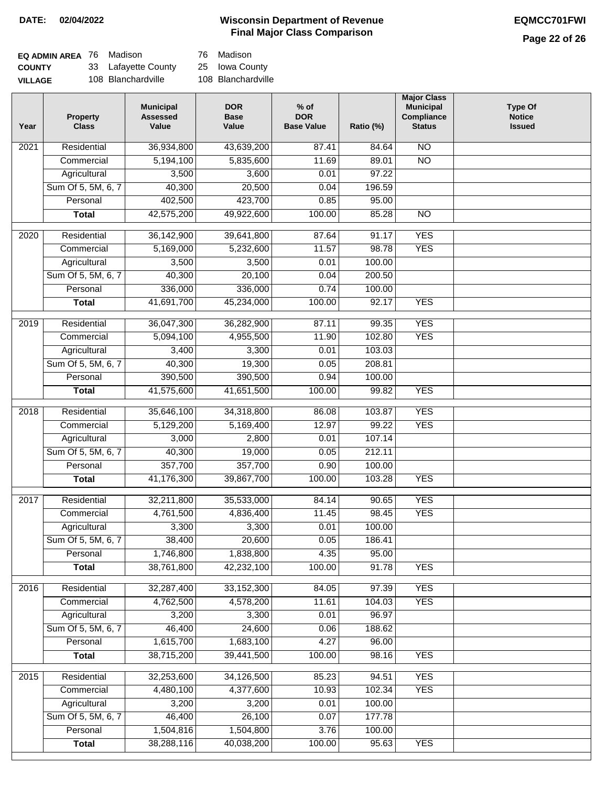### **Wisconsin Department of Revenue DATE: 02/04/2022 EQMCC701FWI Final Major Class Comparison**

## **Page 22 of 26**

| EQ ADMIN AREA 76 Madison |                     | 76 Madison         |
|--------------------------|---------------------|--------------------|
| <b>COUNTY</b>            | 33 Lafayette County | 25 Iowa County     |
| <b>VILLAGE</b>           | 108 Blanchardville  | 108 Blanchardville |

| Year | <b>Property</b><br><b>Class</b> | <b>Municipal</b><br><b>Assessed</b><br>Value | <b>DOR</b><br><b>Base</b><br>Value | $%$ of<br><b>DOR</b><br><b>Base Value</b> | Ratio (%) | <b>Major Class</b><br><b>Municipal</b><br>Compliance<br><b>Status</b> | <b>Type Of</b><br><b>Notice</b><br><b>Issued</b> |
|------|---------------------------------|----------------------------------------------|------------------------------------|-------------------------------------------|-----------|-----------------------------------------------------------------------|--------------------------------------------------|
| 2021 | Residential                     | 36,934,800                                   | 43,639,200                         | 87.41                                     | 84.64     | $\overline{NO}$                                                       |                                                  |
|      | Commercial                      | 5,194,100                                    | 5,835,600                          | 11.69                                     | 89.01     | $\overline{NO}$                                                       |                                                  |
|      | Agricultural                    | 3,500                                        | 3,600                              | 0.01                                      | 97.22     |                                                                       |                                                  |
|      | Sum Of 5, 5M, 6, 7              | 40,300                                       | 20,500                             | 0.04                                      | 196.59    |                                                                       |                                                  |
|      | Personal                        | 402,500                                      | 423,700                            | 0.85                                      | 95.00     |                                                                       |                                                  |
|      | <b>Total</b>                    | 42,575,200                                   | 49,922,600                         | 100.00                                    | 85.28     | $\overline{NO}$                                                       |                                                  |
|      | Residential                     |                                              |                                    | 87.64                                     | 91.17     | <b>YES</b>                                                            |                                                  |
| 2020 | Commercial                      | 36,142,900<br>5,169,000                      | 39,641,800<br>5,232,600            | 11.57                                     | 98.78     | <b>YES</b>                                                            |                                                  |
|      | Agricultural                    | 3,500                                        | 3,500                              | 0.01                                      | 100.00    |                                                                       |                                                  |
|      | Sum Of 5, 5M, 6, 7              | 40,300                                       | 20,100                             | 0.04                                      | 200.50    |                                                                       |                                                  |
|      | Personal                        | 336,000                                      | 336,000                            | 0.74                                      | 100.00    |                                                                       |                                                  |
|      | <b>Total</b>                    | 41,691,700                                   | 45,234,000                         | 100.00                                    | 92.17     | <b>YES</b>                                                            |                                                  |
|      |                                 |                                              |                                    |                                           |           |                                                                       |                                                  |
| 2019 | Residential                     | 36,047,300                                   | 36,282,900                         | 87.11                                     | 99.35     | <b>YES</b>                                                            |                                                  |
|      | Commercial                      | 5,094,100                                    | 4,955,500                          | 11.90                                     | 102.80    | <b>YES</b>                                                            |                                                  |
|      | Agricultural                    | 3,400                                        | 3,300                              | 0.01                                      | 103.03    |                                                                       |                                                  |
|      | Sum Of 5, 5M, 6, 7              | 40,300                                       | 19,300                             | 0.05                                      | 208.81    |                                                                       |                                                  |
|      | Personal                        | 390,500                                      | 390,500                            | 0.94                                      | 100.00    |                                                                       |                                                  |
|      | <b>Total</b>                    | 41,575,600                                   | 41,651,500                         | 100.00                                    | 99.82     | <b>YES</b>                                                            |                                                  |
| 2018 | Residential                     | 35,646,100                                   | 34,318,800                         | 86.08                                     | 103.87    | <b>YES</b>                                                            |                                                  |
|      | Commercial                      | 5,129,200                                    | 5,169,400                          | 12.97                                     | 99.22     | <b>YES</b>                                                            |                                                  |
|      | Agricultural                    | 3,000                                        | 2,800                              | 0.01                                      | 107.14    |                                                                       |                                                  |
|      | Sum Of 5, 5M, 6, 7              | 40,300                                       | 19,000                             | 0.05                                      | 212.11    |                                                                       |                                                  |
|      | Personal                        | 357,700                                      | 357,700                            | 0.90                                      | 100.00    |                                                                       |                                                  |
|      | <b>Total</b>                    | 41,176,300                                   | 39,867,700                         | 100.00                                    | 103.28    | <b>YES</b>                                                            |                                                  |
|      |                                 |                                              |                                    |                                           |           |                                                                       |                                                  |
| 2017 | Residential                     | 32,211,800                                   | 35,533,000                         | 84.14                                     | 90.65     | <b>YES</b>                                                            |                                                  |
|      | Commercial                      | 4,761,500                                    | 4,836,400                          | 11.45                                     | 98.45     | <b>YES</b>                                                            |                                                  |
|      | Agricultural                    | 3,300                                        | 3,300                              | 0.01                                      | 100.00    |                                                                       |                                                  |
|      | Sum Of 5, 5M, 6, 7              | 38,400                                       | 20,600                             | 0.05                                      | 186.41    |                                                                       |                                                  |
|      | Personal                        | 1,746,800                                    | 1,838,800<br>42,232,100            | 4.35                                      | 95.00     |                                                                       |                                                  |
|      | <b>Total</b>                    | 38,761,800                                   |                                    | 100.00                                    | 91.78     | <b>YES</b>                                                            |                                                  |
| 2016 | Residential                     | 32,287,400                                   | 33,152,300                         | 84.05                                     | 97.39     | <b>YES</b>                                                            |                                                  |
|      | Commercial                      | 4,762,500                                    | 4,578,200                          | 11.61                                     | 104.03    | <b>YES</b>                                                            |                                                  |
|      | Agricultural                    | 3,200                                        | 3,300                              | 0.01                                      | 96.97     |                                                                       |                                                  |
|      | Sum Of 5, 5M, 6, 7              | 46,400                                       | 24,600                             | 0.06                                      | 188.62    |                                                                       |                                                  |
|      | Personal                        | 1,615,700                                    | 1,683,100                          | 4.27                                      | 96.00     |                                                                       |                                                  |
|      | <b>Total</b>                    | 38,715,200                                   | 39,441,500                         | 100.00                                    | 98.16     | <b>YES</b>                                                            |                                                  |
| 2015 | Residential                     | 32,253,600                                   | 34,126,500                         | 85.23                                     | 94.51     | <b>YES</b>                                                            |                                                  |
|      | Commercial                      | 4,480,100                                    | 4,377,600                          | 10.93                                     | 102.34    | <b>YES</b>                                                            |                                                  |
|      | Agricultural                    | 3,200                                        | 3,200                              | 0.01                                      | 100.00    |                                                                       |                                                  |
|      | Sum Of 5, 5M, 6, 7              | 46,400                                       | 26,100                             | 0.07                                      | 177.78    |                                                                       |                                                  |
|      | Personal                        | 1,504,816                                    | 1,504,800                          | 3.76                                      | 100.00    |                                                                       |                                                  |
|      | <b>Total</b>                    | 38,288,116                                   | 40,038,200                         | 100.00                                    | 95.63     | <b>YES</b>                                                            |                                                  |
|      |                                 |                                              |                                    |                                           |           |                                                                       |                                                  |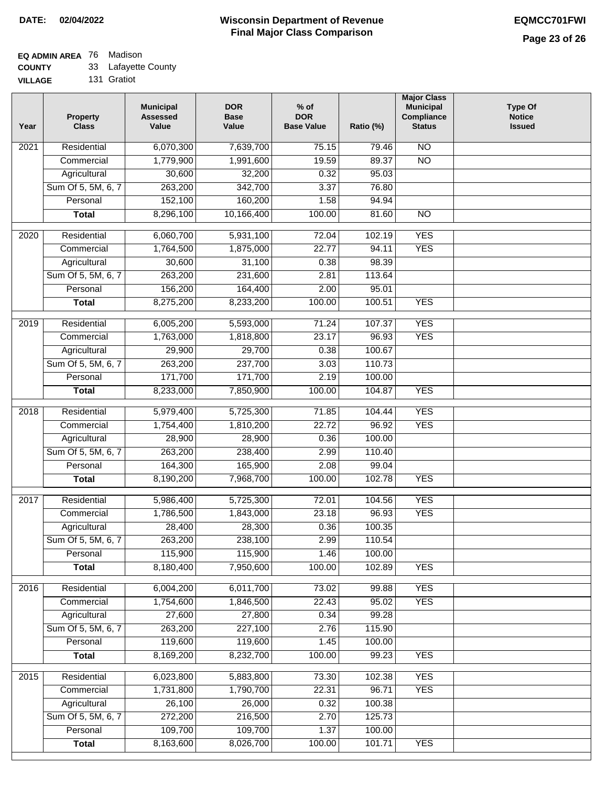# **EQ ADMIN AREA** 76 Madison

**COUNTY** 33 Lafayette County

**VILLAGE** 131 Gratiot

| Year              | <b>Property</b><br><b>Class</b>    | <b>Municipal</b><br><b>Assessed</b><br>Value | <b>DOR</b><br><b>Base</b><br>Value | $%$ of<br><b>DOR</b><br><b>Base Value</b> | Ratio (%)        | <b>Major Class</b><br><b>Municipal</b><br><b>Compliance</b><br><b>Status</b> | <b>Type Of</b><br><b>Notice</b><br><b>Issued</b> |
|-------------------|------------------------------------|----------------------------------------------|------------------------------------|-------------------------------------------|------------------|------------------------------------------------------------------------------|--------------------------------------------------|
| 2021              | Residential                        | 6,070,300                                    | 7,639,700                          | 75.15                                     | 79.46            | $\overline{NO}$                                                              |                                                  |
|                   | Commercial                         | 1,779,900                                    | 1,991,600                          | 19.59                                     | 89.37            | $\overline{NO}$                                                              |                                                  |
|                   | Agricultural                       | 30,600                                       | 32,200                             | 0.32                                      | 95.03            |                                                                              |                                                  |
|                   | Sum Of 5, 5M, 6, 7                 | 263,200                                      | 342,700                            | 3.37                                      | 76.80            |                                                                              |                                                  |
|                   | Personal                           | 152,100                                      | 160,200                            | 1.58                                      | 94.94            |                                                                              |                                                  |
|                   | <b>Total</b>                       | 8,296,100                                    | 10,166,400                         | 100.00                                    | 81.60            | $\overline{NO}$                                                              |                                                  |
| 2020              | Residential                        | 6,060,700                                    | 5,931,100                          | 72.04                                     | 102.19           | <b>YES</b>                                                                   |                                                  |
|                   | Commercial                         | 1,764,500                                    | 1,875,000                          | 22.77                                     | 94.11            | <b>YES</b>                                                                   |                                                  |
|                   | Agricultural                       | 30,600                                       | 31,100                             | 0.38                                      | 98.39            |                                                                              |                                                  |
|                   | Sum Of 5, 5M, 6, 7                 | 263,200                                      | 231,600                            | 2.81                                      | 113.64           |                                                                              |                                                  |
|                   | Personal                           | 156,200                                      | 164,400                            | 2.00                                      | 95.01            |                                                                              |                                                  |
|                   | <b>Total</b>                       | 8,275,200                                    | 8,233,200                          | 100.00                                    | 100.51           | <b>YES</b>                                                                   |                                                  |
|                   |                                    |                                              |                                    |                                           |                  |                                                                              |                                                  |
| 2019              | Residential                        | 6,005,200                                    | 5,593,000                          | 71.24                                     | 107.37           | <b>YES</b>                                                                   |                                                  |
|                   | Commercial                         | 1,763,000                                    | 1,818,800                          | 23.17                                     | 96.93            | <b>YES</b>                                                                   |                                                  |
|                   | Agricultural                       | 29,900                                       | 29,700                             | 0.38                                      | 100.67           |                                                                              |                                                  |
|                   | Sum Of 5, 5M, 6, 7                 | 263,200                                      | 237,700                            | 3.03                                      | 110.73           |                                                                              |                                                  |
|                   | Personal                           | 171,700                                      | 171,700                            | 2.19                                      | 100.00           |                                                                              |                                                  |
|                   | <b>Total</b>                       | 8,233,000                                    | 7,850,900                          | 100.00                                    | 104.87           | <b>YES</b>                                                                   |                                                  |
| 2018              | Residential                        | 5,979,400                                    | 5,725,300                          | 71.85                                     | 104.44           | <b>YES</b>                                                                   |                                                  |
|                   | Commercial                         | 1,754,400                                    | 1,810,200                          | 22.72                                     | 96.92            | <b>YES</b>                                                                   |                                                  |
|                   | Agricultural                       | 28,900                                       | 28,900                             | 0.36                                      | 100.00           |                                                                              |                                                  |
|                   | Sum Of 5, 5M, 6, 7                 | 263,200                                      | 238,400                            | 2.99                                      | 110.40           |                                                                              |                                                  |
|                   | Personal                           | 164,300                                      | 165,900                            | 2.08                                      | 99.04            |                                                                              |                                                  |
|                   | <b>Total</b>                       | 8,190,200                                    | 7,968,700                          | 100.00                                    | 102.78           | <b>YES</b>                                                                   |                                                  |
| $\overline{2017}$ | Residential                        | 5,986,400                                    | 5,725,300                          | 72.01                                     | 104.56           | <b>YES</b>                                                                   |                                                  |
|                   | Commercial                         | 1,786,500                                    | 1,843,000                          | 23.18                                     | 96.93            | <b>YES</b>                                                                   |                                                  |
|                   | Agricultural                       | 28,400                                       | 28,300                             | 0.36                                      | 100.35           |                                                                              |                                                  |
|                   | Sum Of 5, 5M, 6, 7                 | 263,200                                      | 238,100                            | 2.99                                      | 110.54           |                                                                              |                                                  |
|                   | Personal                           | 115,900                                      | 115,900                            | 1.46                                      | 100.00           |                                                                              |                                                  |
|                   | <b>Total</b>                       | 8,180,400                                    | 7,950,600                          | 100.00                                    | 102.89           | <b>YES</b>                                                                   |                                                  |
| 2016              | Residential                        | 6,004,200                                    | 6,011,700                          | 73.02                                     | 99.88            | <b>YES</b>                                                                   |                                                  |
|                   | Commercial                         | 1,754,600                                    | 1,846,500                          | 22.43                                     | 95.02            | <b>YES</b>                                                                   |                                                  |
|                   | Agricultural                       | 27,600                                       | 27,800                             | 0.34                                      | 99.28            |                                                                              |                                                  |
|                   | Sum Of 5, 5M, 6, 7                 | 263,200                                      | 227,100                            | 2.76                                      | 115.90           |                                                                              |                                                  |
|                   | Personal                           | 119,600                                      | 119,600                            | 1.45                                      | 100.00           |                                                                              |                                                  |
|                   | <b>Total</b>                       | 8,169,200                                    | 8,232,700                          | 100.00                                    | 99.23            | <b>YES</b>                                                                   |                                                  |
|                   |                                    |                                              |                                    |                                           |                  |                                                                              |                                                  |
| 2015              | Residential                        | 6,023,800                                    | 5,883,800                          | 73.30                                     | 102.38           | <b>YES</b>                                                                   |                                                  |
|                   | Commercial                         | 1,731,800                                    | 1,790,700                          | 22.31                                     | 96.71            | <b>YES</b>                                                                   |                                                  |
|                   | Agricultural<br>Sum Of 5, 5M, 6, 7 | 26,100<br>272,200                            | 26,000<br>216,500                  | 0.32<br>2.70                              | 100.38<br>125.73 |                                                                              |                                                  |
|                   | Personal                           | 109,700                                      | 109,700                            | 1.37                                      | 100.00           |                                                                              |                                                  |
|                   | <b>Total</b>                       | 8,163,600                                    | 8,026,700                          | 100.00                                    | 101.71           | <b>YES</b>                                                                   |                                                  |
|                   |                                    |                                              |                                    |                                           |                  |                                                                              |                                                  |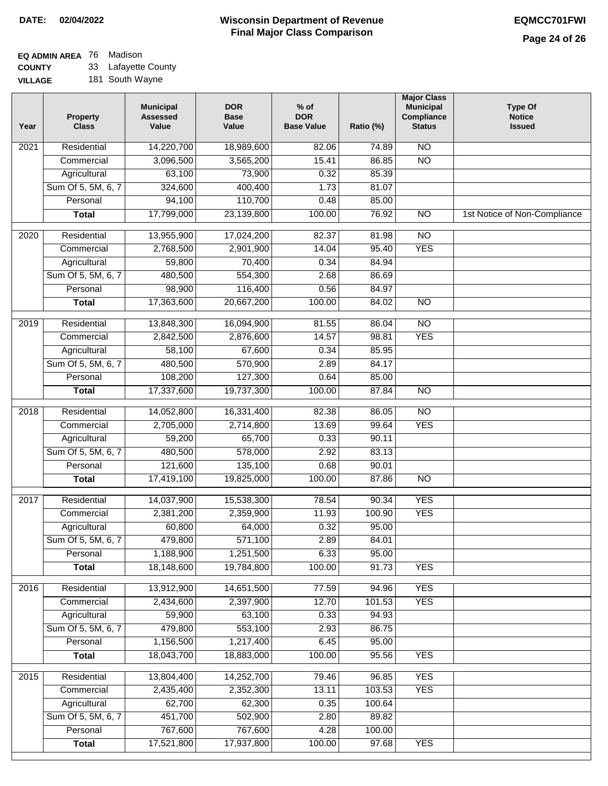# **EQ ADMIN AREA** 76 Madison

**COUNTY VILLAGE** 33 Lafayette County 181 South Wayne

| $\overline{NO}$<br>Residential<br>14,220,700<br>18,989,600<br>82.06<br>2021<br>74.89<br>$\overline{NO}$<br>3,096,500<br>3,565,200<br>15.41<br>86.85<br>Commercial<br>Agricultural<br>63,100<br>73,900<br>0.32<br>85.39<br>Sum Of 5, 5M, 6, 7<br>400,400<br>324,600<br>1.73<br>81.07<br>94,100<br>110,700<br>0.48<br>85.00<br>Personal<br>17,799,000<br>23,139,800<br>100.00<br>76.92<br>$\overline{NO}$<br><b>Total</b><br>1st Notice of Non-Compliance<br>$\overline{NO}$<br>2020<br>Residential<br>13,955,900<br>17,024,200<br>82.37<br>81.98<br><b>YES</b><br>2,768,500<br>2,901,900<br>14.04<br>95.40<br>Commercial<br>70,400<br>Agricultural<br>59,800<br>0.34<br>84.94<br>Sum Of 5, 5M, 6, 7<br>480,500<br>554,300<br>2.68<br>86.69<br>98,900<br>116,400<br>84.97<br>Personal<br>0.56<br>17,363,600<br>20,667,200<br>100.00<br>84.02<br><b>NO</b><br><b>Total</b><br>13,848,300<br>2019<br>Residential<br>16,094,900<br>81.55<br>86.04<br>$\overline{NO}$<br><b>YES</b><br>2,842,500<br>2,876,600<br>14.57<br>98.81<br>Commercial<br>67,600<br>85.95<br>58,100<br>0.34<br>Agricultural<br>480,500<br>570,900<br>Sum Of 5, 5M, 6, 7<br>2.89<br>84.17<br>108,200<br>127,300<br>Personal<br>0.64<br>85.00<br>17,337,600<br>19,737,300<br>100.00<br>87.84<br>$\overline{NO}$<br><b>Total</b><br>Residential<br>14,052,800<br>16,331,400<br>82.38<br>86.05<br>$\overline{NO}$<br>2018<br><b>YES</b><br>Commercial<br>2,705,000<br>2,714,800<br>13.69<br>99.64<br>59,200<br>65,700<br>Agricultural<br>0.33<br>90.11<br>Sum Of 5, 5M, 6, 7<br>480,500<br>578,000<br>2.92<br>83.13<br>Personal<br>121,600<br>135,100<br>0.68<br>90.01<br>17,419,100<br>19,825,000<br>100.00<br>87.86<br>$\overline{NO}$<br><b>Total</b><br><b>YES</b><br>Residential<br>14,037,900<br>15,538,300<br>78.54<br>90.34<br>2017<br><b>YES</b><br>Commercial<br>2,381,200<br>2,359,900<br>11.93<br>100.90<br>95.00<br>Agricultural<br>60,800<br>64,000<br>0.32<br>479,800<br>571,100<br>Sum Of 5, 5M, 6, 7<br>2.89<br>84.01<br>Personal<br>1,188,900<br>1,251,500<br>6.33<br>95.00<br>18,148,600<br>19,784,800<br>100.00<br>91.73<br><b>YES</b><br><b>Total</b><br><b>YES</b><br>2016<br>Residential<br>13,912,900<br>14,651,500<br>77.59<br>94.96<br>2,434,600<br>2,397,900<br>12.70<br>101.53<br><b>YES</b><br>Commercial<br>63,100<br>Agricultural<br>59,900<br>0.33<br>94.93<br>Sum Of 5, 5M, 6, 7<br>479,800<br>553,100<br>86.75<br>2.93<br>1,156,500<br>1,217,400<br>6.45<br>95.00<br>Personal<br>18,043,700<br>95.56<br><b>YES</b><br>18,883,000<br>100.00<br><b>Total</b><br><b>YES</b><br>Residential<br>13,804,400<br>14,252,700<br>79.46<br>96.85<br>2015<br>2,435,400<br>2,352,300<br>13.11<br>103.53<br><b>YES</b><br>Commercial<br>62,700<br>62,300<br>Agricultural<br>0.35<br>100.64<br>Sum Of 5, 5M, 6, 7<br>451,700<br>502,900<br>2.80<br>89.82 | Year | <b>Property</b><br><b>Class</b> | <b>Municipal</b><br><b>Assessed</b><br>Value | <b>DOR</b><br><b>Base</b><br>Value | $%$ of<br><b>DOR</b><br><b>Base Value</b> | Ratio (%) | <b>Major Class</b><br><b>Municipal</b><br>Compliance<br><b>Status</b> | <b>Type Of</b><br><b>Notice</b><br><b>Issued</b> |
|------------------------------------------------------------------------------------------------------------------------------------------------------------------------------------------------------------------------------------------------------------------------------------------------------------------------------------------------------------------------------------------------------------------------------------------------------------------------------------------------------------------------------------------------------------------------------------------------------------------------------------------------------------------------------------------------------------------------------------------------------------------------------------------------------------------------------------------------------------------------------------------------------------------------------------------------------------------------------------------------------------------------------------------------------------------------------------------------------------------------------------------------------------------------------------------------------------------------------------------------------------------------------------------------------------------------------------------------------------------------------------------------------------------------------------------------------------------------------------------------------------------------------------------------------------------------------------------------------------------------------------------------------------------------------------------------------------------------------------------------------------------------------------------------------------------------------------------------------------------------------------------------------------------------------------------------------------------------------------------------------------------------------------------------------------------------------------------------------------------------------------------------------------------------------------------------------------------------------------------------------------------------------------------------------------------------------------------------------------------------------------------------------------------------------------------------------------------------------------------------------------------------------------------------------------------------------------------------------------------------------------------------------------------------------------------------------------------------------------------------------------------------------------------------------------------------------------------|------|---------------------------------|----------------------------------------------|------------------------------------|-------------------------------------------|-----------|-----------------------------------------------------------------------|--------------------------------------------------|
|                                                                                                                                                                                                                                                                                                                                                                                                                                                                                                                                                                                                                                                                                                                                                                                                                                                                                                                                                                                                                                                                                                                                                                                                                                                                                                                                                                                                                                                                                                                                                                                                                                                                                                                                                                                                                                                                                                                                                                                                                                                                                                                                                                                                                                                                                                                                                                                                                                                                                                                                                                                                                                                                                                                                                                                                                                          |      |                                 |                                              |                                    |                                           |           |                                                                       |                                                  |
|                                                                                                                                                                                                                                                                                                                                                                                                                                                                                                                                                                                                                                                                                                                                                                                                                                                                                                                                                                                                                                                                                                                                                                                                                                                                                                                                                                                                                                                                                                                                                                                                                                                                                                                                                                                                                                                                                                                                                                                                                                                                                                                                                                                                                                                                                                                                                                                                                                                                                                                                                                                                                                                                                                                                                                                                                                          |      |                                 |                                              |                                    |                                           |           |                                                                       |                                                  |
|                                                                                                                                                                                                                                                                                                                                                                                                                                                                                                                                                                                                                                                                                                                                                                                                                                                                                                                                                                                                                                                                                                                                                                                                                                                                                                                                                                                                                                                                                                                                                                                                                                                                                                                                                                                                                                                                                                                                                                                                                                                                                                                                                                                                                                                                                                                                                                                                                                                                                                                                                                                                                                                                                                                                                                                                                                          |      |                                 |                                              |                                    |                                           |           |                                                                       |                                                  |
|                                                                                                                                                                                                                                                                                                                                                                                                                                                                                                                                                                                                                                                                                                                                                                                                                                                                                                                                                                                                                                                                                                                                                                                                                                                                                                                                                                                                                                                                                                                                                                                                                                                                                                                                                                                                                                                                                                                                                                                                                                                                                                                                                                                                                                                                                                                                                                                                                                                                                                                                                                                                                                                                                                                                                                                                                                          |      |                                 |                                              |                                    |                                           |           |                                                                       |                                                  |
|                                                                                                                                                                                                                                                                                                                                                                                                                                                                                                                                                                                                                                                                                                                                                                                                                                                                                                                                                                                                                                                                                                                                                                                                                                                                                                                                                                                                                                                                                                                                                                                                                                                                                                                                                                                                                                                                                                                                                                                                                                                                                                                                                                                                                                                                                                                                                                                                                                                                                                                                                                                                                                                                                                                                                                                                                                          |      |                                 |                                              |                                    |                                           |           |                                                                       |                                                  |
|                                                                                                                                                                                                                                                                                                                                                                                                                                                                                                                                                                                                                                                                                                                                                                                                                                                                                                                                                                                                                                                                                                                                                                                                                                                                                                                                                                                                                                                                                                                                                                                                                                                                                                                                                                                                                                                                                                                                                                                                                                                                                                                                                                                                                                                                                                                                                                                                                                                                                                                                                                                                                                                                                                                                                                                                                                          |      |                                 |                                              |                                    |                                           |           |                                                                       |                                                  |
|                                                                                                                                                                                                                                                                                                                                                                                                                                                                                                                                                                                                                                                                                                                                                                                                                                                                                                                                                                                                                                                                                                                                                                                                                                                                                                                                                                                                                                                                                                                                                                                                                                                                                                                                                                                                                                                                                                                                                                                                                                                                                                                                                                                                                                                                                                                                                                                                                                                                                                                                                                                                                                                                                                                                                                                                                                          |      |                                 |                                              |                                    |                                           |           |                                                                       |                                                  |
|                                                                                                                                                                                                                                                                                                                                                                                                                                                                                                                                                                                                                                                                                                                                                                                                                                                                                                                                                                                                                                                                                                                                                                                                                                                                                                                                                                                                                                                                                                                                                                                                                                                                                                                                                                                                                                                                                                                                                                                                                                                                                                                                                                                                                                                                                                                                                                                                                                                                                                                                                                                                                                                                                                                                                                                                                                          |      |                                 |                                              |                                    |                                           |           |                                                                       |                                                  |
|                                                                                                                                                                                                                                                                                                                                                                                                                                                                                                                                                                                                                                                                                                                                                                                                                                                                                                                                                                                                                                                                                                                                                                                                                                                                                                                                                                                                                                                                                                                                                                                                                                                                                                                                                                                                                                                                                                                                                                                                                                                                                                                                                                                                                                                                                                                                                                                                                                                                                                                                                                                                                                                                                                                                                                                                                                          |      |                                 |                                              |                                    |                                           |           |                                                                       |                                                  |
|                                                                                                                                                                                                                                                                                                                                                                                                                                                                                                                                                                                                                                                                                                                                                                                                                                                                                                                                                                                                                                                                                                                                                                                                                                                                                                                                                                                                                                                                                                                                                                                                                                                                                                                                                                                                                                                                                                                                                                                                                                                                                                                                                                                                                                                                                                                                                                                                                                                                                                                                                                                                                                                                                                                                                                                                                                          |      |                                 |                                              |                                    |                                           |           |                                                                       |                                                  |
|                                                                                                                                                                                                                                                                                                                                                                                                                                                                                                                                                                                                                                                                                                                                                                                                                                                                                                                                                                                                                                                                                                                                                                                                                                                                                                                                                                                                                                                                                                                                                                                                                                                                                                                                                                                                                                                                                                                                                                                                                                                                                                                                                                                                                                                                                                                                                                                                                                                                                                                                                                                                                                                                                                                                                                                                                                          |      |                                 |                                              |                                    |                                           |           |                                                                       |                                                  |
|                                                                                                                                                                                                                                                                                                                                                                                                                                                                                                                                                                                                                                                                                                                                                                                                                                                                                                                                                                                                                                                                                                                                                                                                                                                                                                                                                                                                                                                                                                                                                                                                                                                                                                                                                                                                                                                                                                                                                                                                                                                                                                                                                                                                                                                                                                                                                                                                                                                                                                                                                                                                                                                                                                                                                                                                                                          |      |                                 |                                              |                                    |                                           |           |                                                                       |                                                  |
|                                                                                                                                                                                                                                                                                                                                                                                                                                                                                                                                                                                                                                                                                                                                                                                                                                                                                                                                                                                                                                                                                                                                                                                                                                                                                                                                                                                                                                                                                                                                                                                                                                                                                                                                                                                                                                                                                                                                                                                                                                                                                                                                                                                                                                                                                                                                                                                                                                                                                                                                                                                                                                                                                                                                                                                                                                          |      |                                 |                                              |                                    |                                           |           |                                                                       |                                                  |
|                                                                                                                                                                                                                                                                                                                                                                                                                                                                                                                                                                                                                                                                                                                                                                                                                                                                                                                                                                                                                                                                                                                                                                                                                                                                                                                                                                                                                                                                                                                                                                                                                                                                                                                                                                                                                                                                                                                                                                                                                                                                                                                                                                                                                                                                                                                                                                                                                                                                                                                                                                                                                                                                                                                                                                                                                                          |      |                                 |                                              |                                    |                                           |           |                                                                       |                                                  |
|                                                                                                                                                                                                                                                                                                                                                                                                                                                                                                                                                                                                                                                                                                                                                                                                                                                                                                                                                                                                                                                                                                                                                                                                                                                                                                                                                                                                                                                                                                                                                                                                                                                                                                                                                                                                                                                                                                                                                                                                                                                                                                                                                                                                                                                                                                                                                                                                                                                                                                                                                                                                                                                                                                                                                                                                                                          |      |                                 |                                              |                                    |                                           |           |                                                                       |                                                  |
|                                                                                                                                                                                                                                                                                                                                                                                                                                                                                                                                                                                                                                                                                                                                                                                                                                                                                                                                                                                                                                                                                                                                                                                                                                                                                                                                                                                                                                                                                                                                                                                                                                                                                                                                                                                                                                                                                                                                                                                                                                                                                                                                                                                                                                                                                                                                                                                                                                                                                                                                                                                                                                                                                                                                                                                                                                          |      |                                 |                                              |                                    |                                           |           |                                                                       |                                                  |
|                                                                                                                                                                                                                                                                                                                                                                                                                                                                                                                                                                                                                                                                                                                                                                                                                                                                                                                                                                                                                                                                                                                                                                                                                                                                                                                                                                                                                                                                                                                                                                                                                                                                                                                                                                                                                                                                                                                                                                                                                                                                                                                                                                                                                                                                                                                                                                                                                                                                                                                                                                                                                                                                                                                                                                                                                                          |      |                                 |                                              |                                    |                                           |           |                                                                       |                                                  |
|                                                                                                                                                                                                                                                                                                                                                                                                                                                                                                                                                                                                                                                                                                                                                                                                                                                                                                                                                                                                                                                                                                                                                                                                                                                                                                                                                                                                                                                                                                                                                                                                                                                                                                                                                                                                                                                                                                                                                                                                                                                                                                                                                                                                                                                                                                                                                                                                                                                                                                                                                                                                                                                                                                                                                                                                                                          |      |                                 |                                              |                                    |                                           |           |                                                                       |                                                  |
|                                                                                                                                                                                                                                                                                                                                                                                                                                                                                                                                                                                                                                                                                                                                                                                                                                                                                                                                                                                                                                                                                                                                                                                                                                                                                                                                                                                                                                                                                                                                                                                                                                                                                                                                                                                                                                                                                                                                                                                                                                                                                                                                                                                                                                                                                                                                                                                                                                                                                                                                                                                                                                                                                                                                                                                                                                          |      |                                 |                                              |                                    |                                           |           |                                                                       |                                                  |
|                                                                                                                                                                                                                                                                                                                                                                                                                                                                                                                                                                                                                                                                                                                                                                                                                                                                                                                                                                                                                                                                                                                                                                                                                                                                                                                                                                                                                                                                                                                                                                                                                                                                                                                                                                                                                                                                                                                                                                                                                                                                                                                                                                                                                                                                                                                                                                                                                                                                                                                                                                                                                                                                                                                                                                                                                                          |      |                                 |                                              |                                    |                                           |           |                                                                       |                                                  |
|                                                                                                                                                                                                                                                                                                                                                                                                                                                                                                                                                                                                                                                                                                                                                                                                                                                                                                                                                                                                                                                                                                                                                                                                                                                                                                                                                                                                                                                                                                                                                                                                                                                                                                                                                                                                                                                                                                                                                                                                                                                                                                                                                                                                                                                                                                                                                                                                                                                                                                                                                                                                                                                                                                                                                                                                                                          |      |                                 |                                              |                                    |                                           |           |                                                                       |                                                  |
|                                                                                                                                                                                                                                                                                                                                                                                                                                                                                                                                                                                                                                                                                                                                                                                                                                                                                                                                                                                                                                                                                                                                                                                                                                                                                                                                                                                                                                                                                                                                                                                                                                                                                                                                                                                                                                                                                                                                                                                                                                                                                                                                                                                                                                                                                                                                                                                                                                                                                                                                                                                                                                                                                                                                                                                                                                          |      |                                 |                                              |                                    |                                           |           |                                                                       |                                                  |
|                                                                                                                                                                                                                                                                                                                                                                                                                                                                                                                                                                                                                                                                                                                                                                                                                                                                                                                                                                                                                                                                                                                                                                                                                                                                                                                                                                                                                                                                                                                                                                                                                                                                                                                                                                                                                                                                                                                                                                                                                                                                                                                                                                                                                                                                                                                                                                                                                                                                                                                                                                                                                                                                                                                                                                                                                                          |      |                                 |                                              |                                    |                                           |           |                                                                       |                                                  |
|                                                                                                                                                                                                                                                                                                                                                                                                                                                                                                                                                                                                                                                                                                                                                                                                                                                                                                                                                                                                                                                                                                                                                                                                                                                                                                                                                                                                                                                                                                                                                                                                                                                                                                                                                                                                                                                                                                                                                                                                                                                                                                                                                                                                                                                                                                                                                                                                                                                                                                                                                                                                                                                                                                                                                                                                                                          |      |                                 |                                              |                                    |                                           |           |                                                                       |                                                  |
|                                                                                                                                                                                                                                                                                                                                                                                                                                                                                                                                                                                                                                                                                                                                                                                                                                                                                                                                                                                                                                                                                                                                                                                                                                                                                                                                                                                                                                                                                                                                                                                                                                                                                                                                                                                                                                                                                                                                                                                                                                                                                                                                                                                                                                                                                                                                                                                                                                                                                                                                                                                                                                                                                                                                                                                                                                          |      |                                 |                                              |                                    |                                           |           |                                                                       |                                                  |
|                                                                                                                                                                                                                                                                                                                                                                                                                                                                                                                                                                                                                                                                                                                                                                                                                                                                                                                                                                                                                                                                                                                                                                                                                                                                                                                                                                                                                                                                                                                                                                                                                                                                                                                                                                                                                                                                                                                                                                                                                                                                                                                                                                                                                                                                                                                                                                                                                                                                                                                                                                                                                                                                                                                                                                                                                                          |      |                                 |                                              |                                    |                                           |           |                                                                       |                                                  |
|                                                                                                                                                                                                                                                                                                                                                                                                                                                                                                                                                                                                                                                                                                                                                                                                                                                                                                                                                                                                                                                                                                                                                                                                                                                                                                                                                                                                                                                                                                                                                                                                                                                                                                                                                                                                                                                                                                                                                                                                                                                                                                                                                                                                                                                                                                                                                                                                                                                                                                                                                                                                                                                                                                                                                                                                                                          |      |                                 |                                              |                                    |                                           |           |                                                                       |                                                  |
|                                                                                                                                                                                                                                                                                                                                                                                                                                                                                                                                                                                                                                                                                                                                                                                                                                                                                                                                                                                                                                                                                                                                                                                                                                                                                                                                                                                                                                                                                                                                                                                                                                                                                                                                                                                                                                                                                                                                                                                                                                                                                                                                                                                                                                                                                                                                                                                                                                                                                                                                                                                                                                                                                                                                                                                                                                          |      |                                 |                                              |                                    |                                           |           |                                                                       |                                                  |
|                                                                                                                                                                                                                                                                                                                                                                                                                                                                                                                                                                                                                                                                                                                                                                                                                                                                                                                                                                                                                                                                                                                                                                                                                                                                                                                                                                                                                                                                                                                                                                                                                                                                                                                                                                                                                                                                                                                                                                                                                                                                                                                                                                                                                                                                                                                                                                                                                                                                                                                                                                                                                                                                                                                                                                                                                                          |      |                                 |                                              |                                    |                                           |           |                                                                       |                                                  |
|                                                                                                                                                                                                                                                                                                                                                                                                                                                                                                                                                                                                                                                                                                                                                                                                                                                                                                                                                                                                                                                                                                                                                                                                                                                                                                                                                                                                                                                                                                                                                                                                                                                                                                                                                                                                                                                                                                                                                                                                                                                                                                                                                                                                                                                                                                                                                                                                                                                                                                                                                                                                                                                                                                                                                                                                                                          |      |                                 |                                              |                                    |                                           |           |                                                                       |                                                  |
|                                                                                                                                                                                                                                                                                                                                                                                                                                                                                                                                                                                                                                                                                                                                                                                                                                                                                                                                                                                                                                                                                                                                                                                                                                                                                                                                                                                                                                                                                                                                                                                                                                                                                                                                                                                                                                                                                                                                                                                                                                                                                                                                                                                                                                                                                                                                                                                                                                                                                                                                                                                                                                                                                                                                                                                                                                          |      |                                 |                                              |                                    |                                           |           |                                                                       |                                                  |
|                                                                                                                                                                                                                                                                                                                                                                                                                                                                                                                                                                                                                                                                                                                                                                                                                                                                                                                                                                                                                                                                                                                                                                                                                                                                                                                                                                                                                                                                                                                                                                                                                                                                                                                                                                                                                                                                                                                                                                                                                                                                                                                                                                                                                                                                                                                                                                                                                                                                                                                                                                                                                                                                                                                                                                                                                                          |      |                                 |                                              |                                    |                                           |           |                                                                       |                                                  |
|                                                                                                                                                                                                                                                                                                                                                                                                                                                                                                                                                                                                                                                                                                                                                                                                                                                                                                                                                                                                                                                                                                                                                                                                                                                                                                                                                                                                                                                                                                                                                                                                                                                                                                                                                                                                                                                                                                                                                                                                                                                                                                                                                                                                                                                                                                                                                                                                                                                                                                                                                                                                                                                                                                                                                                                                                                          |      |                                 |                                              |                                    |                                           |           |                                                                       |                                                  |
|                                                                                                                                                                                                                                                                                                                                                                                                                                                                                                                                                                                                                                                                                                                                                                                                                                                                                                                                                                                                                                                                                                                                                                                                                                                                                                                                                                                                                                                                                                                                                                                                                                                                                                                                                                                                                                                                                                                                                                                                                                                                                                                                                                                                                                                                                                                                                                                                                                                                                                                                                                                                                                                                                                                                                                                                                                          |      |                                 |                                              |                                    |                                           |           |                                                                       |                                                  |
|                                                                                                                                                                                                                                                                                                                                                                                                                                                                                                                                                                                                                                                                                                                                                                                                                                                                                                                                                                                                                                                                                                                                                                                                                                                                                                                                                                                                                                                                                                                                                                                                                                                                                                                                                                                                                                                                                                                                                                                                                                                                                                                                                                                                                                                                                                                                                                                                                                                                                                                                                                                                                                                                                                                                                                                                                                          |      |                                 |                                              |                                    |                                           |           |                                                                       |                                                  |
|                                                                                                                                                                                                                                                                                                                                                                                                                                                                                                                                                                                                                                                                                                                                                                                                                                                                                                                                                                                                                                                                                                                                                                                                                                                                                                                                                                                                                                                                                                                                                                                                                                                                                                                                                                                                                                                                                                                                                                                                                                                                                                                                                                                                                                                                                                                                                                                                                                                                                                                                                                                                                                                                                                                                                                                                                                          |      |                                 |                                              |                                    |                                           |           |                                                                       |                                                  |
|                                                                                                                                                                                                                                                                                                                                                                                                                                                                                                                                                                                                                                                                                                                                                                                                                                                                                                                                                                                                                                                                                                                                                                                                                                                                                                                                                                                                                                                                                                                                                                                                                                                                                                                                                                                                                                                                                                                                                                                                                                                                                                                                                                                                                                                                                                                                                                                                                                                                                                                                                                                                                                                                                                                                                                                                                                          |      |                                 |                                              |                                    |                                           |           |                                                                       |                                                  |
|                                                                                                                                                                                                                                                                                                                                                                                                                                                                                                                                                                                                                                                                                                                                                                                                                                                                                                                                                                                                                                                                                                                                                                                                                                                                                                                                                                                                                                                                                                                                                                                                                                                                                                                                                                                                                                                                                                                                                                                                                                                                                                                                                                                                                                                                                                                                                                                                                                                                                                                                                                                                                                                                                                                                                                                                                                          |      |                                 |                                              |                                    |                                           |           |                                                                       |                                                  |
|                                                                                                                                                                                                                                                                                                                                                                                                                                                                                                                                                                                                                                                                                                                                                                                                                                                                                                                                                                                                                                                                                                                                                                                                                                                                                                                                                                                                                                                                                                                                                                                                                                                                                                                                                                                                                                                                                                                                                                                                                                                                                                                                                                                                                                                                                                                                                                                                                                                                                                                                                                                                                                                                                                                                                                                                                                          |      |                                 |                                              |                                    |                                           |           |                                                                       |                                                  |
|                                                                                                                                                                                                                                                                                                                                                                                                                                                                                                                                                                                                                                                                                                                                                                                                                                                                                                                                                                                                                                                                                                                                                                                                                                                                                                                                                                                                                                                                                                                                                                                                                                                                                                                                                                                                                                                                                                                                                                                                                                                                                                                                                                                                                                                                                                                                                                                                                                                                                                                                                                                                                                                                                                                                                                                                                                          |      |                                 |                                              |                                    |                                           |           |                                                                       |                                                  |
| 767,600<br>767,600<br>100.00<br>Personal<br>4.28                                                                                                                                                                                                                                                                                                                                                                                                                                                                                                                                                                                                                                                                                                                                                                                                                                                                                                                                                                                                                                                                                                                                                                                                                                                                                                                                                                                                                                                                                                                                                                                                                                                                                                                                                                                                                                                                                                                                                                                                                                                                                                                                                                                                                                                                                                                                                                                                                                                                                                                                                                                                                                                                                                                                                                                         |      |                                 |                                              |                                    |                                           |           |                                                                       |                                                  |
| 17,521,800<br>17,937,800<br>100.00<br>97.68<br><b>YES</b><br><b>Total</b>                                                                                                                                                                                                                                                                                                                                                                                                                                                                                                                                                                                                                                                                                                                                                                                                                                                                                                                                                                                                                                                                                                                                                                                                                                                                                                                                                                                                                                                                                                                                                                                                                                                                                                                                                                                                                                                                                                                                                                                                                                                                                                                                                                                                                                                                                                                                                                                                                                                                                                                                                                                                                                                                                                                                                                |      |                                 |                                              |                                    |                                           |           |                                                                       |                                                  |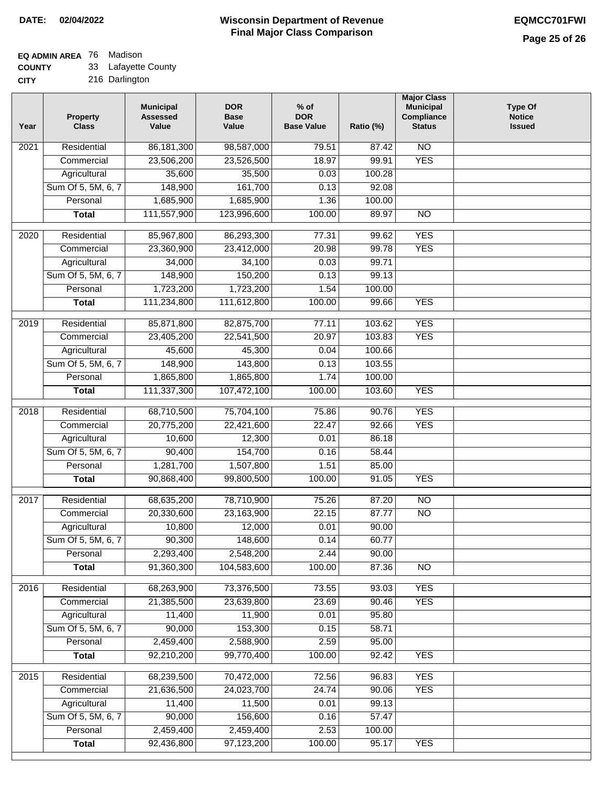## **EQ ADMIN AREA** 76 Madison

**COUNTY** 33 Lafayette County

| Year | Property<br><b>Class</b> | <b>Municipal</b><br><b>Assessed</b><br>Value | <b>DOR</b><br><b>Base</b><br>Value | $%$ of<br><b>DOR</b><br><b>Base Value</b> | Ratio (%) | <b>Major Class</b><br><b>Municipal</b><br>Compliance<br><b>Status</b> | <b>Type Of</b><br><b>Notice</b><br><b>Issued</b> |
|------|--------------------------|----------------------------------------------|------------------------------------|-------------------------------------------|-----------|-----------------------------------------------------------------------|--------------------------------------------------|
| 2021 | Residential              | 86, 181, 300                                 | 98,587,000                         | 79.51                                     | 87.42     | N <sub>O</sub>                                                        |                                                  |
|      | Commercial               | 23,506,200                                   | 23,526,500                         | 18.97                                     | 99.91     | <b>YES</b>                                                            |                                                  |
|      | Agricultural             | 35,600                                       | 35,500                             | 0.03                                      | 100.28    |                                                                       |                                                  |
|      | Sum Of 5, 5M, 6, 7       | 148,900                                      | 161,700                            | 0.13                                      | 92.08     |                                                                       |                                                  |
|      | Personal                 | 1,685,900                                    | 1,685,900                          | 1.36                                      | 100.00    |                                                                       |                                                  |
|      | <b>Total</b>             | 111,557,900                                  | 123,996,600                        | 100.00                                    | 89.97     | $\overline{NO}$                                                       |                                                  |
| 2020 | Residential              | 85,967,800                                   | 86,293,300                         | 77.31                                     | 99.62     | <b>YES</b>                                                            |                                                  |
|      | Commercial               | 23,360,900                                   | 23,412,000                         | 20.98                                     | 99.78     | <b>YES</b>                                                            |                                                  |
|      | Agricultural             | 34,000                                       | 34,100                             | 0.03                                      | 99.71     |                                                                       |                                                  |
|      | Sum Of 5, 5M, 6, 7       | 148,900                                      | 150,200                            | 0.13                                      | 99.13     |                                                                       |                                                  |
|      | Personal                 | 1,723,200                                    | 1,723,200                          | 1.54                                      | 100.00    |                                                                       |                                                  |
|      | <b>Total</b>             | 111,234,800                                  | 111,612,800                        | 100.00                                    | 99.66     | <b>YES</b>                                                            |                                                  |
|      |                          |                                              |                                    |                                           |           |                                                                       |                                                  |
| 2019 | Residential              | 85,871,800                                   | 82,875,700                         | 77.11                                     | 103.62    | <b>YES</b>                                                            |                                                  |
|      | Commercial               | 23,405,200                                   | 22,541,500                         | 20.97                                     | 103.83    | <b>YES</b>                                                            |                                                  |
|      | Agricultural             | 45,600                                       | 45,300                             | 0.04                                      | 100.66    |                                                                       |                                                  |
|      | Sum Of 5, 5M, 6, 7       | 148,900                                      | 143,800                            | 0.13                                      | 103.55    |                                                                       |                                                  |
|      | Personal                 | 1,865,800                                    | 1,865,800                          | 1.74                                      | 100.00    |                                                                       |                                                  |
|      | <b>Total</b>             | 111,337,300                                  | 107,472,100                        | 100.00                                    | 103.60    | <b>YES</b>                                                            |                                                  |
| 2018 | Residential              | 68,710,500                                   | 75,704,100                         | 75.86                                     | 90.76     | <b>YES</b>                                                            |                                                  |
|      | Commercial               | 20,775,200                                   | 22,421,600                         | 22.47                                     | 92.66     | <b>YES</b>                                                            |                                                  |
|      | Agricultural             | 10,600                                       | 12,300                             | 0.01                                      | 86.18     |                                                                       |                                                  |
|      | Sum Of 5, 5M, 6, 7       | 90,400                                       | 154,700                            | 0.16                                      | 58.44     |                                                                       |                                                  |
|      | Personal                 | 1,281,700                                    | 1,507,800                          | 1.51                                      | 85.00     |                                                                       |                                                  |
|      | <b>Total</b>             | 90,868,400                                   | 99,800,500                         | 100.00                                    | 91.05     | <b>YES</b>                                                            |                                                  |
| 2017 | Residential              | 68,635,200                                   | 78,710,900                         | 75.26                                     | 87.20     | $\overline{NO}$                                                       |                                                  |
|      | Commercial               | 20,330,600                                   | 23,163,900                         | 22.15                                     | 87.77     | $\overline{NO}$                                                       |                                                  |
|      | Agricultural             | 10,800                                       | 12,000                             | 0.01                                      | 90.00     |                                                                       |                                                  |
|      | Sum Of 5, 5M, 6, 7       | 90,300                                       | 148,600                            | 0.14                                      | 60.77     |                                                                       |                                                  |
|      | Personal                 | 2,293,400                                    | 2,548,200                          | 2.44                                      | 90.00     |                                                                       |                                                  |
|      | <b>Total</b>             | 91,360,300                                   | 104,583,600                        | 100.00                                    | 87.36     | NO                                                                    |                                                  |
| 2016 | Residential              | 68,263,900                                   | 73,376,500                         | 73.55                                     | 93.03     | <b>YES</b>                                                            |                                                  |
|      | Commercial               | 21,385,500                                   | 23,639,800                         | 23.69                                     | 90.46     | <b>YES</b>                                                            |                                                  |
|      | Agricultural             | 11,400                                       | 11,900                             | 0.01                                      | 95.80     |                                                                       |                                                  |
|      | Sum Of 5, 5M, 6, 7       | 90,000                                       | 153,300                            | 0.15                                      | 58.71     |                                                                       |                                                  |
|      | Personal                 | 2,459,400                                    | 2,588,900                          | 2.59                                      | 95.00     |                                                                       |                                                  |
|      | <b>Total</b>             | 92,210,200                                   | 99,770,400                         | 100.00                                    | 92.42     | <b>YES</b>                                                            |                                                  |
| 2015 | Residential              | 68,239,500                                   | 70,472,000                         | 72.56                                     | 96.83     | <b>YES</b>                                                            |                                                  |
|      | Commercial               | 21,636,500                                   | 24,023,700                         | 24.74                                     | 90.06     | <b>YES</b>                                                            |                                                  |
|      | Agricultural             | 11,400                                       | 11,500                             | 0.01                                      | 99.13     |                                                                       |                                                  |
|      | Sum Of 5, 5M, 6, 7       | 90,000                                       | 156,600                            | 0.16                                      | 57.47     |                                                                       |                                                  |
|      | Personal                 | 2,459,400                                    | 2,459,400                          | 2.53                                      | 100.00    |                                                                       |                                                  |
|      | <b>Total</b>             | 92,436,800                                   | 97,123,200                         | 100.00                                    | 95.17     | <b>YES</b>                                                            |                                                  |
|      |                          |                                              |                                    |                                           |           |                                                                       |                                                  |